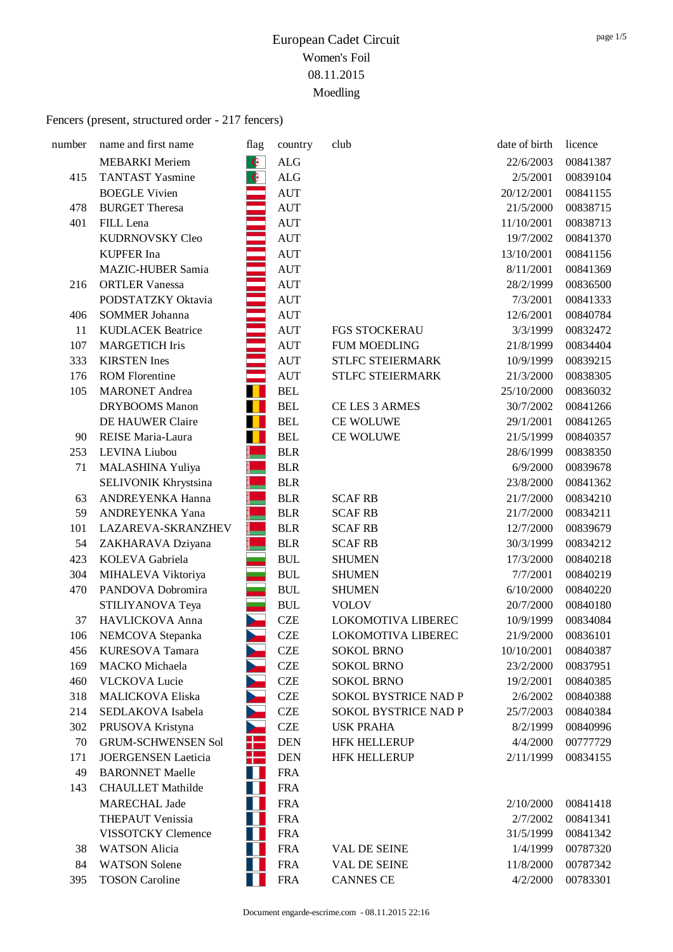| number | name and first name        | flag      | country                          | club                        | date of birth | licence  |
|--------|----------------------------|-----------|----------------------------------|-----------------------------|---------------|----------|
|        | <b>MEBARKI</b> Meriem      | $\bullet$ | $\rm ALG$                        |                             | 22/6/2003     | 00841387 |
| 415    | <b>TANTAST Yasmine</b>     | $\bullet$ | $\rm ALG$                        |                             | 2/5/2001      | 00839104 |
|        | <b>BOEGLE Vivien</b>       |           | <b>AUT</b>                       |                             | 20/12/2001    | 00841155 |
| 478    | <b>BURGET Theresa</b>      |           | <b>AUT</b>                       |                             | 21/5/2000     | 00838715 |
| 401    | FILL Lena                  |           | <b>AUT</b>                       |                             | 11/10/2001    | 00838713 |
|        | KUDRNOVSKY Cleo            |           | <b>AUT</b>                       |                             | 19/7/2002     | 00841370 |
|        | <b>KUPFER</b> Ina          |           | <b>AUT</b>                       |                             | 13/10/2001    | 00841156 |
|        | <b>MAZIC-HUBER Samia</b>   |           | <b>AUT</b>                       |                             | 8/11/2001     | 00841369 |
| 216    | <b>ORTLER Vanessa</b>      |           | <b>AUT</b>                       |                             | 28/2/1999     | 00836500 |
|        | PODSTATZKY Oktavia         |           | <b>AUT</b>                       |                             | 7/3/2001      | 00841333 |
| 406    | <b>SOMMER Johanna</b>      |           | <b>AUT</b>                       |                             | 12/6/2001     | 00840784 |
| 11     | <b>KUDLACEK Beatrice</b>   |           | <b>AUT</b>                       | <b>FGS STOCKERAU</b>        | 3/3/1999      | 00832472 |
| 107    | <b>MARGETICH Iris</b>      |           | <b>AUT</b>                       | <b>FUM MOEDLING</b>         | 21/8/1999     | 00834404 |
| 333    | <b>KIRSTEN</b> Ines        |           | $\mathbf{A}\mathbf{U}\mathbf{T}$ | STLFC STEIERMARK            | 10/9/1999     | 00839215 |
| 176    | <b>ROM Florentine</b>      |           | <b>AUT</b>                       | STLFC STEIERMARK            | 21/3/2000     | 00838305 |
| 105    | <b>MARONET</b> Andrea      |           | <b>BEL</b>                       |                             | 25/10/2000    | 00836032 |
|        | <b>DRYBOOMS</b> Manon      |           | <b>BEL</b>                       | CE LES 3 ARMES              | 30/7/2002     | 00841266 |
|        | DE HAUWER Claire           |           | <b>BEL</b>                       | CE WOLUWE                   | 29/1/2001     | 00841265 |
| 90     | REISE Maria-Laura          |           | <b>BEL</b>                       | CE WOLUWE                   | 21/5/1999     | 00840357 |
| 253    | LEVINA Liubou              |           | <b>BLR</b>                       |                             | 28/6/1999     | 00838350 |
| 71     | MALASHINA Yuliya           |           | <b>BLR</b>                       |                             | 6/9/2000      | 00839678 |
|        | SELIVONIK Khrystsina       |           | <b>BLR</b>                       |                             | 23/8/2000     | 00841362 |
| 63     | ANDREYENKA Hanna           |           | <b>BLR</b>                       | <b>SCAF RB</b>              | 21/7/2000     | 00834210 |
| 59     | ANDREYENKA Yana            |           | <b>BLR</b>                       | <b>SCAF RB</b>              | 21/7/2000     | 00834211 |
| 101    | LAZAREVA-SKRANZHEV         |           | <b>BLR</b>                       | <b>SCAF RB</b>              | 12/7/2000     | 00839679 |
| 54     | ZAKHARAVA Dziyana          |           | <b>BLR</b>                       | <b>SCAF RB</b>              | 30/3/1999     | 00834212 |
| 423    | KOLEVA Gabriela            |           | <b>BUL</b>                       | <b>SHUMEN</b>               | 17/3/2000     | 00840218 |
| 304    | MIHALEVA Viktoriya         |           | <b>BUL</b>                       | <b>SHUMEN</b>               | 7/7/2001      | 00840219 |
| 470    | PANDOVA Dobromira          |           | <b>BUL</b>                       | <b>SHUMEN</b>               | 6/10/2000     | 00840220 |
|        | STILIYANOVA Teya           |           | <b>BUL</b>                       | <b>VOLOV</b>                | 20/7/2000     | 00840180 |
| 37     | HAVLICKOVA Anna            |           | <b>CZE</b>                       | LOKOMOTIVA LIBEREC          | 10/9/1999     | 00834084 |
| 106    | NEMCOVA Stepanka           |           | <b>CZE</b>                       | <b>LOKOMOTIVA LIBEREC</b>   | 21/9/2000     | 00836101 |
| 456    | KURESOVA Tamara            |           | <b>CZE</b>                       | <b>SOKOL BRNO</b>           | 10/10/2001    | 00840387 |
| 169    | <b>MACKO</b> Michaela      |           | <b>CZE</b>                       | <b>SOKOL BRNO</b>           | 23/2/2000     | 00837951 |
| 460    | <b>VLCKOVA Lucie</b>       |           | <b>CZE</b>                       | <b>SOKOL BRNO</b>           | 19/2/2001     | 00840385 |
| 318    | MALICKOVA Eliska           |           | <b>CZE</b>                       | SOKOL BYSTRICE NAD P        | 2/6/2002      | 00840388 |
| 214    | SEDLAKOVA Isabela          |           | <b>CZE</b>                       | <b>SOKOL BYSTRICE NAD P</b> | 25/7/2003     | 00840384 |
| 302    | PRUSOVA Kristyna           |           | <b>CZE</b>                       | <b>USK PRAHA</b>            | 8/2/1999      | 00840996 |
| 70     | <b>GRUM-SCHWENSEN Sol</b>  |           | <b>DEN</b>                       | <b>HFK HELLERUP</b>         | 4/4/2000      | 00777729 |
| 171    | <b>JOERGENSEN Laeticia</b> |           | <b>DEN</b>                       | <b>HFK HELLERUP</b>         | 2/11/1999     | 00834155 |
| 49     | <b>BARONNET Maelle</b>     |           | <b>FRA</b>                       |                             |               |          |
| 143    | <b>CHAULLET</b> Mathilde   |           | <b>FRA</b>                       |                             |               |          |
|        | <b>MARECHAL Jade</b>       |           | <b>FRA</b>                       |                             | 2/10/2000     | 00841418 |
|        | <b>THEPAUT Venissia</b>    |           | <b>FRA</b>                       |                             | 2/7/2002      | 00841341 |
|        | VISSOTCKY Clemence         |           | <b>FRA</b>                       |                             | 31/5/1999     | 00841342 |
| 38     | <b>WATSON</b> Alicia       |           | <b>FRA</b>                       | VAL DE SEINE                | 1/4/1999      | 00787320 |
| 84     | <b>WATSON</b> Solene       |           | <b>FRA</b>                       | VAL DE SEINE                | 11/8/2000     | 00787342 |
| 395    | <b>TOSON Caroline</b>      |           | <b>FRA</b>                       | <b>CANNES CE</b>            | 4/2/2000      | 00783301 |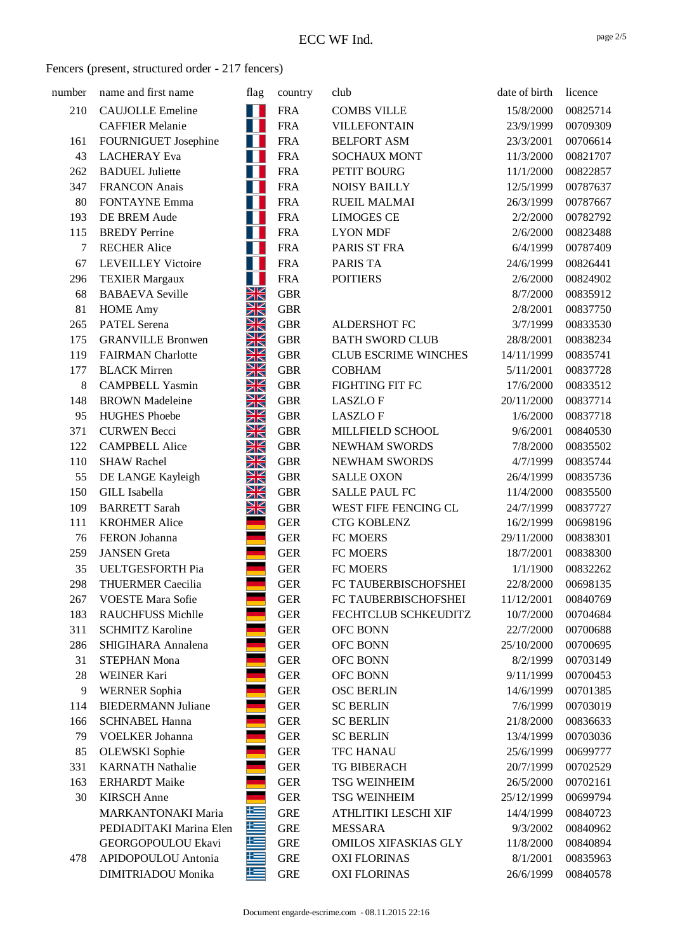| number | name and first name                           | flag           | country                  | club                                          | date of birth         | licence              |
|--------|-----------------------------------------------|----------------|--------------------------|-----------------------------------------------|-----------------------|----------------------|
| 210    | <b>CAUJOLLE Emeline</b>                       | w              | <b>FRA</b>               | <b>COMBS VILLE</b>                            | 15/8/2000             | 00825714             |
|        | <b>CAFFIER Melanie</b>                        | Ш              | <b>FRA</b>               | <b>VILLEFONTAIN</b>                           | 23/9/1999             | 00709309             |
| 161    | FOURNIGUET Josephine                          |                | <b>FRA</b>               | <b>BELFORT ASM</b>                            | 23/3/2001             | 00706614             |
| 43     | <b>LACHERAY</b> Eva                           |                | <b>FRA</b>               | <b>SOCHAUX MONT</b>                           | 11/3/2000             | 00821707             |
| 262    | <b>BADUEL</b> Juliette                        | ш              | <b>FRA</b>               | PETIT BOURG                                   | 11/1/2000             | 00822857             |
| 347    | <b>FRANCON</b> Anais                          | Н              | <b>FRA</b>               | <b>NOISY BAILLY</b>                           | 12/5/1999             | 00787637             |
| 80     | <b>FONTAYNE Emma</b>                          |                | <b>FRA</b>               | <b>RUEIL MALMAI</b>                           | 26/3/1999             | 00787667             |
| 193    | DE BREM Aude                                  |                | <b>FRA</b>               | <b>LIMOGES CE</b>                             | 2/2/2000              | 00782792             |
| 115    | <b>BREDY</b> Perrine                          | Ш              | <b>FRA</b>               | <b>LYON MDF</b>                               | 2/6/2000              | 00823488             |
| 7      | <b>RECHER Alice</b>                           | Н              | <b>FRA</b>               | PARIS ST FRA                                  | 6/4/1999              | 00787409             |
| 67     | <b>LEVEILLEY Victoire</b>                     |                | <b>FRA</b>               | <b>PARIS TA</b>                               | 24/6/1999             | 00826441             |
| 296    | <b>TEXIER Margaux</b>                         |                | <b>FRA</b>               | <b>POITIERS</b>                               | 2/6/2000              | 00824902             |
| 68     | <b>BABAEVA</b> Seville                        | XK             | <b>GBR</b>               |                                               | 8/7/2000              | 00835912             |
| 81     | <b>HOME</b> Amy                               | XK             | <b>GBR</b>               |                                               | 2/8/2001              | 00837750             |
| 265    | <b>PATEL Serena</b>                           | Ж              | <b>GBR</b>               | ALDERSHOT FC                                  | 3/7/1999              | 00833530             |
| 175    | <b>GRANVILLE Bronwen</b>                      | NZ<br>ZN       | <b>GBR</b>               | <b>BATH SWORD CLUB</b>                        | 28/8/2001             | 00838234             |
| 119    | <b>FAIRMAN</b> Charlotte                      | X              | <b>GBR</b>               | <b>CLUB ESCRIME WINCHES</b>                   | 14/11/1999            | 00835741             |
| 177    | <b>BLACK Mirren</b>                           | Ж              | <b>GBR</b>               | <b>COBHAM</b>                                 | 5/11/2001             | 00837728             |
| 8      | <b>CAMPBELL Yasmin</b>                        | $\frac{N}{N}$  | <b>GBR</b>               | FIGHTING FIT FC                               | 17/6/2000             | 00833512             |
| 148    | <b>BROWN</b> Madeleine                        | NZ<br>$\times$ | <b>GBR</b>               | <b>LASZLOF</b>                                | 20/11/2000            | 00837714             |
| 95     | <b>HUGHES Phoebe</b>                          | XK             | <b>GBR</b>               | <b>LASZLOF</b>                                | 1/6/2000              | 00837718             |
| 371    | <b>CURWEN Becci</b>                           | Ж              | <b>GBR</b>               | MILLFIELD SCHOOL                              | 9/6/2001              | 00840530             |
| 122    | <b>CAMPBELL Alice</b>                         | XK             | <b>GBR</b>               | NEWHAM SWORDS                                 | 7/8/2000              | 00835502             |
| 110    | <b>SHAW Rachel</b>                            | NZ<br>$\times$ | <b>GBR</b>               | <b>NEWHAM SWORDS</b>                          | 4/7/1999              | 00835744             |
| 55     | DE LANGE Kayleigh                             | XK             | <b>GBR</b>               | <b>SALLE OXON</b>                             | 26/4/1999             | 00835736             |
| 150    | <b>GILL</b> Isabella                          | XK             | <b>GBR</b>               | <b>SALLE PAUL FC</b>                          | 11/4/2000             | 00835500             |
| 109    | <b>BARRETT</b> Sarah                          | XK             | <b>GBR</b>               | WEST FIFE FENCING CL                          | 24/7/1999             | 00837727             |
| 111    | <b>KROHMER Alice</b>                          |                | <b>GER</b>               | <b>CTG KOBLENZ</b>                            | 16/2/1999             | 00698196             |
| 76     | FERON Johanna                                 |                | <b>GER</b>               | FC MOERS                                      | 29/11/2000            | 00838301             |
| 259    | <b>JANSEN</b> Greta                           |                | <b>GER</b>               | FC MOERS                                      | 18/7/2001             | 00838300             |
| 35     | UELTGESFORTH Pia                              |                | <b>GER</b>               | FC MOERS                                      | 1/1/1900              | 00832262             |
| 298    | <b>THUERMER Caecilia</b>                      |                | <b>GER</b>               | FC TAUBERBISCHOFSHEI                          | 22/8/2000             | 00698135             |
| 267    | <b>VOESTE Mara Sofie</b>                      |                | <b>GER</b>               | FC TAUBERBISCHOFSHEI                          | 11/12/2001            | 00840769             |
| 183    | <b>RAUCHFUSS Michlle</b>                      |                | <b>GER</b>               | FECHTCLUB SCHKEUDITZ                          | 10/7/2000             | 00704684             |
| 311    | <b>SCHMITZ Karoline</b>                       |                | <b>GER</b>               | OFC BONN                                      | 22/7/2000             | 00700688             |
| 286    | SHIGIHARA Annalena                            |                | <b>GER</b>               | OFC BONN                                      | 25/10/2000            | 00700695             |
| 31     | <b>STEPHAN Mona</b>                           |                | <b>GER</b>               | OFC BONN                                      | 8/2/1999              | 00703149             |
| 28     | <b>WEINER Kari</b>                            |                | <b>GER</b>               | OFC BONN                                      | 9/11/1999             | 00700453             |
| 9      | <b>WERNER Sophia</b>                          |                | <b>GER</b>               | <b>OSC BERLIN</b>                             | 14/6/1999             | 00701385             |
| 114    | <b>BIEDERMANN Juliane</b>                     |                | <b>GER</b>               | <b>SC BERLIN</b>                              | 7/6/1999              | 00703019             |
| 166    | <b>SCHNABEL Hanna</b>                         |                | <b>GER</b>               | <b>SC BERLIN</b>                              | 21/8/2000             | 00836633             |
| 79     | <b>VOELKER Johanna</b>                        |                | <b>GER</b>               | <b>SC BERLIN</b>                              | 13/4/1999             | 00703036             |
| 85     | <b>OLEWSKI</b> Sophie                         |                | <b>GER</b>               | <b>TFC HANAU</b>                              | 25/6/1999             | 00699777             |
| 331    | <b>KARNATH Nathalie</b>                       |                | <b>GER</b>               | <b>TG BIBERACH</b>                            | 20/7/1999             | 00702529             |
| 163    | <b>ERHARDT</b> Maike                          |                | ${\tt GER}$              | <b>TSG WEINHEIM</b>                           | 26/5/2000             | 00702161             |
| 30     | <b>KIRSCH</b> Anne                            |                | <b>GER</b>               | <b>TSG WEINHEIM</b>                           | 25/12/1999            | 00699794             |
|        | <b>MARKANTONAKI Maria</b>                     | 些<br>些         | <b>GRE</b>               | ATHLITIKI LESCHI XIF                          | 14/4/1999             | 00840723             |
|        | PEDIADITAKI Marina Elen<br>GEORGOPOULOU Ekavi | 些              | <b>GRE</b>               | <b>MESSARA</b><br><b>OMILOS XIFASKIAS GLY</b> | 9/3/2002              | 00840962             |
|        | APIDOPOULOU Antonia                           | 些              | <b>GRE</b><br><b>GRE</b> | <b>OXI FLORINAS</b>                           | 11/8/2000<br>8/1/2001 | 00840894             |
| 478    | DIMITRIADOU Monika                            |                | <b>GRE</b>               | <b>OXI FLORINAS</b>                           | 26/6/1999             | 00835963<br>00840578 |
|        |                                               | 写              |                          |                                               |                       |                      |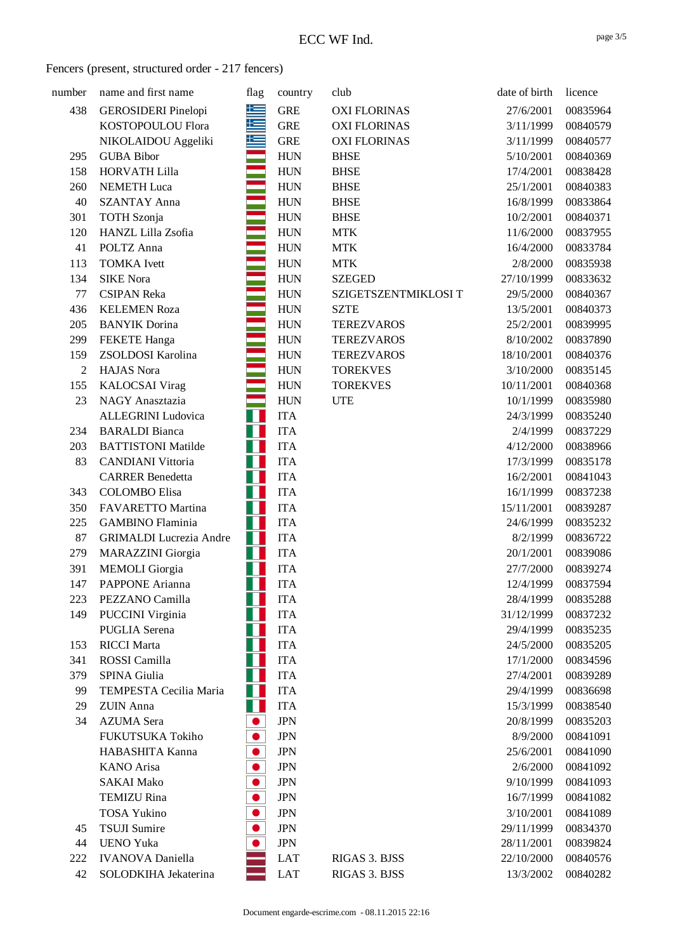| number | name and first name            | flag       | country    | club                 | date of birth | licence  |
|--------|--------------------------------|------------|------------|----------------------|---------------|----------|
| 438    | <b>GEROSIDERI</b> Pinelopi     | <u>is </u> | <b>GRE</b> | <b>OXI FLORINAS</b>  | 27/6/2001     | 00835964 |
|        | KOSTOPOULOU Flora              | ⋐          | <b>GRE</b> | <b>OXI FLORINAS</b>  | 3/11/1999     | 00840579 |
|        | NIKOLAIDOU Aggeliki            |            | <b>GRE</b> | <b>OXI FLORINAS</b>  | 3/11/1999     | 00840577 |
| 295    | <b>GUBA Bibor</b>              |            | <b>HUN</b> | <b>BHSE</b>          | 5/10/2001     | 00840369 |
| 158    | <b>HORVATH Lilla</b>           |            | <b>HUN</b> | <b>BHSE</b>          | 17/4/2001     | 00838428 |
| 260    | <b>NEMETH Luca</b>             |            | <b>HUN</b> | <b>BHSE</b>          | 25/1/2001     | 00840383 |
| 40     | <b>SZANTAY Anna</b>            |            | <b>HUN</b> | <b>BHSE</b>          | 16/8/1999     | 00833864 |
| 301    | <b>TOTH</b> Szonja             |            | <b>HUN</b> | <b>BHSE</b>          | 10/2/2001     | 00840371 |
| 120    | HANZL Lilla Zsofia             |            | <b>HUN</b> | <b>MTK</b>           | 11/6/2000     | 00837955 |
| 41     | POLTZ Anna                     |            | <b>HUN</b> | <b>MTK</b>           | 16/4/2000     | 00833784 |
| 113    | <b>TOMKA</b> Ivett             |            | <b>HUN</b> | <b>MTK</b>           | 2/8/2000      | 00835938 |
| 134    | <b>SIKE Nora</b>               |            | <b>HUN</b> | <b>SZEGED</b>        | 27/10/1999    | 00833632 |
| 77     | <b>CSIPAN Reka</b>             |            | <b>HUN</b> | SZIGETSZENTMIKLOSI T | 29/5/2000     | 00840367 |
| 436    | <b>KELEMEN Roza</b>            |            | <b>HUN</b> | <b>SZTE</b>          | 13/5/2001     | 00840373 |
| 205    | <b>BANYIK</b> Dorina           |            | <b>HUN</b> | <b>TEREZVAROS</b>    | 25/2/2001     | 00839995 |
| 299    | <b>FEKETE</b> Hanga            |            | <b>HUN</b> | <b>TEREZVAROS</b>    | 8/10/2002     | 00837890 |
| 159    | ZSOLDOSI Karolina              |            | <b>HUN</b> | <b>TEREZVAROS</b>    | 18/10/2001    | 00840376 |
| 2      | <b>HAJAS</b> Nora              |            | <b>HUN</b> | <b>TOREKVES</b>      | 3/10/2000     | 00835145 |
| 155    | <b>KALOCSAI</b> Virag          |            | <b>HUN</b> | <b>TOREKVES</b>      | 10/11/2001    | 00840368 |
| 23     | NAGY Anasztazia                |            | <b>HUN</b> | <b>UTE</b>           | 10/1/1999     | 00835980 |
|        | <b>ALLEGRINI</b> Ludovica      | Н          | <b>ITA</b> |                      | 24/3/1999     | 00835240 |
| 234    | <b>BARALDI</b> Bianca          | Н          | <b>ITA</b> |                      | 2/4/1999      | 00837229 |
| 203    | <b>BATTISTONI Matilde</b>      |            | <b>ITA</b> |                      | 4/12/2000     | 00838966 |
| 83     | <b>CANDIANI Vittoria</b>       | Ш          | <b>ITA</b> |                      | 17/3/1999     | 00835178 |
|        | <b>CARRER Benedetta</b>        | Н          | <b>ITA</b> |                      | 16/2/2001     | 00841043 |
| 343    | <b>COLOMBO</b> Elisa           |            | <b>ITA</b> |                      | 16/1/1999     | 00837238 |
| 350    | FAVARETTO Martina              |            | <b>ITA</b> |                      | 15/11/2001    | 00839287 |
| 225    | <b>GAMBINO</b> Flaminia        | Ш          | <b>ITA</b> |                      | 24/6/1999     | 00835232 |
| 87     | <b>GRIMALDI</b> Lucrezia Andre | Ш          | <b>ITA</b> |                      | 8/2/1999      | 00836722 |
| 279    | <b>MARAZZINI</b> Giorgia       | Н          | <b>ITA</b> |                      | 20/1/2001     | 00839086 |
| 391    | <b>MEMOLI</b> Giorgia          |            | <b>ITA</b> |                      | 27/7/2000     | 00839274 |
| 147    | PAPPONE Arianna                | H          | <b>ITA</b> |                      | 12/4/1999     | 00837594 |
| 223    | PEZZANO Camilla                |            | <b>ITA</b> |                      | 28/4/1999     | 00835288 |
| 149    | <b>PUCCINI</b> Virginia        |            | <b>ITA</b> |                      | 31/12/1999    | 00837232 |
|        | <b>PUGLIA</b> Serena           |            | <b>ITA</b> |                      | 29/4/1999     | 00835235 |
| 153    | <b>RICCI</b> Marta             |            | <b>ITA</b> |                      | 24/5/2000     | 00835205 |
| 341    | ROSSI Camilla                  |            | <b>ITA</b> |                      | 17/1/2000     | 00834596 |
| 379    | SPINA Giulia                   |            | <b>ITA</b> |                      | 27/4/2001     | 00839289 |
| 99     | TEMPESTA Cecilia Maria         |            | <b>ITA</b> |                      | 29/4/1999     | 00836698 |
| 29     | <b>ZUIN</b> Anna               | Ш          | <b>ITA</b> |                      | 15/3/1999     | 00838540 |
| 34     | <b>AZUMA</b> Sera              | D          | <b>JPN</b> |                      | 20/8/1999     | 00835203 |
|        | FUKUTSUKA Tokiho               | D          | <b>JPN</b> |                      | 8/9/2000      | 00841091 |
|        | HABASHITA Kanna                | D          | <b>JPN</b> |                      | 25/6/2001     | 00841090 |
|        | <b>KANO</b> Arisa              | $\bullet$  | <b>JPN</b> |                      | 2/6/2000      | 00841092 |
|        | <b>SAKAI Mako</b>              | D          | <b>JPN</b> |                      | 9/10/1999     | 00841093 |
|        | <b>TEMIZU Rina</b>             |            | <b>JPN</b> |                      | 16/7/1999     | 00841082 |
|        | <b>TOSA Yukino</b>             |            | <b>JPN</b> |                      | 3/10/2001     | 00841089 |
| 45     | <b>TSUJI</b> Sumire            |            | <b>JPN</b> |                      | 29/11/1999    | 00834370 |
| 44     | <b>UENO Yuka</b>               |            | <b>JPN</b> |                      | 28/11/2001    | 00839824 |
| 222    | <b>IVANOVA</b> Daniella        |            | <b>LAT</b> | RIGAS 3. BJSS        | 22/10/2000    | 00840576 |
| 42     | SOLODKIHA Jekaterina           |            | <b>LAT</b> | RIGAS 3. BJSS        | 13/3/2002     | 00840282 |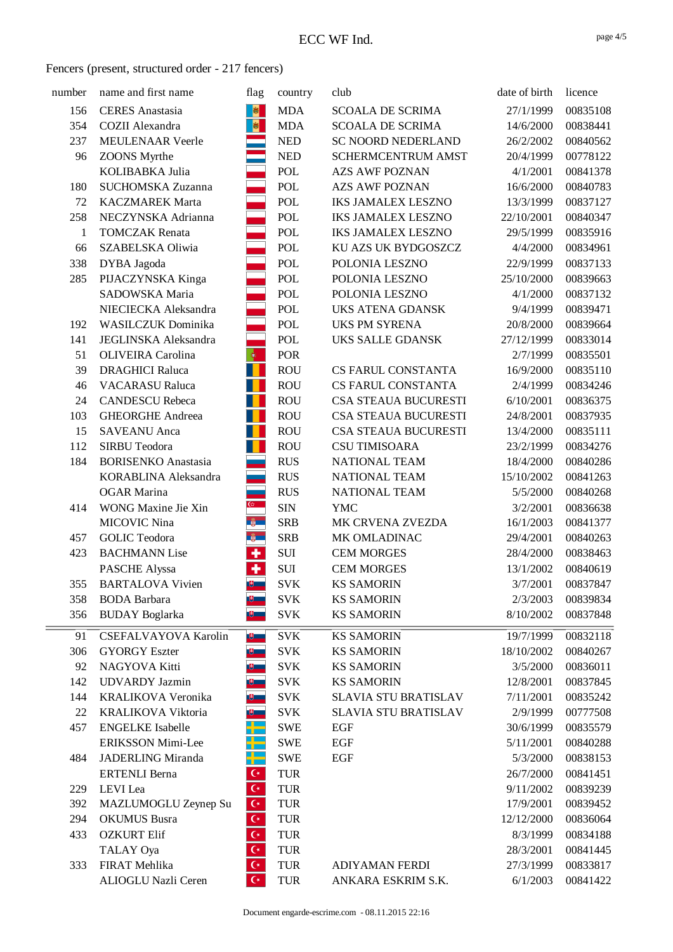| number | name and first name        | flag                      | country    | club                        | date of birth | licence  |
|--------|----------------------------|---------------------------|------------|-----------------------------|---------------|----------|
| 156    | <b>CERES</b> Anastasia     | <b>B</b>                  | <b>MDA</b> | <b>SCOALA DE SCRIMA</b>     | 27/1/1999     | 00835108 |
| 354    | <b>COZII</b> Alexandra     | 图                         | <b>MDA</b> | <b>SCOALA DE SCRIMA</b>     | 14/6/2000     | 00838441 |
| 237    | <b>MEULENAAR Veerle</b>    |                           | <b>NED</b> | <b>SC NOORD NEDERLAND</b>   | 26/2/2002     | 00840562 |
| 96     | <b>ZOONS</b> Myrthe        |                           | <b>NED</b> | SCHERMCENTRUM AMST          | 20/4/1999     | 00778122 |
|        | KOLIBABKA Julia            |                           | <b>POL</b> | <b>AZS AWF POZNAN</b>       | 4/1/2001      | 00841378 |
| 180    | SUCHOMSKA Zuzanna          |                           | POL        | <b>AZS AWF POZNAN</b>       | 16/6/2000     | 00840783 |
| 72     | <b>KACZMAREK Marta</b>     |                           | <b>POL</b> | <b>IKS JAMALEX LESZNO</b>   | 13/3/1999     | 00837127 |
| 258    | NECZYNSKA Adrianna         |                           | <b>POL</b> | <b>IKS JAMALEX LESZNO</b>   | 22/10/2001    | 00840347 |
| 1      | <b>TOMCZAK</b> Renata      |                           | POL        | <b>IKS JAMALEX LESZNO</b>   | 29/5/1999     | 00835916 |
| 66     | SZABELSKA Oliwia           |                           | POL        | KU AZS UK BYDGOSZCZ         | 4/4/2000      | 00834961 |
| 338    | DYBA Jagoda                |                           | <b>POL</b> | POLONIA LESZNO              | 22/9/1999     | 00837133 |
| 285    | PIJACZYNSKA Kinga          |                           | <b>POL</b> | POLONIA LESZNO              | 25/10/2000    | 00839663 |
|        | SADOWSKA Maria             |                           | POL        | POLONIA LESZNO              | 4/1/2000      | 00837132 |
|        | NIECIECKA Aleksandra       |                           | POL        | UKS ATENA GDANSK            | 9/4/1999      | 00839471 |
| 192    | <b>WASILCZUK</b> Dominika  |                           | <b>POL</b> | <b>UKS PM SYRENA</b>        | 20/8/2000     | 00839664 |
| 141    | JEGLINSKA Aleksandra       |                           | <b>POL</b> | UKS SALLE GDANSK            | 27/12/1999    | 00833014 |
| 51     | <b>OLIVEIRA</b> Carolina   | $ \Phi\rangle$            | <b>POR</b> |                             | 2/7/1999      | 00835501 |
| 39     | <b>DRAGHICI Raluca</b>     |                           | <b>ROU</b> | CS FARUL CONSTANTA          | 16/9/2000     | 00835110 |
| 46     | <b>VACARASU Raluca</b>     |                           | <b>ROU</b> | CS FARUL CONSTANTA          | 2/4/1999      | 00834246 |
| 24     | <b>CANDESCU Rebeca</b>     | L                         | <b>ROU</b> | CSA STEAUA BUCURESTI        | 6/10/2001     | 00836375 |
| 103    | <b>GHEORGHE Andreea</b>    | П                         | <b>ROU</b> | CSA STEAUA BUCURESTI        | 24/8/2001     | 00837935 |
| 15     | <b>SAVEANU</b> Anca        | T                         | <b>ROU</b> | CSA STEAUA BUCURESTI        | 13/4/2000     | 00835111 |
| 112    | <b>SIRBU Teodora</b>       | $\blacksquare$            | <b>ROU</b> | <b>CSU TIMISOARA</b>        | 23/2/1999     | 00834276 |
| 184    | <b>BORISENKO</b> Anastasia |                           | <b>RUS</b> | NATIONAL TEAM               | 18/4/2000     | 00840286 |
|        | KORABLINA Aleksandra       |                           | <b>RUS</b> | NATIONAL TEAM               | 15/10/2002    | 00841263 |
|        | <b>OGAR</b> Marina         | $\sim$                    | <b>RUS</b> | NATIONAL TEAM               | 5/5/2000      | 00840268 |
| 414    | WONG Maxine Jie Xin        | $\mathbb{G}$              | <b>SIN</b> | <b>YMC</b>                  | 3/2/2001      | 00836638 |
|        | <b>MICOVIC Nina</b>        | $\frac{2}{9}$             | <b>SRB</b> | MK CRVENA ZVEZDA            | 16/1/2003     | 00841377 |
| 457    | <b>GOLIC Teodora</b>       | $\frac{a}{2}$             | <b>SRB</b> | MK OMLADINAC                | 29/4/2001     | 00840263 |
| 423    | <b>BACHMANN Lise</b>       | $\overline{\textbf{r}}$   | <b>SUI</b> | <b>CEM MORGES</b>           | 28/4/2000     | 00838463 |
|        | <b>PASCHE Alyssa</b>       | ÷                         | <b>SUI</b> | <b>CEM MORGES</b>           | 13/1/2002     | 00840619 |
| 355    | <b>BARTALOVA Vivien</b>    | $\mathbb{B}$ .            | <b>SVK</b> | <b>KS SAMORIN</b>           | 3/7/2001      | 00837847 |
| 358    | <b>BODA</b> Barbara        |                           | <b>SVK</b> | <b>KS SAMORIN</b>           | 2/3/2003      | 00839834 |
| 356    | <b>BUDAY</b> Boglarka      |                           | <b>SVK</b> | <b>KS SAMORIN</b>           | 8/10/2002     | 00837848 |
| 91     | CSEFALVAYOVA Karolin       | $\mathbb{B}$              | <b>SVK</b> | <b>KS SAMORIN</b>           | 19/7/1999     | 00832118 |
| 306    | <b>GYORGY Eszter</b>       |                           | <b>SVK</b> | <b>KS SAMORIN</b>           | 18/10/2002    | 00840267 |
| 92     | NAGYOVA Kitti              |                           | <b>SVK</b> | <b>KS SAMORIN</b>           | 3/5/2000      | 00836011 |
| 142    | <b>UDVARDY</b> Jazmin      |                           | <b>SVK</b> | <b>KS SAMORIN</b>           | 12/8/2001     | 00837845 |
| 144    | KRALIKOVA Veronika         |                           | <b>SVK</b> | <b>SLAVIA STU BRATISLAV</b> | 7/11/2001     | 00835242 |
| 22     | KRALIKOVA Viktoria         |                           | <b>SVK</b> | <b>SLAVIA STU BRATISLAV</b> | 2/9/1999      | 00777508 |
| 457    | <b>ENGELKE</b> Isabelle    |                           | <b>SWE</b> | EGF                         | 30/6/1999     | 00835579 |
|        | ERIKSSON Mimi-Lee          |                           | <b>SWE</b> | <b>EGF</b>                  | 5/11/2001     | 00840288 |
| 484    | JADERLING Miranda          |                           | <b>SWE</b> | EGF                         | 5/3/2000      | 00838153 |
|        | <b>ERTENLI Berna</b>       | $\mathsf{C}^\star$        | <b>TUR</b> |                             | 26/7/2000     | 00841451 |
| 229    | LEVI Lea                   | $\overline{\mathbf{G}^*}$ | <b>TUR</b> |                             | 9/11/2002     | 00839239 |
| 392    | MAZLUMOGLU Zeynep Su       | $\mathsf{C}^\star$        | <b>TUR</b> |                             | 17/9/2001     | 00839452 |
| 294    | <b>OKUMUS</b> Busra        | $\mathsf{C}^\star$        | <b>TUR</b> |                             | 12/12/2000    | 00836064 |
| 433    | <b>OZKURT Elif</b>         | $\mathsf{C}^\star$        | <b>TUR</b> |                             | 8/3/1999      | 00834188 |
|        | TALAY Oya                  | $\overline{G}$            | <b>TUR</b> |                             | 28/3/2001     | 00841445 |
| 333    | FIRAT Mehlika              | $\mathsf{C}^\star$        | <b>TUR</b> | ADIYAMAN FERDI              | 27/3/1999     | 00833817 |
|        | ALIOGLU Nazli Ceren        | $\mathsf{C}^{\star}$      | <b>TUR</b> | ANKARA ESKRIM S.K.          | 6/1/2003      | 00841422 |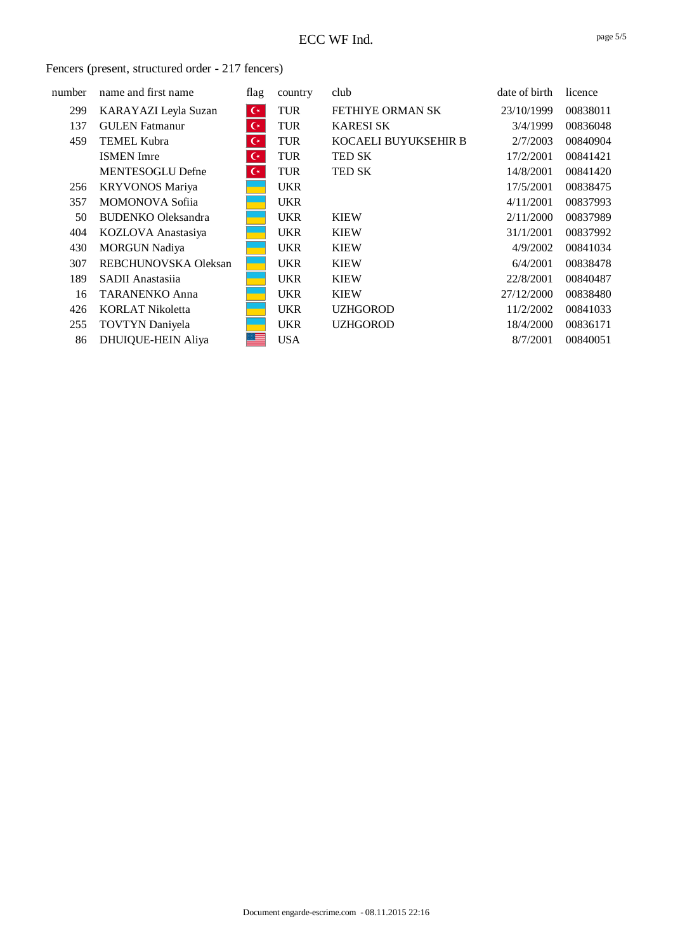| number | name and first name       | flag               | country    | club                    | date of birth | licence  |
|--------|---------------------------|--------------------|------------|-------------------------|---------------|----------|
| 299    | KARAYAZI Leyla Suzan      | $\mathsf{C}^*$     | <b>TUR</b> | <b>FETHIYE ORMAN SK</b> | 23/10/1999    | 00838011 |
| 137    | <b>GULEN</b> Fatmanur     | $\mathsf{C}^\star$ | <b>TUR</b> | <b>KARESI SK</b>        | 3/4/1999      | 00836048 |
| 459    | <b>TEMEL Kubra</b>        | $\mathsf{C}^*$     | <b>TUR</b> | KOCAELI BUYUKSEHIR B    | 2/7/2003      | 00840904 |
|        | <b>ISMEN</b> Imre         | $\mathsf{C}^*$     | <b>TUR</b> | <b>TED SK</b>           | 17/2/2001     | 00841421 |
|        | <b>MENTESOGLU Defne</b>   | $\mathsf{C}^*$     | <b>TUR</b> | TED SK                  | 14/8/2001     | 00841420 |
| 256    | <b>KRYVONOS Mariya</b>    |                    | <b>UKR</b> |                         | 17/5/2001     | 00838475 |
| 357    | <b>MOMONOVA Sofija</b>    |                    | <b>UKR</b> |                         | 4/11/2001     | 00837993 |
| 50     | <b>BUDENKO Oleksandra</b> |                    | <b>UKR</b> | <b>KIEW</b>             | 2/11/2000     | 00837989 |
| 404    | KOZLOVA Anastasiya        |                    | <b>UKR</b> | <b>KIEW</b>             | 31/1/2001     | 00837992 |
| 430    | <b>MORGUN Nadiya</b>      |                    | <b>UKR</b> | <b>KIEW</b>             | 4/9/2002      | 00841034 |
| 307    | REBCHUNOVSKA Oleksan      |                    | <b>UKR</b> | <b>KIEW</b>             | 6/4/2001      | 00838478 |
| 189    | SADII Anastasiia          |                    | <b>UKR</b> | <b>KIEW</b>             | 22/8/2001     | 00840487 |
| 16     | <b>TARANENKO Anna</b>     |                    | <b>UKR</b> | <b>KIEW</b>             | 27/12/2000    | 00838480 |
| 426    | <b>KORLAT Nikoletta</b>   |                    | <b>UKR</b> | <b>UZHGOROD</b>         | 11/2/2002     | 00841033 |
| 255    | <b>TOVTYN</b> Daniyela    |                    | <b>UKR</b> | <b>UZHGOROD</b>         | 18/4/2000     | 00836171 |
| 86     | <b>DHUIQUE-HEIN Aliya</b> |                    | <b>USA</b> |                         | 8/7/2001      | 00840051 |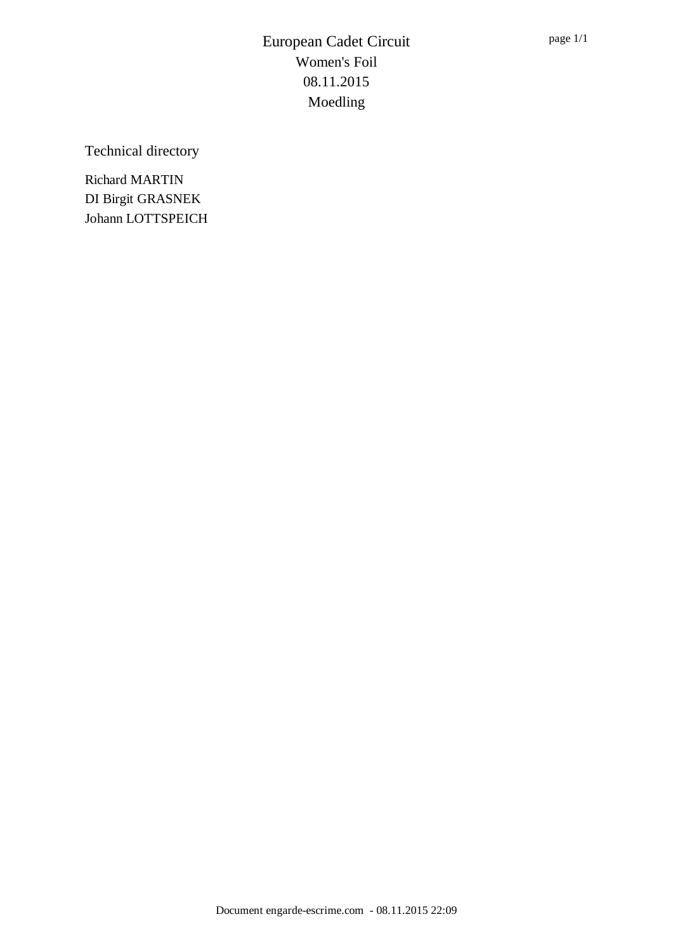Technical directory

Richard MARTIN DI Birgit GRASNEK Johann LOTTSPEICH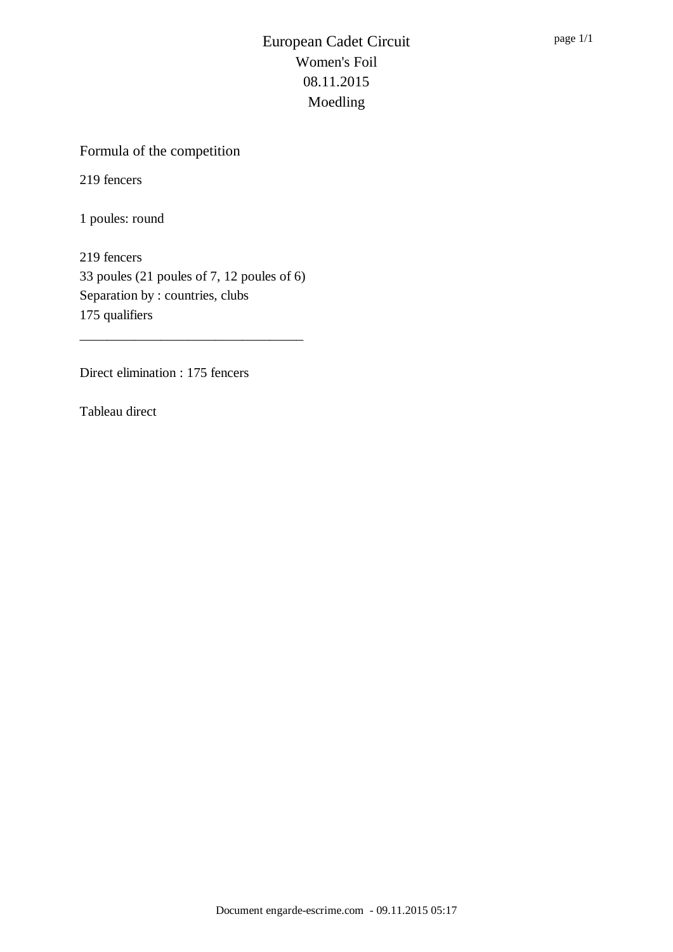## Formula of the competition

219 fencers

1 poules: round

219 fencers 33 poules (21 poules of 7, 12 poules of 6) Separation by : countries, clubs 175 qualifiers

\_\_\_\_\_\_\_\_\_\_\_\_\_\_\_\_\_\_\_\_\_\_\_\_\_\_\_\_\_\_\_\_\_

Direct elimination : 175 fencers

Tableau direct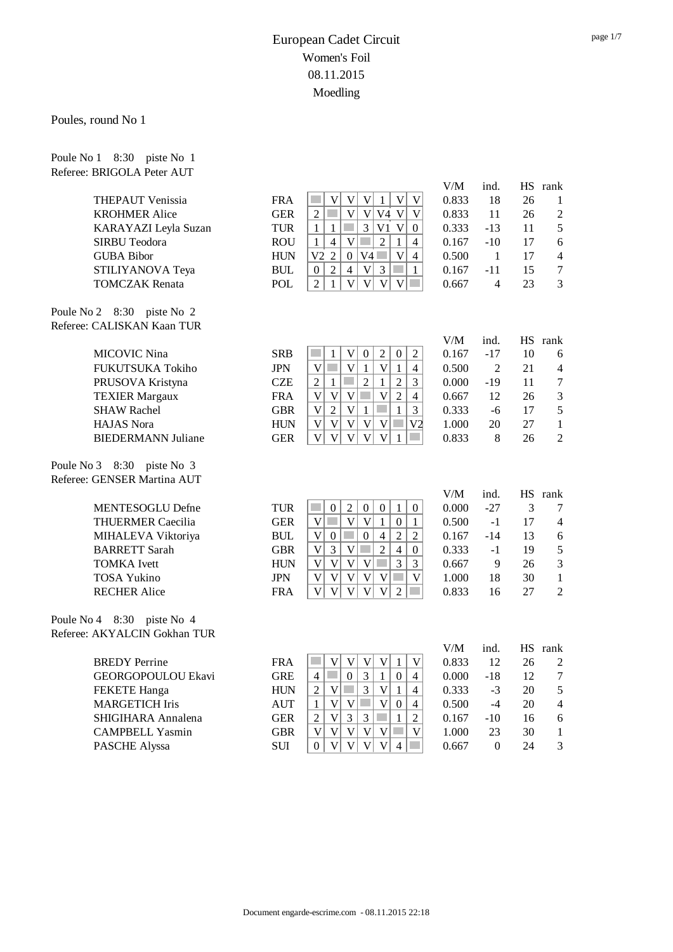#### Poules, round No 1

Poule No 1 8:30 piste No 1

| Referee: BRIGOLA Peter AUT   |            |                                                                                                                                              |       |                |           |                          |
|------------------------------|------------|----------------------------------------------------------------------------------------------------------------------------------------------|-------|----------------|-----------|--------------------------|
|                              |            |                                                                                                                                              | V/M   | ind.           |           | HS rank                  |
| <b>THEPAUT Venissia</b>      | <b>FRA</b> | $\ensuremath{\mathsf{V}}$<br>V<br>$\mathbf{1}$<br>$\mathbf V$<br>V<br>V                                                                      | 0.833 | 18             | 26        | 1                        |
| <b>KROHMER Alice</b>         | <b>GER</b> | $\overline{\mathsf{V}}$<br><b>College</b><br> V <br>V4 V<br>$\overline{2}$<br>V                                                              | 0.833 | 11             | 26        | $\overline{c}$           |
| KARAYAZI Leyla Suzan         | <b>TUR</b> | $\mathfrak{Z}$<br>V1 V<br>$\mathbf{1}$<br>$\mathbf{1}$<br>$\overline{0}$                                                                     | 0.333 | $-13$          | 11        | 5                        |
| SIRBU Teodora                | <b>ROU</b> | $\mathbf V$<br>$\overline{2}$<br>$\mathbf{1}$<br>$\overline{4}$<br>$\overline{4}$<br>$\mathbf{1}$                                            | 0.167 | $-10$          | 17        | $\epsilon$               |
| <b>GUBA Bibor</b>            | <b>HUN</b> | V <sub>2</sub><br>$\overline{\mathsf{V}}$<br>$\overline{2}$<br>V4<br>$\overline{0}$<br>$\overline{4}$                                        | 0.500 | 1              | 17        | $\overline{\mathcal{A}}$ |
| STILIYANOVA Teya             | <b>BUL</b> | $\sqrt{2}$<br>3<br>$\mathcal{L}^{\mathcal{L}}$<br>$\overline{4}$<br>$\mathbf V$<br>$\mathbf{1}$<br>$\boldsymbol{0}$                          | 0.167 | $-11$          | 15        | $\overline{7}$           |
| <b>TOMCZAK</b> Renata        | POL        | $\overline{2}$<br>$\mathbf V$<br>$\mathbf V$<br>$\overline{V}$<br>V<br>1                                                                     | 0.667 | $\overline{4}$ | 23        | 3                        |
| Poule No 2 8:30 piste No 2   |            |                                                                                                                                              |       |                |           |                          |
| Referee: CALISKAN Kaan TUR   |            |                                                                                                                                              |       |                |           |                          |
|                              |            |                                                                                                                                              | V/M   | ind.           | <b>HS</b> | rank                     |
| <b>MICOVIC Nina</b>          | <b>SRB</b> | $\overline{2}$<br>$\mathbf V$<br>$\boldsymbol{0}$<br>$\overline{2}$<br>$\mathbf{1}$<br>$\boldsymbol{0}$                                      | 0.167 | $-17$          | 10        | 6                        |
| FUKUTSUKA Tokiho             | <b>JPN</b> | $\mathbf V$<br>$\mathbf V$<br>V<br>1<br>$\mathbf{1}$<br>$\overline{4}$                                                                       | 0.500 | $\overline{2}$ | 21        | $\overline{\mathcal{A}}$ |
| PRUSOVA Kristyna             | <b>CZE</b> | $\overline{2}$<br>$\overline{2}$<br>$\overline{2}$<br>$\mathbf{1}$<br>3<br>$\mathbf{1}$<br>m.                                                | 0.000 | $-19$          | 11        | 7                        |
| <b>TEXIER Margaux</b>        | <b>FRA</b> | $\mathbf V$<br>$\mathbf V$<br>$\mathcal{L}_{\mathcal{A}}$<br>$\mathbf{V}$<br>$\overline{2}$<br>$\mathbf V$<br>$\overline{4}$                 | 0.667 | 12             | 26        | 3                        |
| <b>SHAW Rachel</b>           | <b>GBR</b> | $\mathbf V$<br>$\mathbf V$<br>$\mathbf{1}$<br>$\overline{2}$<br>$\mathbf{1}$<br>3                                                            | 0.333 | $-6$           | 17        | 5                        |
| <b>HAJAS</b> Nora            | <b>HUN</b> | $\overline{\mathsf{V}}$<br>$\mathbf V$<br>$\mathbf V$<br>V<br>V<br>V <sub>2</sub>                                                            | 1.000 | 20             | 27        | $\mathbf{1}$             |
| <b>BIEDERMANN Juliane</b>    | <b>GER</b> | $\overline{\mathsf{V}}$<br>$\overline{\mathsf{V}}$<br>$\mathbf V$<br>$\mathbf{V}$<br>$\mathbf{V}$<br>1                                       | 0.833 | 8              | 26        | $\overline{2}$           |
| Poule No 3 8:30 piste No 3   |            |                                                                                                                                              |       |                |           |                          |
| Referee: GENSER Martina AUT  |            |                                                                                                                                              |       |                |           |                          |
|                              |            |                                                                                                                                              | V/M   | ind.           |           | HS rank                  |
| <b>MENTESOGLU Defne</b>      | <b>TUR</b> | <b>College</b><br>$\sqrt{2}$<br>$\mathbf{0}$<br>$\mathbf{1}$<br>$\boldsymbol{0}$<br>$\boldsymbol{0}$<br>$\overline{0}$                       | 0.000 | $-27$          | 3         | 7                        |
| <b>THUERMER Caecilia</b>     | <b>GER</b> | $\overline{\mathsf{V}}$<br>$\mathcal{L}_{\mathcal{A}}$<br>$\mathbf V$<br>$\mathbf V$<br>$\mathbf{1}$<br>$\boldsymbol{0}$<br>$\mathbf{1}$     | 0.500 | $-1$           | 17        | $\overline{\mathcal{A}}$ |
| MIHALEVA Viktoriya           | <b>BUL</b> | $\overline{\mathsf{V}}$<br>$\overline{2}$<br>$\boldsymbol{0}$<br>$\overline{4}$<br>$\overline{2}$<br>$\boldsymbol{0}$                        | 0.167 | $-14$          | 13        | 6                        |
| <b>BARRETT Sarah</b>         | <b>GBR</b> | $\overline{\mathsf{V}}$<br>$\mathfrak{Z}$<br>$\sqrt{2}$<br>$\overline{4}$<br>$\mathbf{V}$<br>$\mathcal{L}_{\mathcal{A}}$<br>$\boldsymbol{0}$ | 0.333 | $-1$           | 19        | 5                        |
| <b>TOMKA</b> Ivett           | <b>HUN</b> | $\overline{3}$<br>$\overline{\mathsf{V}}$<br>$\mathbf V$<br>$\mathbf V$<br>$\overline{V}$<br>$\mathcal{L}^{\mathcal{L}}$<br>$\overline{3}$   | 0.667 | 9              | 26        | 3                        |
| <b>TOSA Yukino</b>           | <b>JPN</b> | $\mathbf V$<br>$\mathbf V$<br>$\mathbf V$<br>$\mathbf V$<br>$\mathbf V$<br>$\overline{\mathsf{V}}$                                           | 1.000 | 18             | 30        | $\mathbf{1}$             |
| <b>RECHER Alice</b>          | <b>FRA</b> | $\overline{\mathsf{V}}$<br>$\overline{\mathsf{V}}$<br>$\mathbf{V}$<br>$\overline{V}$<br>$\overline{2}$<br>V                                  | 0.833 | 16             | 27        | $\overline{c}$           |
| Poule No 4 8:30 piste No 4   |            |                                                                                                                                              |       |                |           |                          |
| Referee: AKYALCIN Gokhan TUR |            |                                                                                                                                              |       |                |           |                          |
|                              |            |                                                                                                                                              | V/M   | ind.           |           | HS rank                  |
| <b>BREDY</b> Perrine         | <b>FRA</b> | V<br>V<br>V<br>V<br>V<br>1                                                                                                                   | 0.833 | 12             | 26        | $\overline{c}$           |
| GEORGOPOULOU Ekavi           | <b>GRE</b> | $\overline{3}$<br>$\overline{0}$<br>$\mathbf{1}$<br>$\overline{0}$<br>$\overline{4}$<br>$\overline{4}$                                       | 0.000 | $-18$          | 12        | 7                        |

page 1/7

FEKETE Hanga HUN 2 V 3 V 1 4 0.333 -3 20 5 MARGETICH Iris  $AUT \mid 1 \mid V \mid V \mid 0 \mid 4 \mid 0.500 -4 20 4$ SHIGIHARA Annalena GER  $2 \mid V \mid 3 \mid 3 \mid \blacksquare$  1 | 2 | 0.167 -10 16 6 CAMPBELL Yasmin GBR  $|V|V|V|V|V|W| = 1.000$  23 30 1 PASCHE Alyssa SUI 0 V V V V 4 0.667 0 24 3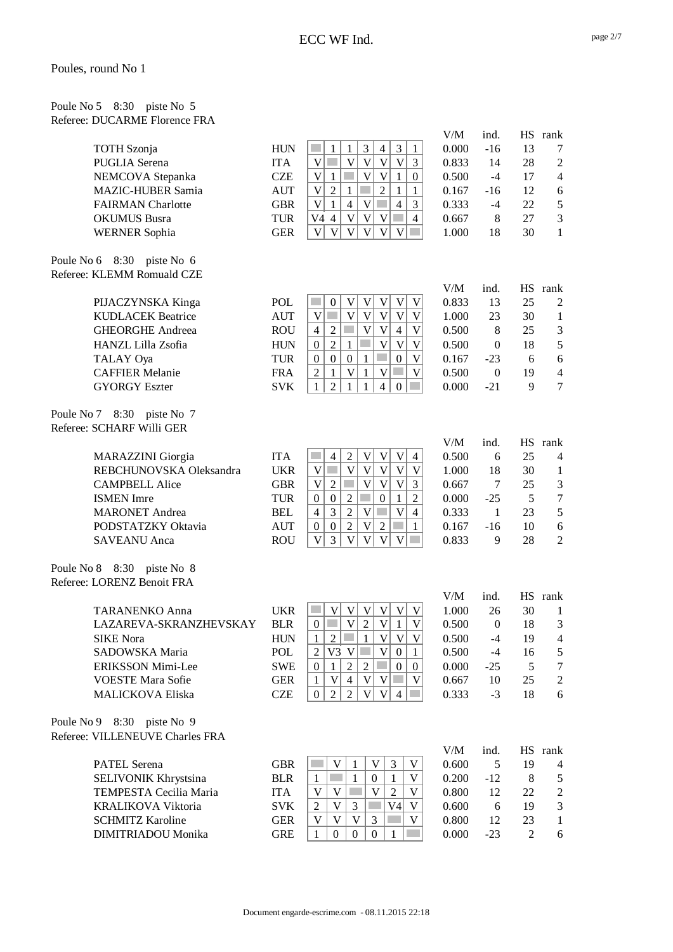| Poule No $5\quad 8:30$ piste No $5$ |                               |
|-------------------------------------|-------------------------------|
|                                     | Referee: DUCARME Florence FRA |

| <b>TOTH</b> Szonja<br><b>PUGLIA</b> Serena<br>NEMCOVA Stepanka<br>MAZIC-HUBER Samia<br><b>FAIRMAN</b> Charlotte<br><b>OKUMUS</b> Busra<br><b>WERNER Sophia</b> | <b>HUN</b><br><b>ITA</b><br><b>CZE</b><br><b>AUT</b><br><b>GBR</b><br><b>TUR</b><br><b>GER</b> | $\mathfrak{Z}$<br>$\mathfrak{Z}$<br>$\mathbf{1}$<br>$\overline{4}$<br>$\mathbf{1}$<br>1<br>$\overline{V}$<br>$\overline{V}$<br>$\ensuremath{\mathsf{V}}$<br>$\mathbf V$<br>$\mathbf V$<br>p.<br>3<br>$\ensuremath{\mathsf{V}}$<br>$\mathbf V$<br>$\boldsymbol{\mathrm{V}}$<br>$\mathbf{1}$<br>$\boldsymbol{0}$<br>$\mathbf{1}$<br>$\overline{2}$<br>$\mathbf{1}$<br>$\overline{2}$<br>$\mathbf V$<br>1<br>1<br>$\overline{4}$<br>$\mathbf V$<br>$\mathbf V$<br>$\overline{4}$<br>3<br>$\mathbf{1}$<br>$\mathbf V$<br>$\ensuremath{\mathbf{V}}$<br>$\ensuremath{\mathsf{V}}$<br>p.<br>$\overline{4}$<br>V4<br>$\overline{4}$<br>$\overline{V}$<br>$\overline{V}$<br>$\mathbf V$<br>$\mathbf V$<br>V<br>V | V/M<br>0.000<br>0.833<br>0.500<br>0.167<br>0.333<br>0.667<br>1.000 | ind.<br>$-16$<br>14<br>$-4$<br>$-16$<br>$-4$<br>8<br>18 | HS<br>13<br>28<br>17<br>12<br>22<br>27<br>30 | rank<br>7<br>$\overline{2}$<br>$\overline{4}$<br>6<br>5<br>$\mathfrak{Z}$<br>1 |
|----------------------------------------------------------------------------------------------------------------------------------------------------------------|------------------------------------------------------------------------------------------------|---------------------------------------------------------------------------------------------------------------------------------------------------------------------------------------------------------------------------------------------------------------------------------------------------------------------------------------------------------------------------------------------------------------------------------------------------------------------------------------------------------------------------------------------------------------------------------------------------------------------------------------------------------------------------------------------------------|--------------------------------------------------------------------|---------------------------------------------------------|----------------------------------------------|--------------------------------------------------------------------------------|
| Poule No 6 8:30 piste No 6<br>Referee: KLEMM Romuald CZE                                                                                                       |                                                                                                |                                                                                                                                                                                                                                                                                                                                                                                                                                                                                                                                                                                                                                                                                                         |                                                                    |                                                         |                                              |                                                                                |
|                                                                                                                                                                |                                                                                                |                                                                                                                                                                                                                                                                                                                                                                                                                                                                                                                                                                                                                                                                                                         | V/M                                                                | ind.                                                    |                                              | HS rank                                                                        |
| PIJACZYNSKA Kinga                                                                                                                                              | POL                                                                                            | <b>Side</b><br>V<br>$\mathbf V$<br>$\mathbf V$<br>$\mathbf V$<br>$\boldsymbol{0}$<br>V                                                                                                                                                                                                                                                                                                                                                                                                                                                                                                                                                                                                                  | 0.833                                                              | 13                                                      | 25                                           | 2                                                                              |
| <b>KUDLACEK Beatrice</b>                                                                                                                                       | <b>AUT</b>                                                                                     | $\mathbf V$<br>$\mathbf V$<br>$\mathbf V$<br>$\mathbf V$<br>$\mathbf V$<br>V                                                                                                                                                                                                                                                                                                                                                                                                                                                                                                                                                                                                                            | 1.000                                                              | 23                                                      | 30                                           | $\mathbf{1}$                                                                   |
| <b>GHEORGHE Andreea</b>                                                                                                                                        | <b>ROU</b>                                                                                     | $\overline{\mathsf{V}}$<br>$\ensuremath{\mathbf{V}}$<br>$\overline{4}$<br>$\overline{2}$<br>$\overline{\mathsf{V}}$<br>$\overline{4}$                                                                                                                                                                                                                                                                                                                                                                                                                                                                                                                                                                   | 0.500                                                              | $\,8\,$                                                 | 25                                           | $\mathfrak{Z}$                                                                 |
| HANZL Lilla Zsofia                                                                                                                                             | <b>HUN</b>                                                                                     | $\sqrt{2}$<br>$\ensuremath{\mathsf{V}}$<br>$\mathbf{1}$<br>$\mathbf V$<br>$\mathbf V$<br>$\boldsymbol{0}$                                                                                                                                                                                                                                                                                                                                                                                                                                                                                                                                                                                               | 0.500                                                              | $\boldsymbol{0}$                                        | 18                                           | 5                                                                              |
| TALAY Oya                                                                                                                                                      | <b>TUR</b>                                                                                     | $\boldsymbol{0}$<br>$\boldsymbol{0}$<br>$\mathbf{1}$<br>$\boldsymbol{0}$<br>V<br>$\boldsymbol{0}$                                                                                                                                                                                                                                                                                                                                                                                                                                                                                                                                                                                                       | 0.167                                                              | $-23$                                                   | 6                                            | 6                                                                              |
| <b>CAFFIER Melanie</b>                                                                                                                                         | <b>FRA</b>                                                                                     | $\overline{2}$<br>$\mathbf{V}$<br>$\mathbf{1}$<br>$\mathbf V$<br>V<br>$\mathbf{1}$                                                                                                                                                                                                                                                                                                                                                                                                                                                                                                                                                                                                                      | 0.500                                                              | $\boldsymbol{0}$                                        | 19                                           | $\overline{4}$                                                                 |
| <b>GYORGY Eszter</b>                                                                                                                                           | <b>SVK</b>                                                                                     | $\overline{2}$<br>$\mathbf{1}$<br>$\mathbf{1}$<br>$\overline{4}$<br>1<br>$\boldsymbol{0}$                                                                                                                                                                                                                                                                                                                                                                                                                                                                                                                                                                                                               | 0.000                                                              | $-21$                                                   | 9                                            | $\tau$                                                                         |
| Poule No 7 8:30 piste No 7<br>Referee: SCHARF Willi GER                                                                                                        |                                                                                                |                                                                                                                                                                                                                                                                                                                                                                                                                                                                                                                                                                                                                                                                                                         |                                                                    |                                                         |                                              |                                                                                |
|                                                                                                                                                                |                                                                                                |                                                                                                                                                                                                                                                                                                                                                                                                                                                                                                                                                                                                                                                                                                         | V/M                                                                | ind.                                                    | <b>HS</b>                                    | rank                                                                           |
| <b>MARAZZINI</b> Giorgia                                                                                                                                       | <b>ITA</b>                                                                                     | $\ensuremath{\mathsf{V}}$<br>$\mathfrak{2}$<br>$\boldsymbol{\mathrm{V}}$<br>$\mathbf V$<br>$\overline{4}$<br>$\overline{4}$                                                                                                                                                                                                                                                                                                                                                                                                                                                                                                                                                                             | 0.500                                                              | 6                                                       | 25                                           | 4                                                                              |
| REBCHUNOVSKA Oleksandra                                                                                                                                        | <b>UKR</b>                                                                                     | $\overline{V}$<br>$\overline{\mathsf{V}}$<br>$\bar{V}$<br>$\ensuremath{\mathbf{V}}$<br>V<br>$\mathbf V$<br>p.                                                                                                                                                                                                                                                                                                                                                                                                                                                                                                                                                                                           | 1.000                                                              | 18                                                      | 30                                           | $\mathbf{1}$                                                                   |
| <b>CAMPBELL Alice</b>                                                                                                                                          | <b>GBR</b>                                                                                     | $\overline{2}$<br>$\ensuremath{\mathbf{V}}$<br>$\mathbf V$<br>$\mathbf V$<br>$\overline{3}$<br>$\mathbf V$                                                                                                                                                                                                                                                                                                                                                                                                                                                                                                                                                                                              | 0.667                                                              | $\tau$                                                  | 25                                           | 3                                                                              |
| <b>ISMEN</b> Imre                                                                                                                                              | <b>TUR</b>                                                                                     | $\overline{2}$<br>$1\,$<br>$\boldsymbol{0}$<br>$\boldsymbol{0}$<br>$\overline{2}$<br>$\boldsymbol{0}$                                                                                                                                                                                                                                                                                                                                                                                                                                                                                                                                                                                                   | 0.000                                                              | $-25$                                                   | 5                                            | $\boldsymbol{7}$                                                               |
| <b>MARONET</b> Andrea                                                                                                                                          | <b>BEL</b>                                                                                     | $\overline{2}$<br>$\mathfrak{Z}$<br>$\mathbf V$<br>$\mathbf V$<br><b>College</b><br>$\overline{4}$<br>$\overline{\mathcal{L}}$                                                                                                                                                                                                                                                                                                                                                                                                                                                                                                                                                                          | 0.333                                                              | $\mathbf{1}$                                            | 23                                           | 5                                                                              |
| PODSTATZKY Oktavia                                                                                                                                             | <b>AUT</b>                                                                                     | $\overline{2}$<br>$\boldsymbol{0}$<br>$\ensuremath{\mathsf{V}}$<br>$\sqrt{2}$<br>$\boldsymbol{0}$<br>$\mathbf{1}$                                                                                                                                                                                                                                                                                                                                                                                                                                                                                                                                                                                       | 0.167                                                              | $-16$                                                   | 10                                           | $\sqrt{6}$                                                                     |
| <b>SAVEANU</b> Anca                                                                                                                                            | <b>ROU</b>                                                                                     | V<br>$\mathbf V$<br>3<br>$\mathbf V$<br>$\mathbf V$<br>V                                                                                                                                                                                                                                                                                                                                                                                                                                                                                                                                                                                                                                                | 0.833                                                              | 9                                                       | 28                                           | $\overline{2}$                                                                 |
| Poule No 8 8:30 piste No 8<br>Referee: LORENZ Benoit FRA                                                                                                       |                                                                                                |                                                                                                                                                                                                                                                                                                                                                                                                                                                                                                                                                                                                                                                                                                         |                                                                    |                                                         |                                              |                                                                                |
|                                                                                                                                                                |                                                                                                |                                                                                                                                                                                                                                                                                                                                                                                                                                                                                                                                                                                                                                                                                                         | V/M                                                                | ind.                                                    |                                              | HS rank                                                                        |
| <b>TARANENKO Anna</b>                                                                                                                                          | <b>UKR</b>                                                                                     | V<br>V<br>V<br>$\mathbf V$<br>V<br>V                                                                                                                                                                                                                                                                                                                                                                                                                                                                                                                                                                                                                                                                    | 1.000                                                              | 26                                                      | 30                                           | 1                                                                              |
| LAZAREVA-SKRANZHEVSKAY                                                                                                                                         | <b>BLR</b>                                                                                     | $\sqrt{2}$<br>$\overline{\mathsf{V}}$<br>$\mathbf V$<br>$\boldsymbol{0}$<br>$\mathbf{1}$<br>V                                                                                                                                                                                                                                                                                                                                                                                                                                                                                                                                                                                                           | 0.500                                                              | $\boldsymbol{0}$                                        | 18                                           | 3                                                                              |
| <b>SIKE</b> Nora<br>SADOWSKA Maria                                                                                                                             | <b>HUN</b><br>POL                                                                              | $\mathbf{1}$<br>$\overline{2}$<br>V<br> V <br>V<br>1<br>V3 V<br>$\mathbf V$<br>$\mathfrak{2}$                                                                                                                                                                                                                                                                                                                                                                                                                                                                                                                                                                                                           | 0.500<br>0.500                                                     | $-4$                                                    | 19                                           | $\overline{\mathcal{L}}$                                                       |
| <b>ERIKSSON Mimi-Lee</b>                                                                                                                                       | <b>SWE</b>                                                                                     | $\mathbf{0}$<br>$\mathbf{1}$<br>$\sqrt{2}$<br>$\overline{2}$<br>$\boldsymbol{0}$<br>$\mathbf{0}$<br>$\mathbf{1}$<br>$\overline{0}$                                                                                                                                                                                                                                                                                                                                                                                                                                                                                                                                                                      | 0.000                                                              | $-4$<br>$-25$                                           | 16<br>5                                      | 5<br>$\tau$                                                                    |
| <b>VOESTE Mara Sofie</b>                                                                                                                                       | <b>GER</b>                                                                                     | $\mathbf V$<br>$\overline{4}$<br>$\ensuremath{\mathsf{V}}$<br>$\mathbf V$<br><b>College</b><br>$\mathbf{1}$<br>V                                                                                                                                                                                                                                                                                                                                                                                                                                                                                                                                                                                        | 0.667                                                              | 10                                                      | 25                                           | $\mathbf{2}$                                                                   |
| <b>MALICKOVA Eliska</b>                                                                                                                                        | <b>CZE</b>                                                                                     | $\overline{2}$<br>$\mathbf{V}$<br>$\overline{0}$<br>$\overline{2}$<br>V<br>$\overline{4}$                                                                                                                                                                                                                                                                                                                                                                                                                                                                                                                                                                                                               | 0.333                                                              | $-3$                                                    | 18                                           | 6                                                                              |
| Poule No 9 8:30 piste No 9<br>Referee: VILLENEUVE Charles FRA                                                                                                  |                                                                                                |                                                                                                                                                                                                                                                                                                                                                                                                                                                                                                                                                                                                                                                                                                         |                                                                    |                                                         |                                              |                                                                                |
|                                                                                                                                                                |                                                                                                |                                                                                                                                                                                                                                                                                                                                                                                                                                                                                                                                                                                                                                                                                                         | V/M                                                                | ind.                                                    |                                              | HS rank                                                                        |
| <b>PATEL Serena</b>                                                                                                                                            | <b>GBR</b>                                                                                     | V<br>V<br>3<br>V<br>1                                                                                                                                                                                                                                                                                                                                                                                                                                                                                                                                                                                                                                                                                   | 0.600                                                              | 5                                                       | 19                                           | 4                                                                              |
| SELIVONIK Khrystsina                                                                                                                                           | <b>BLR</b>                                                                                     | $\mathbf{1}$<br>$\mathbf{0}$<br>V<br>$\mathbf{1}$<br>1                                                                                                                                                                                                                                                                                                                                                                                                                                                                                                                                                                                                                                                  | 0.200                                                              | $-12$                                                   | $8\,$                                        | 5                                                                              |
| TEMPESTA Cecilia Maria                                                                                                                                         | <b>ITA</b>                                                                                     | V<br>V<br>V<br>$\overline{2}$<br>V                                                                                                                                                                                                                                                                                                                                                                                                                                                                                                                                                                                                                                                                      | 0.800                                                              | 12                                                      | 22                                           | $\sqrt{2}$                                                                     |
| <b>KRALIKOVA Viktoria</b>                                                                                                                                      | <b>SVK</b>                                                                                     | V <sub>4</sub><br>$\overline{c}$<br>V<br>3<br>V                                                                                                                                                                                                                                                                                                                                                                                                                                                                                                                                                                                                                                                         | 0.600                                                              | 6                                                       | 19                                           | $\overline{3}$                                                                 |
| <b>SCHMITZ Karoline</b>                                                                                                                                        | <b>GER</b>                                                                                     | 3<br>$\mathbf V$<br>V<br>$\mathbf V$<br>V                                                                                                                                                                                                                                                                                                                                                                                                                                                                                                                                                                                                                                                               | 0.800                                                              | 12                                                      | 23                                           | $\mathbf{1}$                                                                   |
| DIMITRIADOU Monika                                                                                                                                             | <b>GRE</b>                                                                                     | 1<br>$\overline{0}$<br>$\mathbf{0}$<br>1<br>$\overline{0}$                                                                                                                                                                                                                                                                                                                                                                                                                                                                                                                                                                                                                                              | 0.000                                                              | $-23$                                                   | $\overline{2}$                               | 6                                                                              |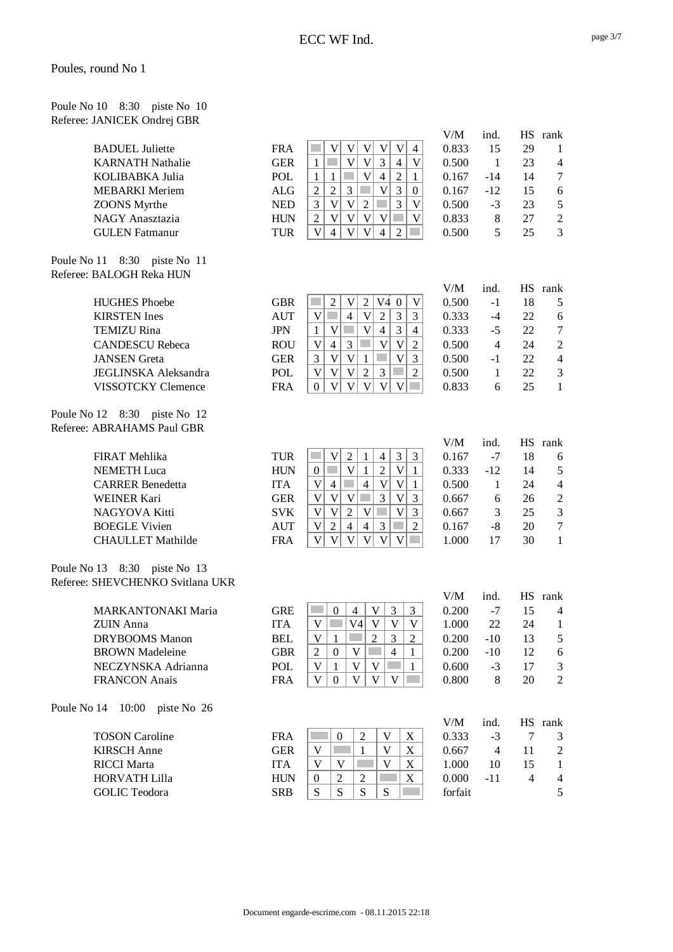| Poule No 10 8:30 piste No 10 |  |  |
|------------------------------|--|--|
| Referee: JANICEK Ondrej GBR  |  |  |

|                                  |            |                                                                                                                                  | V/M     | ind.           |                | HS rank        |
|----------------------------------|------------|----------------------------------------------------------------------------------------------------------------------------------|---------|----------------|----------------|----------------|
| <b>BADUEL Juliette</b>           | <b>FRA</b> | $\mathbf V$<br>$\mathbf V$<br>V<br>$\overline{4}$<br>$\mathbf V$<br>V                                                            | 0.833   | 15             | 29             | 1              |
| <b>KARNATH Nathalie</b>          | <b>GER</b> | $\overline{V}$<br>$\overline{\mathsf{V}}$<br>3<br>$\overline{\mathsf{V}}$<br>u.<br>$\overline{4}$<br>1                           | 0.500   | $\mathbf{1}$   | 23             | $\overline{4}$ |
| KOLIBABKA Julia                  | POL        | $\overline{V}$<br>$\overline{2}$<br>$\overline{4}$<br>$\mathbf{1}$<br>$\mathbf{1}$<br>$\mathbf{1}$                               | 0.167   | $-14$          | 14             | $\tau$         |
| <b>MEBARKI</b> Meriem            | ALG        | $\sqrt{2}$<br>3<br>3<br>$\overline{c}$<br>V<br>$\boldsymbol{0}$                                                                  | 0.167   | $-12$          | 15             | 6              |
| <b>ZOONS</b> Myrthe              | <b>NED</b> | 3<br>$\overline{V}$<br>$\mathbf V$<br>$\sqrt{2}$<br>$\overline{\mathsf{V}}$<br>3                                                 | 0.500   | $-3$           | 23             | $\mathfrak s$  |
| NAGY Anasztazia                  | <b>HUN</b> | $\overline{V}$<br>$\overline{\mathsf{V}}$<br>$\mathbf V$<br>$\mathbf{V}$<br>T.<br>$\overline{\mathsf{V}}$<br>$\overline{2}$      | 0.833   | $8\,$          | 27             | $\overline{c}$ |
| <b>GULEN</b> Fatmanur            | <b>TUR</b> | $\mathbf V$<br>$\mathbf V$<br>$\overline{4}$<br>$\mathbf V$<br>$\overline{4}$<br>$\overline{2}$                                  | 0.500   | 5              | 25             | 3              |
| Poule No 11 8:30 piste No 11     |            |                                                                                                                                  |         |                |                |                |
| Referee: BALOGH Reka HUN         |            |                                                                                                                                  |         |                |                |                |
|                                  |            |                                                                                                                                  | V/M     | ind.           |                | HS rank        |
| <b>HUGHES Phoebe</b>             | <b>GBR</b> | $\sqrt{2}$<br>V4 0<br>$\mathfrak{2}$<br>V<br>V                                                                                   | 0.500   | $-1$           | 18             | 5              |
| <b>KIRSTEN</b> Ines              | <b>AUT</b> | $\mathbf V$<br>$\sqrt{2}$<br>$\mathfrak{Z}$<br>V<br>$\overline{4}$<br>3                                                          | 0.333   | $-4$           | 22             | 6              |
| <b>TEMIZU Rina</b>               | <b>JPN</b> | $\overline{V}$<br>$\mathfrak{Z}$<br>$\mathbf V$<br>$\overline{4}$<br>$\overline{4}$<br>$\mathbf{1}$                              | 0.333   | $-5$           | 22             | $\tau$         |
| <b>CANDESCU Rebeca</b>           | <b>ROU</b> | $\mathfrak{Z}$<br>$\mathbf V$<br>$\mathbf{2}$<br>V<br>$\overline{4}$<br>V                                                        | 0.500   | $\overline{4}$ | 24             | $\overline{2}$ |
| <b>JANSEN</b> Greta              | <b>GER</b> | $\mathbf V$<br>3<br>$\overline{\mathsf{V}}$<br>V<br>3<br>$\mathbf{1}$                                                            | 0.500   | $-1$           | 22             | $\overline{4}$ |
| JEGLINSKA Aleksandra             | POL        | $\sqrt{2}$<br>$\ensuremath{\mathsf{V}}$<br>3<br>$\overline{c}$<br>$\mathbf V$<br>V                                               | 0.500   | 1              | 22             | $\mathfrak{Z}$ |
| VISSOTCKY Clemence               | <b>FRA</b> | $\overline{V}$<br>$\mathbf{V}$<br>$\mathbf V$<br>$\mathbf V$<br>V<br>$\overline{0}$                                              | 0.833   | 6              | 25             | $\mathbf{1}$   |
| Poule No 12 8:30 piste No 12     |            |                                                                                                                                  |         |                |                |                |
| Referee: ABRAHAMS Paul GBR       |            |                                                                                                                                  |         |                |                |                |
|                                  |            |                                                                                                                                  | V/M     | ind.           |                | HS rank        |
| FIRAT Mehlika                    | <b>TUR</b> | $\mathfrak{Z}$<br>3<br>$\mathfrak 2$<br>V<br>$\mathbf{1}$<br>$\overline{4}$                                                      | 0.167   | $-7$           | 18             | 6              |
| <b>NEMETH Luca</b>               | <b>HUN</b> | $\mathcal{C}^{\mathcal{A}}$<br>$\mathbf V$<br>$\overline{2}$<br>$\mathbf{V}$<br>$\boldsymbol{0}$<br>$\mathbf{1}$<br>$\mathbf{1}$ | 0.333   | $-12$          | 14             | 5              |
| <b>CARRER Benedetta</b>          | <b>ITA</b> | $\overline{4}$<br>V<br>$\ensuremath{\mathsf{V}}$<br>$\overline{4}$<br>$\mathbf V$<br>$\mathbf{1}$                                | 0.500   | $\mathbf{1}$   | 24             | $\overline{4}$ |
| <b>WEINER Kari</b>               | <b>GER</b> | $\mathbf V$<br>$\mathbf V$<br>3<br>V<br>3<br>$\mathbf V$                                                                         | 0.667   | 6              | 26             | $\overline{c}$ |
| NAGYOVA Kitti                    | <b>SVK</b> | $\mathbf V$<br>$\mathbf V$<br>$\sqrt{2}$<br>$\mathbf V$<br>V<br>3                                                                | 0.667   | 3              | 25             | $\mathfrak{Z}$ |
| <b>BOEGLE Vivien</b>             | <b>AUT</b> | $\overline{2}$<br>$\mathbf V$<br>$\overline{2}$<br>$\overline{4}$<br>$\overline{4}$<br>$\mathfrak{Z}$                            | 0.167   | $-8$           | 20             | $\tau$         |
| <b>CHAULLET</b> Mathilde         | <b>FRA</b> | $\overline{\mathsf{V}}$<br>$\mathbf V$<br>V<br>$\mathbf V$<br>$\mathbf V$<br>V                                                   | 1.000   | 17             | 30             | $\mathbf{1}$   |
| Poule No 13 8:30 piste No 13     |            |                                                                                                                                  |         |                |                |                |
| Referee: SHEVCHENKO Svitlana UKR |            |                                                                                                                                  |         |                |                |                |
|                                  |            |                                                                                                                                  | V/M     | ind.           |                | HS rank        |
| <b>MARKANTONAKI Maria</b>        | <b>GRE</b> | V<br>3<br>3<br>$\theta$<br>$\overline{4}$                                                                                        | 0.200   | $-7$           | 15             | 4              |
| <b>ZUIN</b> Anna                 | <b>ITA</b> | $\overline{V}$<br>V<br>V <sub>4</sub><br>V<br>V                                                                                  | 1.000   | 22             | 24             | $\mathbf{1}$   |
| <b>DRYBOOMS</b> Manon            | <b>BEL</b> | $\overline{c}$<br>3<br>$\mathbf{2}$<br>V<br>1                                                                                    | 0.200   | $-10$          | 13             | 5              |
| <b>BROWN</b> Madeleine           | <b>GBR</b> | V<br>$\sqrt{2}$<br>$\boldsymbol{0}$<br>$\overline{4}$<br>$\mathbf{1}$                                                            | 0.200   | $-10$          | 12             | 6              |
| NECZYNSKA Adrianna               | POL        | $\mathbf V$<br>V<br>$\mathbf V$<br>$\mathbf{1}$<br>$\mathbf{1}$                                                                  | 0.600   | $-3$           | 17             | 3              |
| <b>FRANCON</b> Anais             | <b>FRA</b> | V<br>V<br>V<br>V<br>$\mathbf{0}$<br><b>Contract</b>                                                                              | 0.800   | 8              | 20             | $\overline{c}$ |
| Poule No 14 10:00 piste No 26    |            |                                                                                                                                  |         |                |                |                |
|                                  |            |                                                                                                                                  | V/M     | ind.           |                | HS rank        |
| <b>TOSON Caroline</b>            | <b>FRA</b> | $\overline{c}$<br>V<br>$\boldsymbol{0}$<br>X                                                                                     | 0.333   | $-3$           | 7              | 3              |
| <b>KIRSCH</b> Anne               | <b>GER</b> | V<br>V<br>1<br>X                                                                                                                 | 0.667   | $\overline{4}$ | 11             | $\overline{c}$ |
| <b>RICCI</b> Marta               | <b>ITA</b> | V<br>V<br>V<br>X                                                                                                                 | 1.000   | 10             | 15             | 1              |
| <b>HORVATH Lilla</b>             | <b>HUN</b> | X<br>$\boldsymbol{0}$<br>2<br>2                                                                                                  | 0.000   | $-11$          | $\overline{4}$ | 4              |
| <b>GOLIC Teodora</b>             | <b>SRB</b> | S<br>S<br>S<br>S                                                                                                                 | forfait |                |                | 5              |
|                                  |            |                                                                                                                                  |         |                |                |                |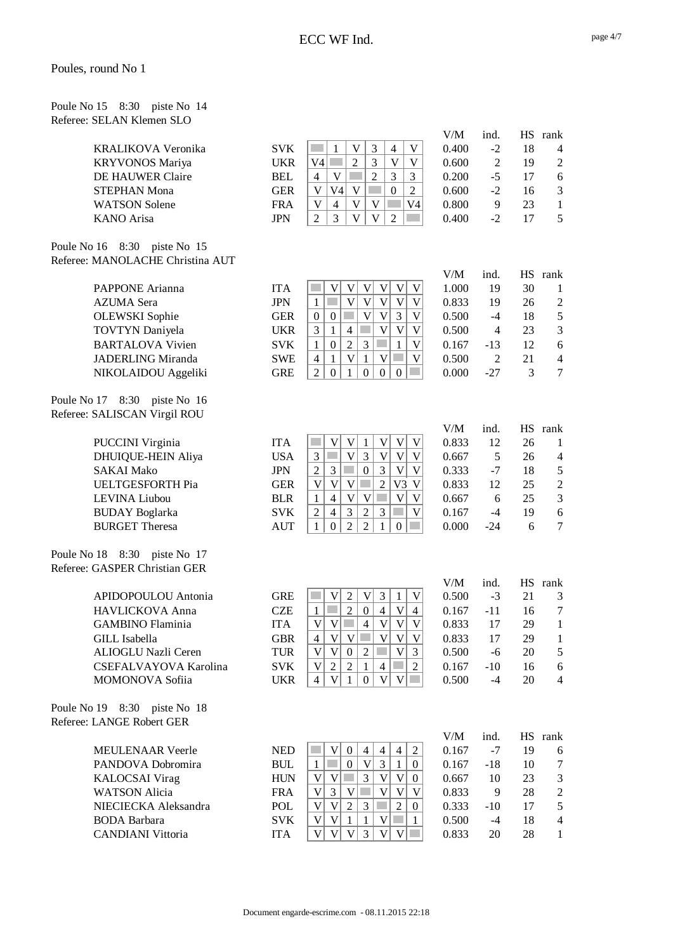Poule No 15 8:30 piste No 14 Referee: SELAN Klemen SLO

|                                  |            |                                                                                                                               | V/M   | ind.           |    | HS rank                  |
|----------------------------------|------------|-------------------------------------------------------------------------------------------------------------------------------|-------|----------------|----|--------------------------|
| <b>KRALIKOVA Veronika</b>        | <b>SVK</b> | $\mathfrak{Z}$<br>$\mathbf V$<br>V<br>$\overline{4}$<br>1                                                                     | 0.400 | $-2$           | 18 | $\overline{\mathcal{A}}$ |
| <b>KRYVONOS Mariya</b>           | <b>UKR</b> | 3<br>V <sub>4</sub><br>$\overline{2}$<br>$\mathbf V$<br>V                                                                     | 0.600 | $\mathfrak{2}$ | 19 | $\overline{c}$           |
| DE HAUWER Claire                 | <b>BEL</b> | $\overline{2}$<br>3<br>V<br>3<br>$\overline{4}$                                                                               | 0.200 | $-5$           | 17 | 6                        |
| <b>STEPHAN Mona</b>              | <b>GER</b> | $\mathbf{V}$<br>V<br>V <sub>4</sub><br>$\boldsymbol{0}$<br>$\overline{2}$                                                     | 0.600 | $-2$           | 16 | $\mathfrak 3$            |
| <b>WATSON</b> Solene             | <b>FRA</b> | $\overline{\mathsf{V}}$<br>$\mathbf V$<br>$\mathbf V$<br>$\overline{4}$<br>V <sub>4</sub>                                     | 0.800 | 9              | 23 | $\mathbf{1}$             |
| <b>KANO</b> Arisa                | <b>JPN</b> | 3<br>$\overline{2}$<br>$\mathbf V$<br>$\mathbf V$<br>$\overline{2}$                                                           | 0.400 | $-2$           | 17 | 5                        |
|                                  |            |                                                                                                                               |       |                |    |                          |
| Poule No 16 8:30 piste No 15     |            |                                                                                                                               |       |                |    |                          |
| Referee: MANOLACHE Christina AUT |            |                                                                                                                               |       |                |    |                          |
|                                  |            |                                                                                                                               | V/M   | ind.           | HS | rank                     |
| PAPPONE Arianna                  | <b>ITA</b> | $\mathbf V$<br>V<br>V<br>V<br>V<br>V                                                                                          | 1.000 | 19             | 30 | 1                        |
| <b>AZUMA</b> Sera                | <b>JPN</b> | $\overline{\mathsf{V}}$<br>$\overline{\mathsf{V}}$<br>$\mathbf V$<br>$\mathbf V$<br>$\overline{\mathsf{V}}$<br>$\mathbf{1}$   | 0.833 | 19             | 26 | $\sqrt{2}$               |
| <b>OLEWSKI</b> Sophie            | <b>GER</b> | $\ensuremath{\mathsf{V}}$<br>$\mathbf V$<br>$\mathfrak{Z}$<br>$\overline{\mathsf{V}}$<br>$\boldsymbol{0}$<br>$\boldsymbol{0}$ | 0.500 | $-4$           | 18 | 5                        |
| <b>TOVTYN</b> Daniyela           | <b>UKR</b> | 3<br>$\overline{4}$<br>$\mathbf{V}$<br>$\mathbf{1}$<br>$\mathbf V$<br>V                                                       | 0.500 | $\overline{4}$ | 23 | 3                        |
| <b>BARTALOVA Vivien</b>          | <b>SVK</b> | 3<br>$\boldsymbol{0}$<br>$\overline{2}$<br>T.<br>$\overline{\mathsf{V}}$<br>$\mathbf{1}$<br>$\mathbf{1}$                      | 0.167 | $-13$          | 12 | 6                        |
| <b>JADERLING Miranda</b>         | <b>SWE</b> | $\overline{\mathsf{V}}$<br>$\overline{4}$<br>$\mathbf{V}$<br><b>Side</b><br>$\overline{\mathsf{V}}$<br>$\mathbf{1}$<br>1      | 0.500 | $\overline{2}$ | 21 | $\overline{4}$           |
| NIKOLAIDOU Aggeliki              | <b>GRE</b> | $\overline{2}$<br>$\boldsymbol{0}$<br>$\mathbf{0}$<br>$\mathbf{0}$<br>$\mathbf{1}$<br>$\boldsymbol{0}$                        | 0.000 | $-27$          | 3  | $\overline{7}$           |
|                                  |            |                                                                                                                               |       |                |    |                          |
| Poule No 17 8:30 piste No 16     |            |                                                                                                                               |       |                |    |                          |
| Referee: SALISCAN Virgil ROU     |            |                                                                                                                               |       |                |    |                          |
|                                  |            |                                                                                                                               | V/M   | ind.           |    | HS rank                  |
| <b>PUCCINI Virginia</b>          | <b>ITA</b> | V<br>$\mathbf V$<br>$\mathbf V$<br>$\mathbf V$<br>$\mathbf V$<br>1                                                            | 0.833 | 12             | 26 | $\mathbf{1}$             |
| DHUIQUE-HEIN Aliya               | <b>USA</b> | $\mathcal{C}^{\mathcal{A}}$<br>$\mathbf V$<br>$\mathfrak{Z}$<br>3<br>$\mathbf V$<br>$\ensuremath{\mathsf{V}}$<br>V            | 0.667 | 5              | 26 | $\overline{4}$           |
| <b>SAKAI Mako</b>                | <b>JPN</b> | $\overline{3}$<br>$\overline{2}$<br>3<br>$\boldsymbol{0}$<br>$\overline{V}$<br>$\overline{V}$                                 | 0.333 | $-7$           | 18 | $\mathfrak s$            |
| <b>UELTGESFORTH Pia</b>          | <b>GER</b> | $\sqrt{2}$<br>$\mathbf V$<br>$\ensuremath{\mathsf{V}}$<br>V3<br>V<br>V                                                        | 0.833 | 12             | 25 | $\sqrt{2}$               |
| LEVINA Liubou                    | <b>BLR</b> | $\overline{\mathsf{V}}$<br>$\mathbf V$<br>$\overline{4}$<br>$\mathbf{V}$<br>$\mathbf V$<br>$\mathbf{1}$                       | 0.667 | 6              | 25 | $\mathfrak{Z}$           |
| <b>BUDAY</b> Boglarka            | <b>SVK</b> | $\mathfrak{Z}$<br>$\sqrt{2}$<br>$\overline{4}$<br>$\sqrt{2}$<br>$\mathfrak{Z}$<br>$\overline{\mathsf{V}}$                     | 0.167 | $-4$           | 19 | 6                        |
| <b>BURGET Theresa</b>            | <b>AUT</b> | $\overline{2}$<br>$\overline{2}$<br>$\mathbf{1}$<br>$\mathbf{1}$<br>$\boldsymbol{0}$<br>$\mathbf{0}$                          | 0.000 | $-24$          | 6  | $\overline{7}$           |
| Poule No 18 8:30 piste No 17     |            |                                                                                                                               |       |                |    |                          |
| Referee: GASPER Christian GER    |            |                                                                                                                               |       |                |    |                          |
|                                  |            |                                                                                                                               | V/M   | ind.           | HS | rank                     |
| APIDOPOULOU Antonia              | <b>GRE</b> | $\mathbf V$<br>$\ensuremath{\mathsf{V}}$<br>$\mathfrak{Z}$<br>$\overline{2}$<br>$\mathbf V$<br>$\mathbf{1}$                   | 0.500 | $-3$           | 21 | 3                        |
| HAVLICKOVA Anna                  | <b>CZE</b> | $\overline{2}$<br>$\mathbf{1}$<br>×.<br>$\boldsymbol{0}$<br>$\overline{4}$<br>$\mathbf V$<br>$\overline{4}$                   | 0.167 | $-11$          | 16 | $\tau$                   |
| <b>GAMBINO Flaminia</b>          | <b>ITA</b> | $\overline{\mathsf{V}}$<br>$\overline{V}$<br>$\overline{V}$<br>$\overline{V}$<br>$\overline{4}$<br>$\mathbf{V}$               | 0.833 | 17             | 29 | $\mathbf{1}$             |
| <b>GILL</b> Isabella             | <b>GBR</b> | $\overline{4}$<br>V<br> V <br>V<br>V<br>V                                                                                     | 0.833 | 17             | 29 | $\mathbf{1}$             |
| ALIOGLU Nazli Ceren              | <b>TUR</b> | $\mathbf V$<br>$\mathbf V$<br>$\overline{2}$<br>3<br> V <br>$\boldsymbol{0}$<br>m.                                            | 0.500 | $-6$           | 20 | 5                        |
| CSEFALVAYOVA Karolina            | <b>SVK</b> | $\overline{2}$<br>$\sqrt{2}$<br>V<br>$\mathbf{1}$<br>$\overline{4}$<br>$\sqrt{2}$                                             | 0.167 | $-10$          | 16 | 6                        |
| MOMONOVA Sofiia                  | <b>UKR</b> | $\mathbf V$<br>$\mathbf V$<br>$V$ $\Box$<br>$\overline{4}$<br>$\mathbf{1}$<br>$\overline{0}$                                  | 0.500 | $-4$           | 20 | $\overline{4}$           |
|                                  |            |                                                                                                                               |       |                |    |                          |
| Poule No 19 8:30 piste No 18     |            |                                                                                                                               |       |                |    |                          |
| Referee: LANGE Robert GER        |            |                                                                                                                               |       |                |    |                          |
|                                  |            |                                                                                                                               | V/M   | ind.           |    | HS rank                  |
| <b>MEULENAAR Veerle</b>          | <b>NED</b> | $\mathfrak 2$<br>V<br>$\boldsymbol{0}$<br>$\overline{4}$<br>$\overline{4}$<br>4                                               | 0.167 | $-7$           | 19 | 6                        |
| PANDOVA Dobromira                | <b>BUL</b> | $\mathbf V$<br>3<br>$\mathbf{1}$<br>a a<br>$\overline{0}$<br>$\mathbf{1}$<br>$\overline{0}$                                   | 0.167 | $-18$          | 10 | 7                        |
| <b>KALOCSAI</b> Virag            | <b>HUN</b> | $\mathbf V$<br>3<br>$\mathbf V$<br>V<br>V<br>0                                                                                | 0.667 | 10             | 23 | $\mathfrak{Z}$           |
| <b>WATSON Alicia</b>             | <b>FRA</b> | V<br>V<br>V<br>3<br>V<br>V                                                                                                    | 0.833 | 9              | 28 | $\overline{c}$           |
| NIECIECKA Aleksandra             | POL        | V<br>$\ensuremath{\mathsf{V}}$<br>$\overline{2}$<br>$\mathfrak{Z}$<br>×.<br>$\overline{2}$<br>$\overline{0}$                  | 0.333 | $-10$          | 17 | 5                        |
| <b>BODA</b> Barbara              | <b>SVK</b> | $\mathbf V$<br>$\mathbf V$<br>$\mathbf{1}$<br>$\mathbf{1}$<br>V<br>1                                                          | 0.500 | $-4$           | 18 | $\overline{4}$           |
| <b>CANDIANI</b> Vittoria         | <b>ITA</b> | $\mathbf V$<br>$\mathbf V$<br>3<br>V<br>$\mathbf V$<br>V                                                                      | 0.833 | 20             | 28 | $\mathbf{1}$             |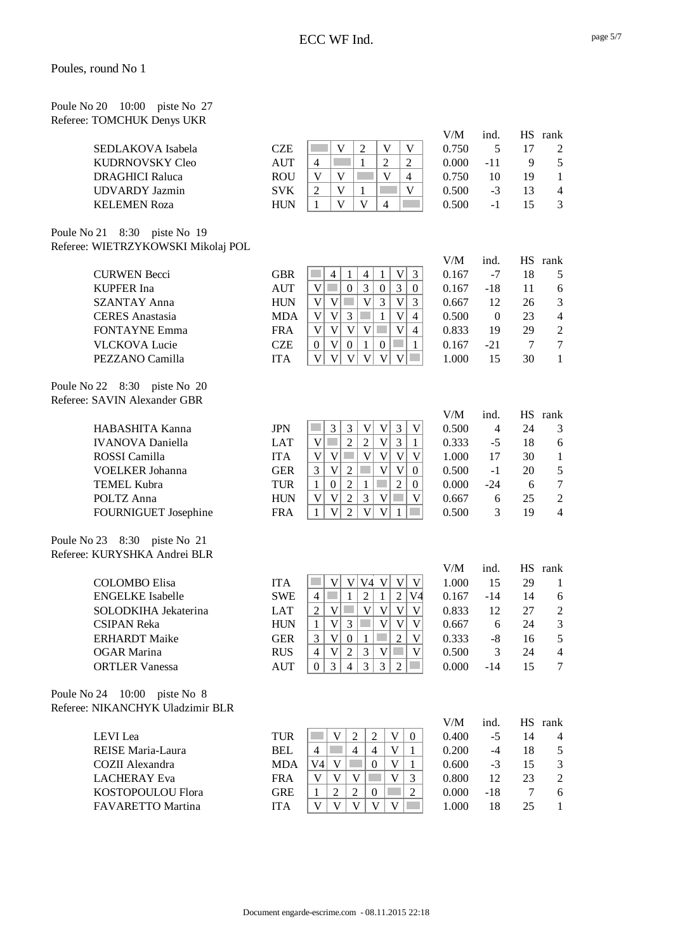| Poule No 20 10:00 piste No 27 |  |  |
|-------------------------------|--|--|
| Referee: TOMCHUK Denys UKR    |  |  |

|                                    |             |                                                                                                                                 | V/M   | ind.             |        | HS rank        |
|------------------------------------|-------------|---------------------------------------------------------------------------------------------------------------------------------|-------|------------------|--------|----------------|
| SEDLAKOVA Isabela                  | <b>CZE</b>  | $\overline{2}$<br>V<br>V<br>V                                                                                                   | 0.750 | 5                | 17     | $\mathfrak{2}$ |
| <b>KUDRNOVSKY Cleo</b>             | <b>AUT</b>  | $\overline{2}$<br>$\mathbf{1}$<br>$\overline{2}$<br>$\overline{4}$                                                              | 0.000 | $-11$            | 9      | 5              |
| <b>DRAGHICI Raluca</b>             | <b>ROU</b>  | $\mathbf V$<br>$\mathbf V$<br>V<br>$\overline{4}$                                                                               | 0.750 | 10               | 19     | $\mathbf{1}$   |
| <b>UDVARDY</b> Jazmin              | <b>SVK</b>  | $\mathbf V$<br>$\mathbf{1}$<br>$\mathbf V$<br>$\mathfrak{2}$                                                                    | 0.500 | $-3$             | 13     | $\overline{4}$ |
| <b>KELEMEN Roza</b>                | <b>HUN</b>  | $\mathbf{V}$<br>$\overline{\mathsf{V}}$<br>$\mathbf{1}$<br>$\overline{4}$                                                       | 0.500 | $-1$             | 15     | 3              |
|                                    |             |                                                                                                                                 |       |                  |        |                |
| Poule No 21 8:30 piste No 19       |             |                                                                                                                                 |       |                  |        |                |
| Referee: WIETRZYKOWSKI Mikolaj POL |             |                                                                                                                                 |       |                  |        |                |
|                                    |             |                                                                                                                                 | V/M   | ind.             |        | HS rank        |
| <b>CURWEN Becci</b>                | <b>GBR</b>  | a s<br>$\ensuremath{\mathsf{V}}$<br>3<br>$\overline{4}$<br>$\overline{4}$<br>1<br>1                                             | 0.167 | $-7$             | 18     | 5              |
| <b>KUPFER</b> Ina                  | <b>AUT</b>  | 3<br>$\mathfrak{Z}$<br>$\boldsymbol{0}$<br>V<br>$\boldsymbol{0}$<br><b>College</b><br>0                                         | 0.167 | $-18$            | 11     | 6              |
| <b>SZANTAY Anna</b>                | <b>HUN</b>  | $\overline{\mathsf{V}}$<br>$\mathbf V$<br>$\mathcal{L}_{\mathcal{A}}$<br>$\overline{V}$<br>3<br>$\mathbf V$<br>3                | 0.667 | 12               | 26     | 3              |
| <b>CERES</b> Anastasia             | <b>MDA</b>  | 3<br>$\overline{V}$<br>$\mathbf V$<br>$\mathbf{1}$<br>$\mathbf V$<br>$\overline{4}$                                             | 0.500 | $\boldsymbol{0}$ | 23     | $\overline{4}$ |
| <b>FONTAYNE Emma</b>               | <b>FRA</b>  | $\overline{\mathsf{V}}$<br>$\overline{V}$<br>V<br>$\mathbf{V}$<br>$\mathbf V$<br>4                                              | 0.833 | 19               | 29     | $\overline{2}$ |
| <b>VLCKOVA Lucie</b>               | <b>CZE</b>  | V<br>$\boldsymbol{0}$<br>$\mathbb{R}^n$<br>$\mathbf{1}$<br>$\boldsymbol{0}$<br>$\boldsymbol{0}$<br>$\mathbf{1}$                 | 0.167 | $-21$            | $\tau$ | $\overline{7}$ |
| PEZZANO Camilla                    | <b>ITA</b>  | $\overline{V}$<br>$\mathbf V$<br>$\overline{\mathbf{V}}$<br>$\mathbf{V}$<br>$\mathbf V$<br>V                                    | 1.000 | 15               | 30     | $\mathbf{1}$   |
|                                    |             |                                                                                                                                 |       |                  |        |                |
| Poule No 22 8:30 piste No 20       |             |                                                                                                                                 |       |                  |        |                |
| Referee: SAVIN Alexander GBR       |             |                                                                                                                                 |       |                  |        |                |
|                                    |             |                                                                                                                                 | V/M   | ind.             |        | HS rank        |
| HABASHITA Kanna                    | <b>JPN</b>  | $\mathfrak{Z}$<br>$\mathfrak{Z}$<br>3<br>V<br>$\mathbf V$<br>V                                                                  | 0.500 | $\overline{4}$   | 24     | 3              |
| <b>IVANOVA</b> Daniella            | <b>LAT</b>  | $\overline{3}$<br>$\overline{2}$<br>$\overline{2}$<br>$\mathbf V$<br>$\mathbf V$<br><b>College</b><br>$\mathbf{1}$              | 0.333 | $-5$             | 18     | 6              |
| ROSSI Camilla                      | <b>ITA</b>  | $\mathbf V$<br>$\ensuremath{\mathsf{V}}$<br>$\overline{V}$<br>$\mathbb{R}^n$<br>V<br>$\ensuremath{\mathsf{V}}$<br>V             | 1.000 | 17               | 30     | $\mathbf{1}$   |
| <b>VOELKER Johanna</b>             | <b>GER</b>  | $\overline{\mathbf{V}}$<br>$\overline{V}$<br>$\mathbf V$<br>$\sqrt{2}$<br>3<br>$\mathbf{0}$                                     | 0.500 | $-1$             | 20     | 5              |
|                                    |             | $\overline{2}$<br>$\overline{2}$<br>$\mathbf{1}$                                                                                |       |                  |        | $\overline{7}$ |
| <b>TEMEL Kubra</b>                 | <b>TUR</b>  | $\mathbf{1}$<br>$\boldsymbol{0}$<br>$\overline{0}$                                                                              | 0.000 | $-24$            | 6      |                |
| POLTZ Anna                         | <b>HUN</b>  | $\overline{c}$<br>3<br>V<br>$\mathbf V$<br>V<br>a l<br>V                                                                        | 0.667 | 6                | 25     | $\overline{2}$ |
| FOURNIGUET Josephine               | <b>FRA</b>  | $\overline{2}$<br>V<br>V<br>$\mathbf{1}$<br>V<br>1                                                                              | 0.500 | 3                | 19     | $\overline{4}$ |
| Poule No 23 8:30 piste No 21       |             |                                                                                                                                 |       |                  |        |                |
| Referee: KURYSHKA Andrei BLR       |             |                                                                                                                                 |       |                  |        |                |
|                                    |             |                                                                                                                                 | V/M   |                  |        | HS rank        |
|                                    |             |                                                                                                                                 |       | ind.             |        |                |
| <b>COLOMBO</b> Elisa               | <b>ITA</b>  | V4 V<br>$\mathbf V$<br> V <br>$\mathbf V$<br>$\mathbf V$                                                                        | 1.000 | 15               | 29     | $\mathbf{1}$   |
| <b>ENGELKE</b> Isabelle            | <b>SWE</b>  | $\sqrt{2}$<br>$\overline{2}$<br>$\mathcal{L}^{\mathcal{L}}$<br>$\mathbf{1}$<br>$\mathbf{1}$<br>$\overline{4}$<br>V <sub>4</sub> | 0.167 | $-14$            | 14     | 6              |
| SOLODKIHA Jekaterina               | LAT         | V <br>$\overline{V}$<br> V <br><b>COL</b><br>$\mathbf V$<br>$\overline{2}$<br>V                                                 | 0.833 | 12               | 27     | $\overline{c}$ |
| <b>CSIPAN Reka</b>                 | <b>HUN</b>  | $\mathbf V$<br>$\mathfrak{Z}$<br> V <br>$\mathbf V$<br><b>COL</b><br>V<br>$\mathbf{1}$                                          | 0.667 | 6                | 24     | 3              |
| <b>ERHARDT</b> Maike               | ${\tt GER}$ | 3 <br>$1$ $\Box$<br>$\overline{2}$<br>V 0 <br>$\mathbf V$                                                                       | 0.333 | $-8$             | 16     | 5              |
| <b>OGAR Marina</b>                 | <b>RUS</b>  | $\sqrt{2}$<br>$V$ $\Box$<br> V <br>$\mathfrak{Z}$<br>V<br>$\overline{4}$                                                        | 0.500 | 3                | 24     | 4              |
| <b>ORTLER Vanessa</b>              | <b>AUT</b>  | $\mathfrak{Z}$<br>$\overline{3}$<br>$\overline{4}$<br>$\mathfrak{Z}$<br>$\overline{0}$<br>2                                     | 0.000 | $-14$            | 15     | 7              |
|                                    |             |                                                                                                                                 |       |                  |        |                |
| Poule No 24 10:00 piste No 8       |             |                                                                                                                                 |       |                  |        |                |
| Referee: NIKANCHYK Uladzimir BLR   |             |                                                                                                                                 |       |                  |        |                |
|                                    |             |                                                                                                                                 | V/M   | ind.             |        | HS rank        |
| LEVI Lea                           | <b>TUR</b>  | <b>College</b><br>V<br>$\overline{2}$<br>$\overline{2}$<br>V<br>$\overline{0}$                                                  | 0.400 | $-5$             | 14     | 4              |
| REISE Maria-Laura                  | <b>BEL</b>  | V<br>$\overline{4}$<br>$\overline{4}$<br>$\overline{4}$<br>1                                                                    | 0.200 | $-4$             | 18     | 5              |
| COZII Alexandra                    | <b>MDA</b>  | V4<br>V<br>$\boldsymbol{0}$<br>V<br>1                                                                                           | 0.600 | $-3$             | 15     | 3              |
| <b>LACHERAY</b> Eva                | <b>FRA</b>  | V<br>V<br>V<br>V<br>3                                                                                                           | 0.800 | 12               | 23     | 2              |
| KOSTOPOULOU Flora                  | <b>GRE</b>  | $\overline{2}$<br>$\mathbf{1}$<br>2<br>$\overline{0}$<br>2                                                                      | 0.000 | $-18$            | 7      | 6              |
| FAVARETTO Martina                  | <b>ITA</b>  | V<br>V<br>$\mathbf V$<br>V<br>V<br>$\sim$ 10 $\pm$                                                                              | 1.000 | 18               | 25     | $\mathbf{1}$   |
|                                    |             |                                                                                                                                 |       |                  |        |                |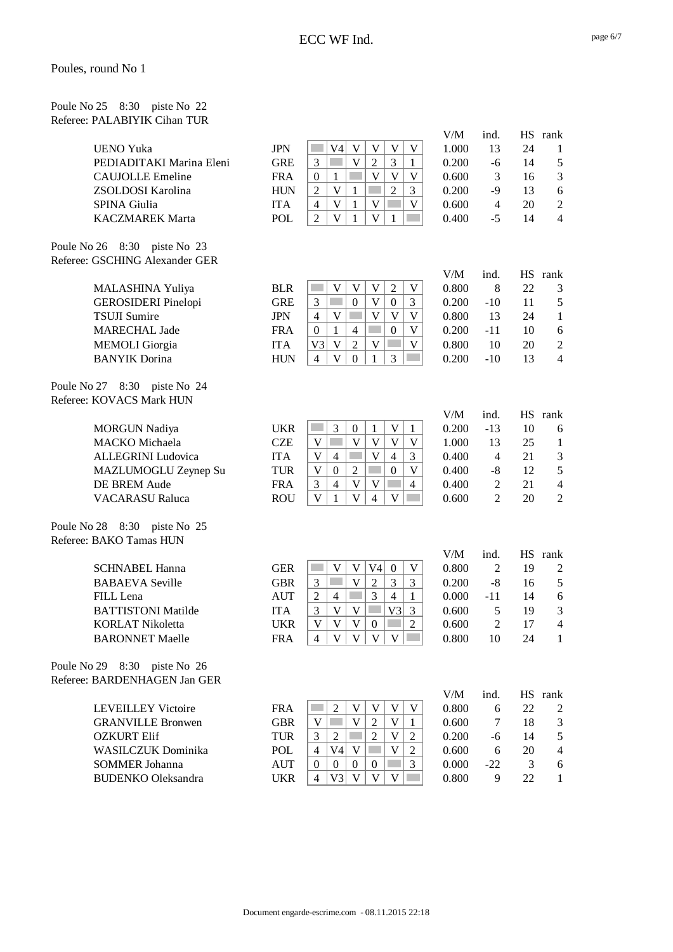| Poule No 25 8:30 piste No 22 |  |  |
|------------------------------|--|--|
| Referee: PALABIYIK Cihan TUR |  |  |

| <b>UENO Yuka</b><br>PEDIADITAKI Marina Eleni<br><b>CAUJOLLE Emeline</b>                                                                 | <b>JPN</b><br><b>GRE</b><br><b>FRA</b> | V <sub>4</sub><br>V<br>V<br>V<br>V<br>3<br>V<br>3<br>2<br>1<br>$\overline{V}$<br>$\overline{V}$<br>$\boldsymbol{0}$<br>V<br>1<br>$\overline{2}$                                                           | V/M<br>1.000<br>0.200<br>0.600 | ind.<br>13<br>-6<br>3            | 24<br>14<br>16 | HS rank<br>1<br>$\mathfrak s$<br>$\mathfrak{Z}$ |
|-----------------------------------------------------------------------------------------------------------------------------------------|----------------------------------------|-----------------------------------------------------------------------------------------------------------------------------------------------------------------------------------------------------------|--------------------------------|----------------------------------|----------------|-------------------------------------------------|
| ZSOLDOSI Karolina<br>SPINA Giulia                                                                                                       | <b>HUN</b><br><b>ITA</b>               | $\overline{2}$<br>$\mathbf V$<br>3<br>$\mathbf{1}$<br>$\overline{4}$<br>$\mathbf V$<br>$\mathbf{1}$<br>$\mathbf V$<br>V                                                                                   | 0.200<br>0.600                 | $-9$<br>$\overline{4}$           | 13<br>20       | 6<br>$\boldsymbol{2}$                           |
| <b>KACZMAREK Marta</b>                                                                                                                  | POL                                    | $\overline{\mathsf{V}}$<br>$\overline{2}$<br>$\mathbf V$<br>$\mathbf{1}$<br>1                                                                                                                             | 0.400                          | $-5$                             | 14             | $\overline{4}$                                  |
| Poule No 26 8:30 piste No 23<br>Referee: GSCHING Alexander GER<br>MALASHINA Yuliya<br><b>GEROSIDERI</b> Pinelopi<br><b>TSUJI Sumire</b> | <b>BLR</b><br><b>GRE</b><br><b>JPN</b> | V<br>V<br>V<br>$\mathfrak{2}$<br>$\mathbf V$<br>$\overline{\mathsf{V}}$<br>3<br>$\boldsymbol{0}$<br>$\boldsymbol{0}$<br>3<br>$\overline{\mathsf{V}}$<br>V<br>$\mathbf V$<br>$\mathbf V$<br>$\overline{4}$ | V/M<br>0.800<br>0.200<br>0.800 | ind.<br>8<br>$-10$<br>13         | 22<br>11<br>24 | HS rank<br>3<br>5<br>$\mathbf{1}$               |
| <b>MARECHAL Jade</b>                                                                                                                    | <b>FRA</b>                             | $\boldsymbol{0}$<br>$\mathbf{1}$<br>$\overline{4}$<br>$\boldsymbol{0}$<br>V                                                                                                                               | 0.200                          | $-11$                            | 10             | $\sqrt{6}$                                      |
| <b>MEMOLI</b> Giorgia                                                                                                                   | <b>ITA</b>                             | $\mathbf V$<br>$\overline{2}$<br>V <sub>3</sub><br>V<br>V                                                                                                                                                 | 0.800                          | 10                               | 20             | $\boldsymbol{2}$                                |
| <b>BANYIK</b> Dorina                                                                                                                    | <b>HUN</b>                             | V<br>3<br>$\overline{4}$<br>$\overline{0}$<br>1                                                                                                                                                           | 0.200                          | $-10$                            | 13             | $\overline{4}$                                  |
| Poule No 27 8:30 piste No 24<br>Referee: KOVACS Mark HUN                                                                                |                                        |                                                                                                                                                                                                           |                                |                                  |                |                                                 |
|                                                                                                                                         |                                        |                                                                                                                                                                                                           | V/M                            | ind.                             |                | HS rank                                         |
| <b>MORGUN Nadiya</b>                                                                                                                    | <b>UKR</b>                             | 3<br>$\mathbf{1}$<br>$\mathbf V$<br><b>College</b><br>$\boldsymbol{0}$<br>$\mathbf{1}$                                                                                                                    | 0.200                          | $-13$                            | 10             | 6                                               |
| MACKO Michaela                                                                                                                          | <b>CZE</b>                             | $\overline{V}$<br>$\mathbf V$<br>$\mathbf{V}$<br>$\overline{\mathsf{V}}$<br>$\mathbf V$<br>in 1                                                                                                           | 1.000                          | 13                               | 25             | $\mathbf{1}$                                    |
| ALLEGRINI Ludovica                                                                                                                      | <b>ITA</b>                             | $\overline{\mathsf{V}}$<br>$\mathbf V$<br>$\overline{4}$<br>3<br>$\overline{4}$                                                                                                                           | 0.400                          | $\overline{4}$                   | 21             | $\mathfrak{Z}$                                  |
| MAZLUMOGLU Zeynep Su                                                                                                                    | <b>TUR</b>                             | $\mathbf V$<br>$\boldsymbol{0}$<br>$\overline{2}$<br>$\boldsymbol{0}$<br>$\mathbf V$                                                                                                                      | 0.400                          | $-8$                             | 12             | $\mathfrak s$                                   |
| <b>DE BREM Aude</b><br><b>VACARASU Raluca</b>                                                                                           | <b>FRA</b><br><b>ROU</b>               | V<br>$\mathbf V$<br>$\overline{4}$<br>3<br>$\overline{4}$<br>$\overline{\mathsf{V}}$<br>$\mathbf{V}$<br>$\overline{4}$<br>$\overline{\mathsf{V}}$<br>$\mathbf{1}$                                         | 0.400<br>0.600                 | $\overline{2}$<br>$\overline{2}$ | 21<br>20       | $\overline{4}$<br>$\overline{2}$                |
|                                                                                                                                         |                                        |                                                                                                                                                                                                           |                                |                                  |                |                                                 |
| Poule No 28 8:30 piste No 25<br>Referee: BAKO Tamas HUN                                                                                 |                                        |                                                                                                                                                                                                           |                                |                                  |                |                                                 |
| <b>SCHNABEL Hanna</b>                                                                                                                   | <b>GER</b>                             | <b>College</b><br>V <sub>4</sub><br>V<br>V<br>$\mathbf{0}$<br>V                                                                                                                                           | V/M<br>0.800                   | ind.<br>2                        | 19             | HS rank<br>2                                    |
| <b>BABAEVA</b> Seville                                                                                                                  | <b>GBR</b>                             | $\overline{2}$<br>3<br>3<br>V<br>3                                                                                                                                                                        | 0.200                          | $-8$                             | 16             | $\sqrt{5}$                                      |
| FILL Lena                                                                                                                               | <b>AUT</b>                             | $\overline{2}$<br>3<br>$\overline{4}$<br>$\overline{4}$<br>1                                                                                                                                              | 0.000                          | $-11$                            | 14             | 6                                               |
| <b>BATTISTONI Matilde</b>                                                                                                               | <b>ITA</b>                             | 3<br>$\mathbf V$<br>V3<br>V<br>3                                                                                                                                                                          | 0.600                          | 5                                | 19             | $\mathfrak{Z}$                                  |
| <b>KORLAT Nikoletta</b>                                                                                                                 | <b>UKR</b>                             | $\mathbf V$<br>$\mathbf V$<br>$\mathbf V$<br>$\overline{2}$<br>$\boldsymbol{0}$                                                                                                                           | 0.600                          | $\overline{2}$                   | 17             | $\overline{\mathbf{4}}$                         |
| <b>BARONNET Maelle</b>                                                                                                                  | <b>FRA</b>                             | V <br>V<br>$\mathbf{V}$<br>V<br>$\overline{4}$                                                                                                                                                            | 0.800                          | 10                               | 24             | 1                                               |
| Poule No 29 8:30 piste No 26<br>Referee: BARDENHAGEN Jan GER                                                                            |                                        |                                                                                                                                                                                                           |                                |                                  |                |                                                 |
|                                                                                                                                         |                                        |                                                                                                                                                                                                           | V/M                            | ind.                             |                | HS rank                                         |
| <b>LEVEILLEY Victoire</b>                                                                                                               | <b>FRA</b>                             | 2<br>V<br>V<br>V<br>V                                                                                                                                                                                     | 0.800                          | 6                                | 22             | 2                                               |
| <b>GRANVILLE Bronwen</b>                                                                                                                | <b>GBR</b>                             | $\mathbf V$<br>$\mathbf{V}$<br>$\overline{2}$<br>$\overline{\mathsf{V}}$<br>1                                                                                                                             | 0.600                          | 7                                | 18             | 3                                               |
| <b>OZKURT Elif</b><br><b>WASILCZUK</b> Dominika                                                                                         | <b>TUR</b>                             | 3<br>$\overline{2}$<br>V<br>2<br>$\overline{2}$<br>V<br>V <sub>4</sub><br>$\overline{4}$                                                                                                                  | 0.200                          | -6                               | 14             | $\mathfrak s$                                   |
| <b>SOMMER Johanna</b>                                                                                                                   | POL<br><b>AUT</b>                      | V<br>$\overline{2}$<br>3<br>$\overline{0}$<br>$\boldsymbol{0}$<br>$\overline{0}$<br>$\overline{0}$                                                                                                        | 0.600<br>0.000                 | 6<br>$-22$                       | 20<br>3        | $\overline{4}$                                  |
| <b>BUDENKO</b> Oleksandra                                                                                                               | <b>UKR</b>                             | V3<br>V<br>V<br>$\overline{4}$<br>V                                                                                                                                                                       | 0.800                          | 9                                | 22             | 6<br>$\mathbf{1}$                               |
|                                                                                                                                         |                                        |                                                                                                                                                                                                           |                                |                                  |                |                                                 |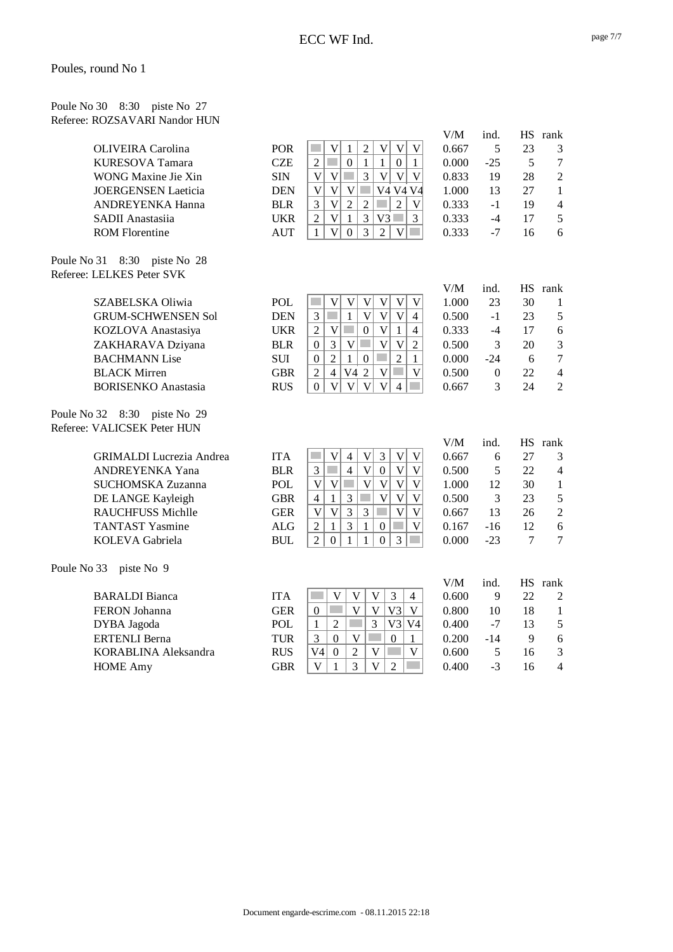| Poule No 30 8:30 piste No 27  |  |  |
|-------------------------------|--|--|
| Referee: ROZSAVARI Nandor HUN |  |  |

|             |                                         |                          |                                                                                                                                             | V/M            | ind.           |        | HS rank        |
|-------------|-----------------------------------------|--------------------------|---------------------------------------------------------------------------------------------------------------------------------------------|----------------|----------------|--------|----------------|
|             | <b>OLIVEIRA</b> Carolina                | <b>POR</b>               | $\overline{\mathsf{V}}$<br>$\overline{2}$<br>$\mathbf V$<br>$\mathbf V$<br>$\mathbf V$<br>$\mathbf{1}$                                      | 0.667          | 5              | 23     | 3              |
|             | <b>KURESOVA Tamara</b>                  | <b>CZE</b>               | <b>College</b><br>$\mathbf{1}$<br>$\mathbf{1}$<br>$\overline{2}$<br>$\boldsymbol{0}$<br>$\overline{0}$<br>$\mathbf{1}$                      | 0.000          | $-25$          | 5      | $\tau$         |
|             | WONG Maxine Jie Xin                     | <b>SIN</b>               | $\bar{V}$<br>$\overline{3}$<br>$\mathbf{V}$<br>p.<br>$\mathbf{V}$<br>$\mathbf{V}$<br>$\mathbf{V}$                                           | 0.833          | 19             | 28     | $\sqrt{2}$     |
|             | <b>JOERGENSEN Laeticia</b>              | <b>DEN</b>               | $\overline{\mathsf{V}}$<br>$\overline{\mathsf{V}}$<br>$\mathbf V$<br>p.<br>V4 V4 V4                                                         | 1.000          | 13             | 27     | $\mathbf{1}$   |
|             | ANDREYENKA Hanna                        | <b>BLR</b>               | $\overline{\mathsf{V}}$<br>$\overline{2}$<br>$\overline{2}$<br>3<br>$\overline{2}$<br>V                                                     | 0.333          | $-1$           | 19     | $\overline{4}$ |
|             | SADII Anastasiia                        | <b>UKR</b>               | $\overline{\mathsf{V}}$<br>$\overline{3}$<br>$\overline{2}$<br>$\mathbf{1}$<br>V <sub>3</sub><br>$\overline{3}$                             | 0.333          | $-4$           | 17     | 5              |
|             | <b>ROM Florentine</b>                   | <b>AUT</b>               | $\overline{3}$<br>$\overline{\mathsf{V}}$<br>$\overline{2}$<br>$\mathbf{1}$<br>$\boldsymbol{0}$<br>$\mathbf V$                              | 0.333          | $-7$           | 16     | 6              |
|             | Poule No 31 8:30 piste No 28            |                          |                                                                                                                                             |                |                |        |                |
|             | Referee: LELKES Peter SVK               |                          |                                                                                                                                             |                |                |        |                |
|             |                                         |                          |                                                                                                                                             | V/M            | ind.           |        | HS rank        |
|             | SZABELSKA Oliwia                        | POL                      | <b>T</b><br>$\mathbf V$<br>$\mathbf V$<br>$\mathbf V$<br>$\mathbf V$<br>V<br>V                                                              | 1.000          | 23             | 30     | 1              |
|             | <b>GRUM-SCHWENSEN Sol</b>               | <b>DEN</b>               | $\overline{\mathsf{V}}$<br>$\overline{\mathsf{V}}$<br>$\overline{V}$<br>$\mathcal{L}^{\mathcal{L}}$<br>$\mathbf{1}$<br>$\overline{4}$<br>3  | 0.500          | $-1$           | 23     | 5              |
|             | KOZLOVA Anastasiya                      | <b>UKR</b>               | $\overline{\mathsf{V}}$<br>$\overline{V}$<br>$\mathbf{1}$<br>$\overline{2}$<br>$\mathbf{0}$<br>$\overline{4}$                               | 0.333          | $-4$           | 17     | 6              |
|             | ZAKHARAVA Dziyana                       | <b>BLR</b>               | $\overline{3}$<br>$\mathbf V$<br>p.<br>$\overline{V}$<br>$\mathbf{V}$<br>$\overline{2}$<br>$\boldsymbol{0}$                                 | 0.500          | 3              | 20     | $\mathfrak{Z}$ |
|             | <b>BACHMANN</b> Lise                    | <b>SUI</b>               | $\overline{2}$<br>$\mathcal{L}_{\mathcal{A}}$<br>$\overline{2}$<br>$\boldsymbol{0}$<br>1<br>$\boldsymbol{0}$<br>$\mathbf{1}$                | 0.000          | $-24$          | 6      | $\overline{7}$ |
|             | <b>BLACK Mirren</b>                     | <b>GBR</b>               | V <sub>4</sub><br>$\overline{2}$<br>$\overline{V}$<br>$\overline{V}$<br>$\overline{c}$<br>$\overline{4}$<br>$\mathcal{L}^{\mathcal{L}}$     | 0.500          | $\overline{0}$ | 22     | $\overline{4}$ |
|             | <b>BORISENKO</b> Anastasia              | <b>RUS</b>               | $\overline{\mathsf{V}}$<br>$\mathbf{V}$<br>$\overline{\mathsf{V}}$<br>V<br>$\Omega$<br>$\overline{4}$                                       | 0.667          | 3              | 24     | $\overline{2}$ |
|             |                                         |                          |                                                                                                                                             |                |                |        |                |
|             | Poule No 32 8:30 piste No 29            |                          |                                                                                                                                             |                |                |        |                |
|             | Referee: VALICSEK Peter HUN             |                          |                                                                                                                                             |                |                |        |                |
|             |                                         |                          |                                                                                                                                             | V/M            | ind.           |        | HS rank        |
|             | <b>GRIMALDI</b> Lucrezia Andrea         | <b>ITA</b>               | $\bar{V}$<br>$\mathfrak{Z}$<br>$\ensuremath{\mathsf{V}}$<br>$\mathbf V$<br>$\overline{4}$<br>$\mathbf V$                                    | 0.667          | 6              | 27     | 3              |
|             | ANDREYENKA Yana                         | <b>BLR</b>               | $\overline{4}$<br> V <br>$\mathbf V$<br>3<br>$\boldsymbol{0}$<br>$\mathbf V$                                                                | 0.500          | 5              | 22     | $\overline{4}$ |
|             | SUCHOMSKA Zuzanna                       | <b>POL</b>               | $\overline{\mathbf{V}}$<br>$\mathbf V$<br>$\mathbf{V}$<br>$\mathbf V$<br>$\mathbf V$<br>V<br><b>T</b>                                       | 1.000          | 12             | 30     | $\mathbf{1}$   |
|             | DE LANGE Kayleigh                       | <b>GBR</b>               | 3<br>$\mathbf{1}$<br>$\overline{V}$<br>$\overline{V}$<br>$\overline{4}$<br>$\mathbf V$                                                      | 0.500          | 3              | 23     | 5              |
|             | <b>RAUCHFUSS Michlle</b>                | <b>GER</b>               | $\overline{3}$<br>$\mathbf V$<br>$\overline{V}$<br>$\overline{3}$<br>$\mathcal{L}_{\mathcal{A}}$<br>$\mathbf{V}$<br>$\overline{\mathsf{V}}$ | 0.667          | 13             | 26     | $\overline{2}$ |
|             | <b>TANTAST Yasmine</b>                  | <b>ALG</b>               | 3<br>$\overline{2}$<br>$\mathbf{1}$<br>$\mathbf{1}$<br>V<br>$\boldsymbol{0}$<br>m.                                                          | 0.167          | $-16$          | 12     | 6              |
|             | KOLEVA Gabriela                         | <b>BUL</b>               | 3<br>$\overline{2}$<br>$\overline{0}$<br>$\mathbf{0}$<br>1<br>1                                                                             | 0.000          | $-23$          | $\tau$ | $\overline{7}$ |
| Poule No 33 | piste No 9                              |                          |                                                                                                                                             |                |                |        |                |
|             |                                         |                          |                                                                                                                                             | V/M            | ind.           |        | HS rank        |
|             | <b>BARALDI</b> Bianca                   | <b>ITA</b>               | $\mathbf V$<br>$\mathbf V$<br>$\mathbf V$<br>3<br>$\overline{4}$<br><b>College</b>                                                          | 0.600          | 9              | 22     | $\mathfrak 2$  |
|             | FERON Johanna                           | <b>GER</b>               | $\overline{V}$<br>V <sub>3</sub><br><b>College</b><br>$\mathbf V$<br>$\mathbf V$<br>$\boldsymbol{0}$                                        | 0.800          | 10             | 18     | $\mathbf{1}$   |
|             | DYBA Jagoda                             | <b>POL</b>               | 3<br>$\overline{2}$<br>V3<br>$\mathbf{1}$<br>V4                                                                                             | 0.400          | $-7$           | 13     | 5              |
|             | <b>ERTENLI Berna</b>                    | <b>TUR</b>               | 3<br>V<br><b>Tara</b><br>$\boldsymbol{0}$<br>$\Omega$<br>1                                                                                  | 0.200          | $-14$          | 9      | 6              |
|             | KORABLINA Aleksandra<br><b>HOME Amy</b> | <b>RUS</b><br><b>GBR</b> | V <sub>4</sub><br>$\overline{2}$<br>$\mathbf V$<br>$\mathbf{0}$<br>V<br>3<br>$\overline{V}$<br>V<br>1<br>$\overline{2}$                     | 0.600<br>0.400 | 5<br>$-3$      | 16     | 3<br>4         |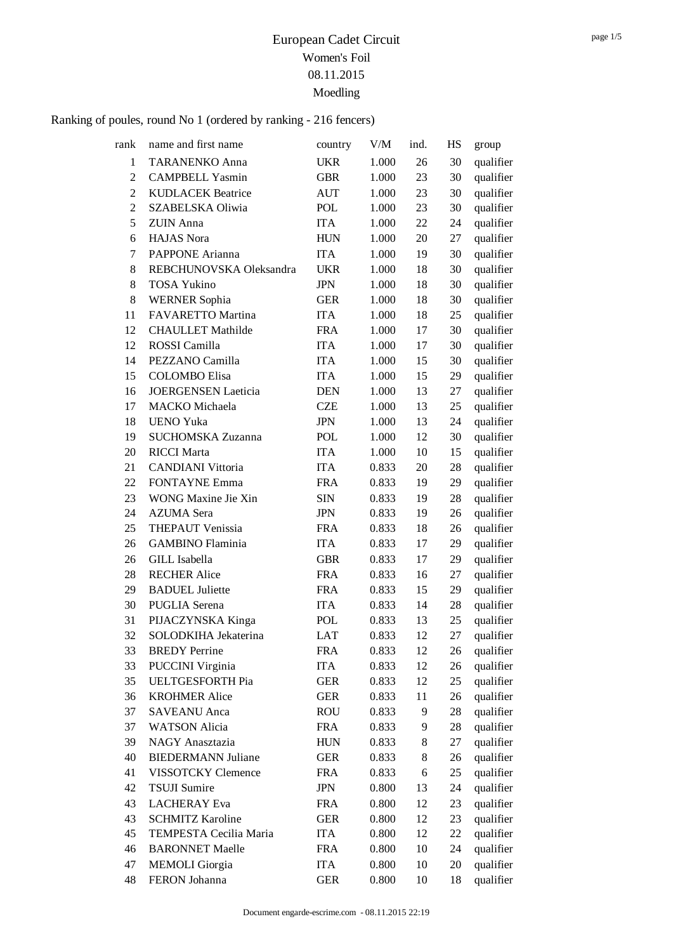| rank           | name and first name        | country    | V/M   | ind. | HS | group     |
|----------------|----------------------------|------------|-------|------|----|-----------|
| 1              | <b>TARANENKO Anna</b>      | <b>UKR</b> | 1.000 | 26   | 30 | qualifier |
| $\overline{2}$ | <b>CAMPBELL Yasmin</b>     | <b>GBR</b> | 1.000 | 23   | 30 | qualifier |
| $\overline{2}$ | <b>KUDLACEK Beatrice</b>   | <b>AUT</b> | 1.000 | 23   | 30 | qualifier |
| $\overline{2}$ | <b>SZABELSKA Oliwia</b>    | POL        | 1.000 | 23   | 30 | qualifier |
| 5              | <b>ZUIN</b> Anna           | <b>ITA</b> | 1.000 | 22   | 24 | qualifier |
| 6              | <b>HAJAS</b> Nora          | <b>HUN</b> | 1.000 | 20   | 27 | qualifier |
| 7              | <b>PAPPONE</b> Arianna     | <b>ITA</b> | 1.000 | 19   | 30 | qualifier |
| 8              | REBCHUNOVSKA Oleksandra    | <b>UKR</b> | 1.000 | 18   | 30 | qualifier |
| 8              | <b>TOSA Yukino</b>         | <b>JPN</b> | 1.000 | 18   | 30 | qualifier |
| 8              | <b>WERNER Sophia</b>       | <b>GER</b> | 1.000 | 18   | 30 | qualifier |
| 11             | FAVARETTO Martina          | <b>ITA</b> | 1.000 | 18   | 25 | qualifier |
| 12             | <b>CHAULLET Mathilde</b>   | <b>FRA</b> | 1.000 | 17   | 30 | qualifier |
| 12             | ROSSI Camilla              | <b>ITA</b> | 1.000 | 17   | 30 | qualifier |
| 14             | PEZZANO Camilla            | <b>ITA</b> | 1.000 | 15   | 30 | qualifier |
| 15             | <b>COLOMBO</b> Elisa       | <b>ITA</b> | 1.000 | 15   | 29 | qualifier |
| 16             | <b>JOERGENSEN Laeticia</b> | <b>DEN</b> | 1.000 | 13   | 27 | qualifier |
| 17             | <b>MACKO</b> Michaela      | <b>CZE</b> | 1.000 | 13   | 25 | qualifier |
| 18             | <b>UENO Yuka</b>           | <b>JPN</b> | 1.000 | 13   | 24 | qualifier |
| 19             | SUCHOMSKA Zuzanna          | <b>POL</b> | 1.000 | 12   | 30 | qualifier |
| 20             | <b>RICCI</b> Marta         | <b>ITA</b> | 1.000 | 10   | 15 | qualifier |
| 21             | <b>CANDIANI</b> Vittoria   | <b>ITA</b> | 0.833 | 20   | 28 | qualifier |
| 22             | <b>FONTAYNE Emma</b>       | <b>FRA</b> | 0.833 | 19   | 29 | qualifier |
| 23             | WONG Maxine Jie Xin        | <b>SIN</b> | 0.833 | 19   | 28 | qualifier |
| 24             | <b>AZUMA</b> Sera          | <b>JPN</b> | 0.833 | 19   | 26 | qualifier |
| 25             | <b>THEPAUT Venissia</b>    | <b>FRA</b> | 0.833 | 18   | 26 | qualifier |
| 26             | <b>GAMBINO</b> Flaminia    | <b>ITA</b> | 0.833 | 17   | 29 | qualifier |
| 26             | <b>GILL Isabella</b>       | <b>GBR</b> | 0.833 | 17   | 29 | qualifier |
| 28             | <b>RECHER Alice</b>        | <b>FRA</b> | 0.833 | 16   | 27 | qualifier |
| 29             | <b>BADUEL Juliette</b>     | <b>FRA</b> | 0.833 | 15   | 29 | qualifier |
| 30             | <b>PUGLIA</b> Serena       | <b>ITA</b> | 0.833 | 14   | 28 | qualifier |
| 31             | PIJACZYNSKA Kinga          | <b>POL</b> | 0.833 | 13   | 25 | qualifier |
| 32             | SOLODKIHA Jekaterina       | LAT        | 0.833 | 12   | 27 | qualifier |
| 33             | <b>BREDY</b> Perrine       | <b>FRA</b> | 0.833 | 12   | 26 | qualifier |
| 33             | <b>PUCCINI Virginia</b>    | <b>ITA</b> | 0.833 | 12   | 26 | qualifier |
| 35             | <b>UELTGESFORTH Pia</b>    | <b>GER</b> | 0.833 | 12   | 25 | qualifier |
| 36             | <b>KROHMER Alice</b>       | <b>GER</b> | 0.833 | 11   | 26 | qualifier |
| 37             | <b>SAVEANU</b> Anca        | <b>ROU</b> | 0.833 | 9    | 28 | qualifier |
| 37             | <b>WATSON Alicia</b>       | <b>FRA</b> | 0.833 | 9    | 28 | qualifier |
| 39             | NAGY Anasztazia            | <b>HUN</b> | 0.833 | 8    | 27 | qualifier |
| 40             | <b>BIEDERMANN Juliane</b>  | <b>GER</b> | 0.833 | 8    | 26 | qualifier |
| 41             | VISSOTCKY Clemence         | <b>FRA</b> | 0.833 | 6    | 25 | qualifier |
| 42             | <b>TSUJI Sumire</b>        | <b>JPN</b> | 0.800 | 13   | 24 | qualifier |
| 43             | <b>LACHERAY</b> Eva        | <b>FRA</b> | 0.800 | 12   | 23 | qualifier |
| 43             | <b>SCHMITZ Karoline</b>    | <b>GER</b> | 0.800 | 12   | 23 | qualifier |
| 45             | TEMPESTA Cecilia Maria     | <b>ITA</b> | 0.800 | 12   | 22 | qualifier |
| 46             | <b>BARONNET Maelle</b>     | <b>FRA</b> | 0.800 | 10   | 24 | qualifier |
| 47             | <b>MEMOLI</b> Giorgia      | <b>ITA</b> | 0.800 | 10   | 20 | qualifier |
| 48             | FERON Johanna              | <b>GER</b> | 0.800 | 10   | 18 | qualifier |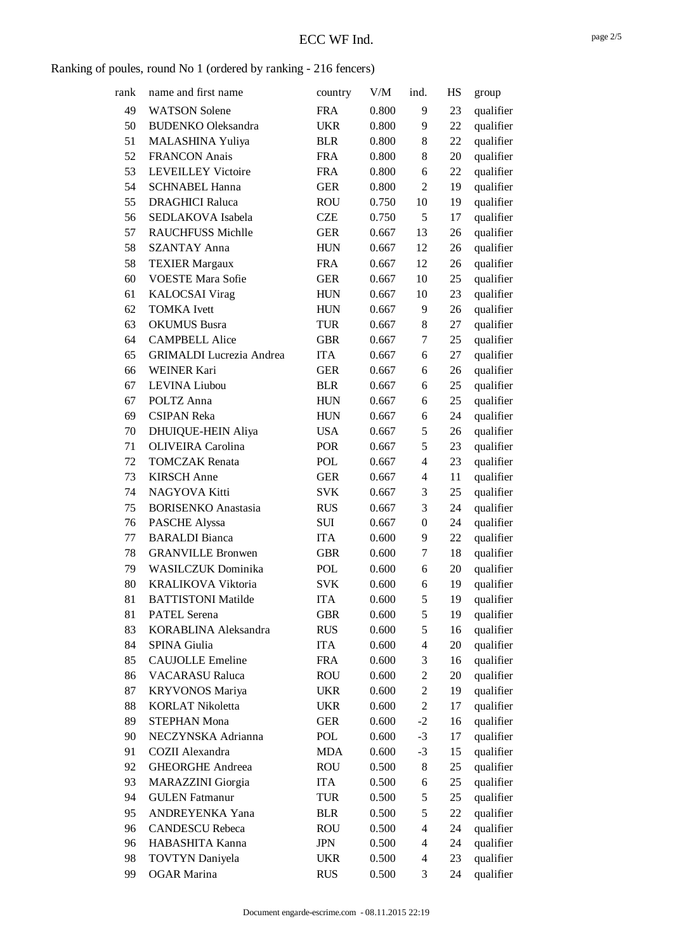| rank | name and first name             | country    | V/M   | ind.             | HS | group     |
|------|---------------------------------|------------|-------|------------------|----|-----------|
| 49   | <b>WATSON Solene</b>            | <b>FRA</b> | 0.800 | 9                | 23 | qualifier |
| 50   | <b>BUDENKO</b> Oleksandra       | <b>UKR</b> | 0.800 | 9                | 22 | qualifier |
| 51   | MALASHINA Yuliya                | <b>BLR</b> | 0.800 | 8                | 22 | qualifier |
| 52   | <b>FRANCON Anais</b>            | <b>FRA</b> | 0.800 | 8                | 20 | qualifier |
| 53   | <b>LEVEILLEY Victoire</b>       | <b>FRA</b> | 0.800 | 6                | 22 | qualifier |
| 54   | <b>SCHNABEL Hanna</b>           | <b>GER</b> | 0.800 | $\overline{2}$   | 19 | qualifier |
| 55   | <b>DRAGHICI Raluca</b>          | <b>ROU</b> | 0.750 | 10               | 19 | qualifier |
| 56   | SEDLAKOVA Isabela               | <b>CZE</b> | 0.750 | 5                | 17 | qualifier |
| 57   | <b>RAUCHFUSS Michlle</b>        | <b>GER</b> | 0.667 | 13               | 26 | qualifier |
| 58   | <b>SZANTAY Anna</b>             | <b>HUN</b> | 0.667 | 12               | 26 | qualifier |
| 58   | <b>TEXIER Margaux</b>           | <b>FRA</b> | 0.667 | 12               | 26 | qualifier |
| 60   | <b>VOESTE Mara Sofie</b>        | <b>GER</b> | 0.667 | 10               | 25 | qualifier |
| 61   | <b>KALOCSAI</b> Virag           | <b>HUN</b> | 0.667 | 10               | 23 | qualifier |
| 62   | <b>TOMKA</b> Ivett              | <b>HUN</b> | 0.667 | 9                | 26 | qualifier |
| 63   | <b>OKUMUS Busra</b>             | <b>TUR</b> | 0.667 | 8                | 27 | qualifier |
| 64   | <b>CAMPBELL Alice</b>           | <b>GBR</b> | 0.667 | 7                | 25 | qualifier |
| 65   | <b>GRIMALDI</b> Lucrezia Andrea | <b>ITA</b> | 0.667 | 6                | 27 | qualifier |
| 66   | <b>WEINER Kari</b>              | <b>GER</b> | 0.667 | 6                | 26 | qualifier |
| 67   | LEVINA Liubou                   | <b>BLR</b> | 0.667 | 6                | 25 | qualifier |
| 67   | POLTZ Anna                      | <b>HUN</b> | 0.667 | 6                | 25 | qualifier |
| 69   | <b>CSIPAN Reka</b>              | <b>HUN</b> | 0.667 | 6                | 24 | qualifier |
| 70   | DHUIQUE-HEIN Aliya              | <b>USA</b> | 0.667 | 5                | 26 | qualifier |
| 71   | <b>OLIVEIRA</b> Carolina        | <b>POR</b> | 0.667 | 5                | 23 | qualifier |
| 72   | <b>TOMCZAK</b> Renata           | POL        | 0.667 | $\overline{4}$   | 23 | qualifier |
| 73   | <b>KIRSCH</b> Anne              | <b>GER</b> | 0.667 | 4                | 11 | qualifier |
| 74   | NAGYOVA Kitti                   | <b>SVK</b> | 0.667 | 3                | 25 | qualifier |
| 75   | <b>BORISENKO</b> Anastasia      | <b>RUS</b> | 0.667 | 3                | 24 | qualifier |
| 76   | PASCHE Alyssa                   | SUI        | 0.667 | $\boldsymbol{0}$ | 24 | qualifier |
| 77   | <b>BARALDI</b> Bianca           | <b>ITA</b> | 0.600 | 9                | 22 | qualifier |
| 78   | <b>GRANVILLE Bronwen</b>        | <b>GBR</b> | 0.600 | 7                | 18 | qualifier |
| 79   | <b>WASILCZUK Dominika</b>       | POL        | 0.600 | 6                | 20 | qualifier |
| 80   | <b>KRALIKOVA Viktoria</b>       | <b>SVK</b> | 0.600 | 6                | 19 | qualifier |
| 81   | <b>BATTISTONI Matilde</b>       | <b>ITA</b> | 0.600 | 5                | 19 | qualifier |
| 81   | <b>PATEL Serena</b>             | <b>GBR</b> | 0.600 | 5                | 19 | qualifier |
| 83   | KORABLINA Aleksandra            | <b>RUS</b> | 0.600 | 5                | 16 | qualifier |
| 84   | SPINA Giulia                    | <b>ITA</b> | 0.600 | $\overline{4}$   | 20 | qualifier |
| 85   | <b>CAUJOLLE Emeline</b>         | <b>FRA</b> | 0.600 | 3                | 16 | qualifier |
| 86   | <b>VACARASU Raluca</b>          | <b>ROU</b> | 0.600 | $\overline{2}$   | 20 | qualifier |
| 87   | <b>KRYVONOS Mariya</b>          | <b>UKR</b> | 0.600 | $\overline{2}$   | 19 | qualifier |
| 88   | <b>KORLAT Nikoletta</b>         | <b>UKR</b> | 0.600 | $\mathfrak{2}$   | 17 | qualifier |
| 89   | <b>STEPHAN Mona</b>             | <b>GER</b> | 0.600 | $-2$             | 16 | qualifier |
| 90   | NECZYNSKA Adrianna              | POL        | 0.600 | $-3$             | 17 | qualifier |
| 91   | COZII Alexandra                 | <b>MDA</b> | 0.600 | $-3$             | 15 | qualifier |
| 92   | <b>GHEORGHE Andreea</b>         | <b>ROU</b> | 0.500 | 8                | 25 | qualifier |
| 93   | <b>MARAZZINI</b> Giorgia        | <b>ITA</b> | 0.500 | 6                | 25 | qualifier |
| 94   | <b>GULEN</b> Fatmanur           | <b>TUR</b> | 0.500 | 5                | 25 | qualifier |
| 95   | ANDREYENKA Yana                 | <b>BLR</b> | 0.500 | 5                | 22 | qualifier |
| 96   | <b>CANDESCU Rebeca</b>          | <b>ROU</b> | 0.500 | $\overline{4}$   | 24 | qualifier |
| 96   | HABASHITA Kanna                 | JPN        | 0.500 | $\overline{4}$   | 24 | qualifier |
| 98   | <b>TOVTYN</b> Daniyela          | <b>UKR</b> | 0.500 | $\overline{4}$   | 23 | qualifier |
| 99   | <b>OGAR</b> Marina              | <b>RUS</b> | 0.500 | 3                | 24 | qualifier |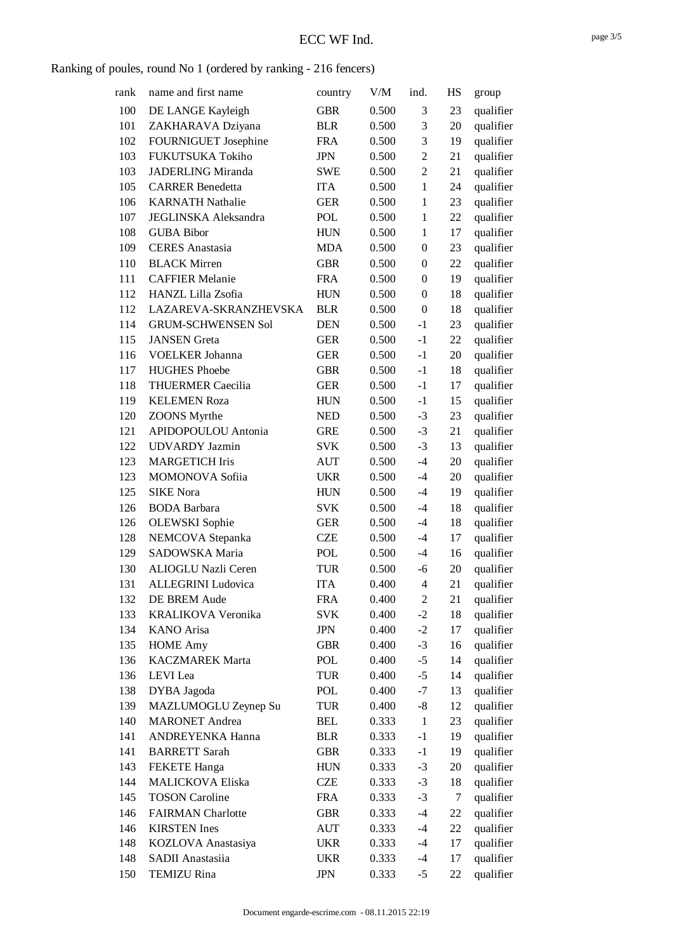### Ranking of poules, round No 1 (ordered by ranking - 216 fencers)

| rank | name and first name       | country    | V/M   | ind.             | HS | group     |
|------|---------------------------|------------|-------|------------------|----|-----------|
| 100  | DE LANGE Kayleigh         | <b>GBR</b> | 0.500 | 3                | 23 | qualifier |
| 101  | ZAKHARAVA Dziyana         | <b>BLR</b> | 0.500 | 3                | 20 | qualifier |
| 102  | FOURNIGUET Josephine      | <b>FRA</b> | 0.500 | 3                | 19 | qualifier |
| 103  | FUKUTSUKA Tokiho          | <b>JPN</b> | 0.500 | $\overline{2}$   | 21 | qualifier |
| 103  | <b>JADERLING Miranda</b>  | <b>SWE</b> | 0.500 | $\overline{2}$   | 21 | qualifier |
| 105  | <b>CARRER Benedetta</b>   | <b>ITA</b> | 0.500 | $\mathbf{1}$     | 24 | qualifier |
| 106  | <b>KARNATH Nathalie</b>   | <b>GER</b> | 0.500 | $\mathbf{1}$     | 23 | qualifier |
| 107  | JEGLINSKA Aleksandra      | <b>POL</b> | 0.500 | $\mathbf{1}$     | 22 | qualifier |
| 108  | <b>GUBA Bibor</b>         | <b>HUN</b> | 0.500 | $\mathbf{1}$     | 17 | qualifier |
| 109  | <b>CERES</b> Anastasia    | <b>MDA</b> | 0.500 | $\boldsymbol{0}$ | 23 | qualifier |
| 110  | <b>BLACK Mirren</b>       | <b>GBR</b> | 0.500 | $\mathbf{0}$     | 22 | qualifier |
| 111  | <b>CAFFIER Melanie</b>    | <b>FRA</b> | 0.500 | $\boldsymbol{0}$ | 19 | qualifier |
| 112  | HANZL Lilla Zsofia        | <b>HUN</b> | 0.500 | $\mathbf{0}$     | 18 | qualifier |
| 112  | LAZAREVA-SKRANZHEVSKA     | <b>BLR</b> | 0.500 | $\boldsymbol{0}$ | 18 | qualifier |
| 114  | <b>GRUM-SCHWENSEN Sol</b> | <b>DEN</b> | 0.500 | $-1$             | 23 | qualifier |
| 115  | <b>JANSEN</b> Greta       | <b>GER</b> | 0.500 | $-1$             | 22 | qualifier |
| 116  | <b>VOELKER Johanna</b>    | <b>GER</b> | 0.500 | $-1$             | 20 | qualifier |
| 117  | <b>HUGHES Phoebe</b>      | <b>GBR</b> | 0.500 | $-1$             | 18 | qualifier |
| 118  | <b>THUERMER Caecilia</b>  | <b>GER</b> | 0.500 | $-1$             | 17 | qualifier |
| 119  | <b>KELEMEN Roza</b>       | <b>HUN</b> | 0.500 | $-1$             | 15 | qualifier |
| 120  | <b>ZOONS</b> Myrthe       | <b>NED</b> | 0.500 | $-3$             | 23 | qualifier |
| 121  | APIDOPOULOU Antonia       | <b>GRE</b> | 0.500 | $-3$             | 21 | qualifier |
| 122  | <b>UDVARDY</b> Jazmin     | <b>SVK</b> | 0.500 | $-3$             | 13 | qualifier |
| 123  | <b>MARGETICH Iris</b>     | <b>AUT</b> | 0.500 | $-4$             | 20 | qualifier |
| 123  | MOMONOVA Sofiia           | <b>UKR</b> | 0.500 | $-4$             | 20 | qualifier |
| 125  | <b>SIKE Nora</b>          | <b>HUN</b> | 0.500 | $-4$             | 19 | qualifier |
| 126  | <b>BODA</b> Barbara       | <b>SVK</b> | 0.500 | $-4$             | 18 | qualifier |
| 126  | <b>OLEWSKI</b> Sophie     | <b>GER</b> | 0.500 | -4               | 18 | qualifier |
| 128  | NEMCOVA Stepanka          | <b>CZE</b> | 0.500 | $-4$             | 17 | qualifier |
| 129  | SADOWSKA Maria            | POL        | 0.500 | $-4$             | 16 | qualifier |
| 130  | ALIOGLU Nazli Ceren       | <b>TUR</b> | 0.500 | $-6$             | 20 | qualifier |
| 131  | <b>ALLEGRINI Ludovica</b> | <b>ITA</b> | 0.400 | $\overline{4}$   | 21 | qualifier |
| 132  | DE BREM Aude              | <b>FRA</b> | 0.400 | $\overline{c}$   | 21 | qualifier |
| 133  | KRALIKOVA Veronika        | <b>SVK</b> | 0.400 | $-2$             | 18 | qualifier |
| 134  | <b>KANO</b> Arisa         | <b>JPN</b> | 0.400 | $-2$             | 17 | qualifier |
| 135  | <b>HOME Amy</b>           | <b>GBR</b> | 0.400 | $-3$             | 16 | qualifier |
| 136  | <b>KACZMAREK Marta</b>    | POL        | 0.400 | $-5$             | 14 | qualifier |
| 136  | LEVI Lea                  | TUR        | 0.400 | $-5$             | 14 | qualifier |
| 138  | DYBA Jagoda               | POL        | 0.400 | $-7$             | 13 | qualifier |
| 139  | MAZLUMOGLU Zeynep Su      | <b>TUR</b> | 0.400 | $-8$             | 12 | qualifier |
| 140  | <b>MARONET</b> Andrea     | <b>BEL</b> | 0.333 | $\mathbf{1}$     | 23 | qualifier |
| 141  | ANDREYENKA Hanna          | <b>BLR</b> | 0.333 | $-1$             | 19 | qualifier |
| 141  | <b>BARRETT Sarah</b>      | <b>GBR</b> | 0.333 | $-1$             | 19 | qualifier |
| 143  | <b>FEKETE Hanga</b>       | <b>HUN</b> | 0.333 | $-3$             | 20 | qualifier |
| 144  | <b>MALICKOVA Eliska</b>   | CZE        | 0.333 | $-3$             | 18 | qualifier |
| 145  | <b>TOSON Caroline</b>     | <b>FRA</b> | 0.333 | $-3$             | 7  | qualifier |
| 146  | <b>FAIRMAN</b> Charlotte  | <b>GBR</b> | 0.333 | $-4$             | 22 | qualifier |
| 146  | <b>KIRSTEN</b> Ines       | <b>AUT</b> | 0.333 | $-4$             | 22 | qualifier |
| 148  | KOZLOVA Anastasiya        | <b>UKR</b> | 0.333 | $-4$             | 17 | qualifier |
| 148  | SADII Anastasiia          | <b>UKR</b> | 0.333 | $-4$             | 17 | qualifier |
| 150  | <b>TEMIZU Rina</b>        | <b>JPN</b> | 0.333 | $-5$             | 22 | qualifier |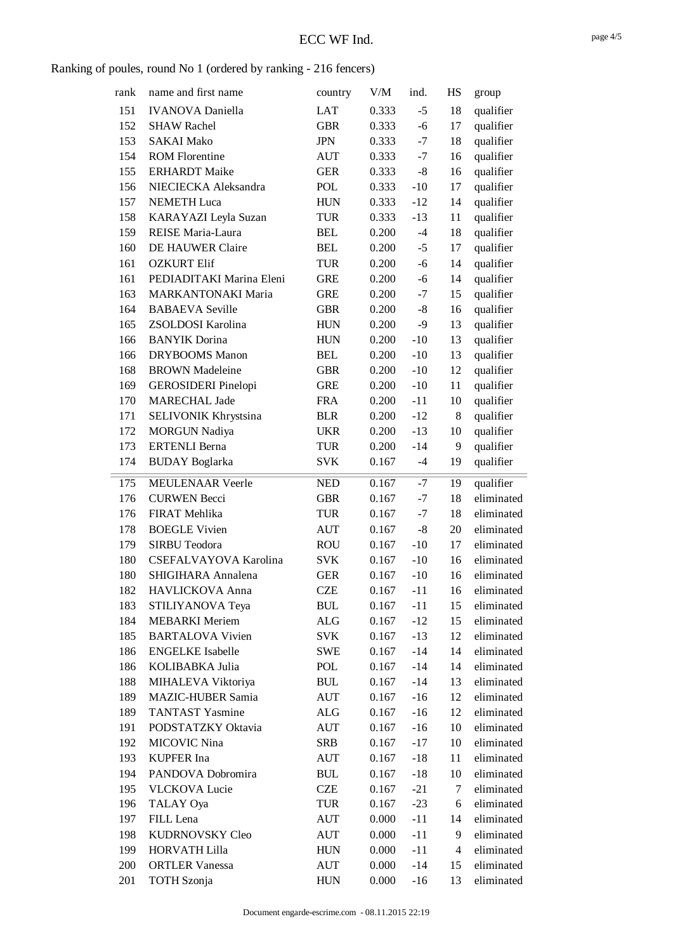### Ranking of poules, round No 1 (ordered by ranking - 216 fencers)

| rank | name and first name        | country    | V/M   | ind.  | HS                       | group      |
|------|----------------------------|------------|-------|-------|--------------------------|------------|
| 151  | <b>IVANOVA</b> Daniella    | LAT        | 0.333 | $-5$  | 18                       | qualifier  |
| 152  | <b>SHAW Rachel</b>         | <b>GBR</b> | 0.333 | $-6$  | 17                       | qualifier  |
| 153  | <b>SAKAI Mako</b>          | <b>JPN</b> | 0.333 | $-7$  | 18                       | qualifier  |
| 154  | <b>ROM Florentine</b>      | <b>AUT</b> | 0.333 | $-7$  | 16                       | qualifier  |
| 155  | <b>ERHARDT</b> Maike       | <b>GER</b> | 0.333 | $-8$  | 16                       | qualifier  |
| 156  | NIECIECKA Aleksandra       | POL        | 0.333 | $-10$ | 17                       | qualifier  |
| 157  | <b>NEMETH</b> Luca         | <b>HUN</b> | 0.333 | $-12$ | 14                       | qualifier  |
| 158  | KARAYAZI Leyla Suzan       | <b>TUR</b> | 0.333 | $-13$ | 11                       | qualifier  |
| 159  | REISE Maria-Laura          | <b>BEL</b> | 0.200 | $-4$  | 18                       | qualifier  |
| 160  | DE HAUWER Claire           | <b>BEL</b> | 0.200 | $-5$  | 17                       | qualifier  |
| 161  | <b>OZKURT Elif</b>         | <b>TUR</b> | 0.200 | $-6$  | 14                       | qualifier  |
| 161  | PEDIADITAKI Marina Eleni   | <b>GRE</b> | 0.200 | $-6$  | 14                       | qualifier  |
| 163  | <b>MARKANTONAKI Maria</b>  | <b>GRE</b> | 0.200 | $-7$  | 15                       | qualifier  |
| 164  | <b>BABAEVA</b> Seville     | <b>GBR</b> | 0.200 | $-8$  | 16                       | qualifier  |
| 165  | ZSOLDOSI Karolina          | <b>HUN</b> | 0.200 | $-9$  | 13                       | qualifier  |
| 166  | <b>BANYIK</b> Dorina       | <b>HUN</b> | 0.200 | $-10$ | 13                       | qualifier  |
| 166  | <b>DRYBOOMS</b> Manon      | <b>BEL</b> | 0.200 | $-10$ | 13                       | qualifier  |
| 168  | <b>BROWN</b> Madeleine     | <b>GBR</b> | 0.200 | $-10$ | 12                       | qualifier  |
| 169  | <b>GEROSIDERI</b> Pinelopi | <b>GRE</b> | 0.200 | $-10$ | 11                       | qualifier  |
| 170  | <b>MARECHAL Jade</b>       | <b>FRA</b> | 0.200 | $-11$ | 10                       | qualifier  |
| 171  | SELIVONIK Khrystsina       | <b>BLR</b> | 0.200 | $-12$ | 8                        | qualifier  |
| 172  | <b>MORGUN Nadiya</b>       | <b>UKR</b> | 0.200 | $-13$ | 10                       | qualifier  |
| 173  | <b>ERTENLI Berna</b>       | <b>TUR</b> | 0.200 | $-14$ | 9                        | qualifier  |
| 174  | <b>BUDAY</b> Boglarka      | <b>SVK</b> | 0.167 | $-4$  | 19                       | qualifier  |
|      |                            |            |       |       |                          |            |
| 175  | <b>MEULENAAR Veerle</b>    | <b>NED</b> | 0.167 | $-7$  | 19                       | qualifier  |
| 176  | <b>CURWEN Becci</b>        | <b>GBR</b> | 0.167 | $-7$  | 18                       | eliminated |
| 176  | FIRAT Mehlika              | <b>TUR</b> | 0.167 | $-7$  | 18                       | eliminated |
| 178  | <b>BOEGLE Vivien</b>       | <b>AUT</b> | 0.167 | $-8$  | 20                       | eliminated |
| 179  | <b>SIRBU Teodora</b>       | <b>ROU</b> | 0.167 | $-10$ | 17                       | eliminated |
| 180  | CSEFALVAYOVA Karolina      | <b>SVK</b> | 0.167 | $-10$ | 16                       | eliminated |
| 180  | SHIGIHARA Annalena         | <b>GER</b> | 0.167 | $-10$ | 16                       | eliminated |
| 182  | HAVLICKOVA Anna            | <b>CZE</b> | 0.167 | -11   | 16                       | eliminated |
| 183  | STILIYANOVA Teya           | <b>BUL</b> | 0.167 | $-11$ | 15                       | eliminated |
| 184  | <b>MEBARKI</b> Meriem      | ALG        | 0.167 | $-12$ | 15                       | eliminated |
| 185  | <b>BARTALOVA Vivien</b>    | <b>SVK</b> | 0.167 | $-13$ | 12                       | eliminated |
| 186  | <b>ENGELKE</b> Isabelle    | <b>SWE</b> | 0.167 | $-14$ | 14                       | eliminated |
| 186  | KOLIBABKA Julia            | POL        | 0.167 | $-14$ | 14                       | eliminated |
| 188  | MIHALEVA Viktoriya         | <b>BUL</b> | 0.167 | $-14$ | 13                       | eliminated |
| 189  | MAZIC-HUBER Samia          | <b>AUT</b> | 0.167 | $-16$ | 12                       | eliminated |
| 189  | <b>TANTAST Yasmine</b>     | ALG        | 0.167 | $-16$ | 12                       | eliminated |
| 191  | PODSTATZKY Oktavia         | AUT        | 0.167 | $-16$ | 10                       | eliminated |
| 192  | MICOVIC Nina               | SRB        | 0.167 | $-17$ | 10                       | eliminated |
| 193  | <b>KUPFER</b> Ina          | <b>AUT</b> | 0.167 | $-18$ | 11                       | eliminated |
| 194  | PANDOVA Dobromira          | <b>BUL</b> | 0.167 | $-18$ | 10                       | eliminated |
| 195  | <b>VLCKOVA Lucie</b>       | <b>CZE</b> | 0.167 | $-21$ | 7                        | eliminated |
| 196  | TALAY Oya                  | TUR        | 0.167 | $-23$ | 6                        | eliminated |
| 197  | FILL Lena                  | <b>AUT</b> | 0.000 | $-11$ | 14                       | eliminated |
| 198  | KUDRNOVSKY Cleo            | AUT        | 0.000 | $-11$ | 9                        | eliminated |
| 199  | HORVATH Lilla              | <b>HUN</b> | 0.000 | $-11$ | $\overline{\mathcal{A}}$ | eliminated |
| 200  | <b>ORTLER Vanessa</b>      | <b>AUT</b> | 0.000 | $-14$ | 15                       | eliminated |
| 201  | <b>TOTH</b> Szonja         | <b>HUN</b> | 0.000 | -16   | 13                       | eliminated |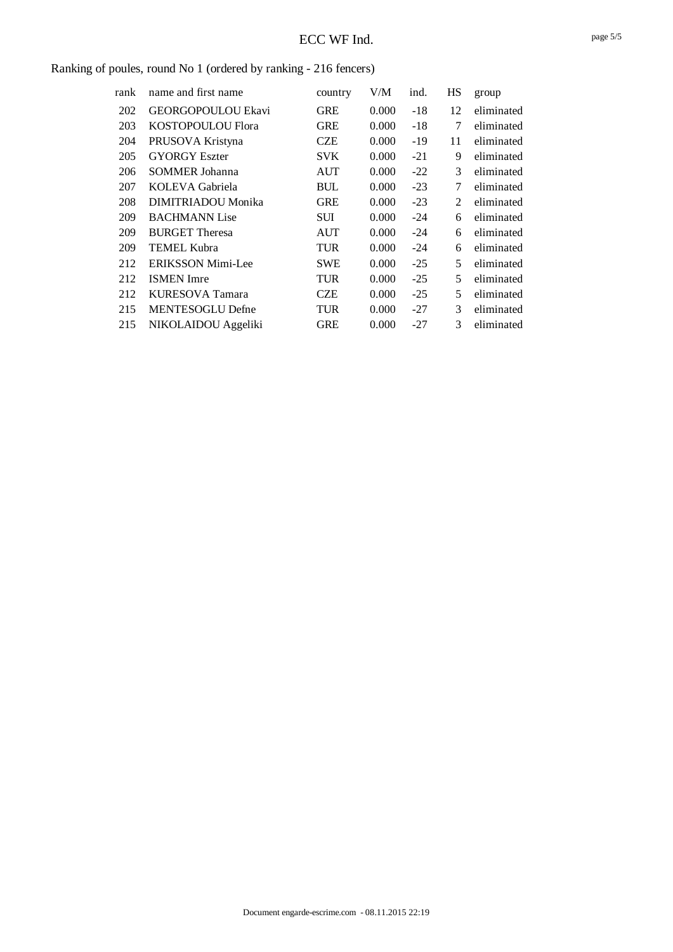### Ranking of poules, round No 1 (ordered by ranking - 216 fencers)

| rank | name and first name      | country    | V/M   | ind.  | HS | group      |
|------|--------------------------|------------|-------|-------|----|------------|
| 202  | GEORGOPOULOU Ekavi       | <b>GRE</b> | 0.000 | $-18$ | 12 | eliminated |
| 203  | KOSTOPOULOU Flora        | <b>GRE</b> | 0.000 | -18   | 7  | eliminated |
| 204  | PRUSOVA Kristyna         | CZE        | 0.000 | -19   | 11 | eliminated |
| 205  | <b>GYORGY Eszter</b>     | <b>SVK</b> | 0.000 | $-21$ | 9  | eliminated |
| 206  | <b>SOMMER Johanna</b>    | AUT        | 0.000 | $-22$ | 3  | eliminated |
| 207  | KOLEVA Gabriela          | BUL        | 0.000 | $-23$ | 7  | eliminated |
| 208  | DIMITRIADOU Monika       | <b>GRE</b> | 0.000 | $-23$ | 2  | eliminated |
| 209  | <b>BACHMANN</b> Lise     | SUI        | 0.000 | -24   | 6  | eliminated |
| 209  | <b>BURGET Theresa</b>    | AUT        | 0.000 | -24   | 6  | eliminated |
| 209  | <b>TEMEL Kubra</b>       | TUR        | 0.000 | $-24$ | 6  | eliminated |
| 212  | <b>ERIKSSON Mimi-Lee</b> | <b>SWE</b> | 0.000 | $-25$ | 5  | eliminated |
| 212  | <b>ISMEN</b> Imre        | TUR        | 0.000 | $-25$ | 5  | eliminated |
| 212  | KURESOVA Tamara          | CZE        | 0.000 | $-25$ | 5  | eliminated |
| 215  | <b>MENTESOGLU Defne</b>  | TUR        | 0.000 | -27   | 3  | eliminated |
| 215  | NIKOLAIDOU Aggeliki      | <b>GRE</b> | 0.000 | -27   | 3  | eliminated |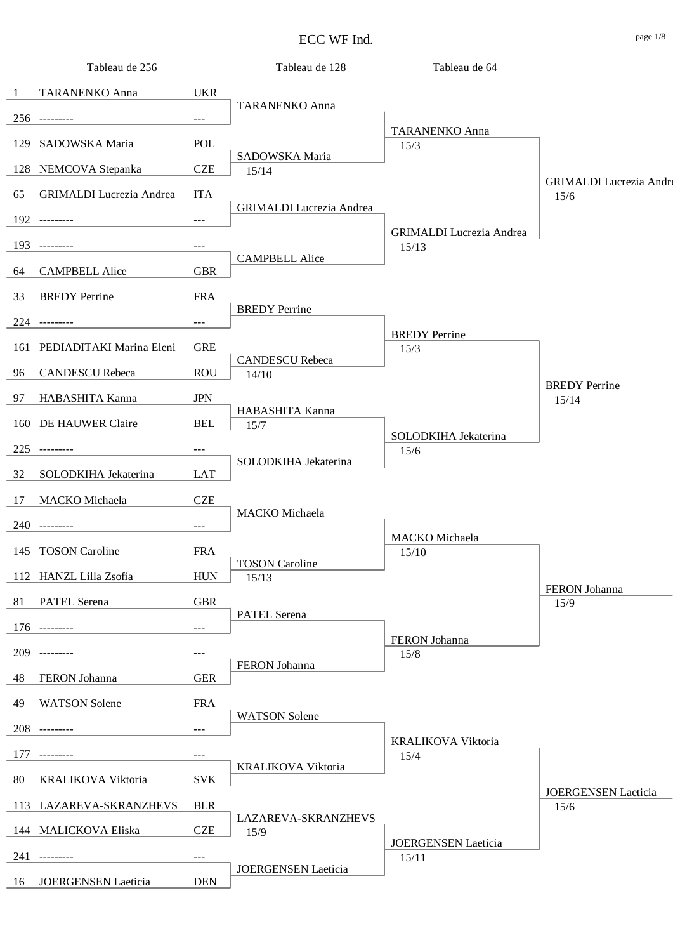| Tableau de 256                        |                     | Tableau de 128                  | Tableau de 64                   |                                        |
|---------------------------------------|---------------------|---------------------------------|---------------------------------|----------------------------------------|
| TARANENKO Anna<br>-1                  | <b>UKR</b>          |                                 |                                 |                                        |
| $256$ ---------                       |                     | <b>TARANENKO Anna</b>           |                                 |                                        |
|                                       | $---$               |                                 | <b>TARANENKO Anna</b>           |                                        |
| SADOWSKA Maria<br>129                 | POL                 | SADOWSKA Maria                  | 15/3                            |                                        |
| 128<br>NEMCOVA Stepanka               | <b>CZE</b>          | 15/14                           |                                 |                                        |
| <b>GRIMALDI</b> Lucrezia Andrea<br>65 | <b>ITA</b>          |                                 |                                 | <b>GRIMALDI</b> Lucrezia Andre<br>15/6 |
|                                       |                     | <b>GRIMALDI</b> Lucrezia Andrea |                                 |                                        |
| $192$ ---------                       | $\qquad \qquad - -$ |                                 | <b>GRIMALDI</b> Lucrezia Andrea |                                        |
| 193<br>---------                      | $---$               | <b>CAMPBELL Alice</b>           | 15/13                           |                                        |
| <b>CAMPBELL Alice</b><br>64           | <b>GBR</b>          |                                 |                                 |                                        |
| 33<br><b>BREDY</b> Perrine            | <b>FRA</b>          |                                 |                                 |                                        |
|                                       |                     | <b>BREDY</b> Perrine            |                                 |                                        |
| $224$ ---------                       | $\qquad \qquad - -$ |                                 | <b>BREDY</b> Perrine            |                                        |
| PEDIADITAKI Marina Eleni<br>161       | <b>GRE</b>          | <b>CANDESCU Rebeca</b>          | 15/3                            |                                        |
| <b>CANDESCU Rebeca</b><br>96          | <b>ROU</b>          | 14/10                           |                                 |                                        |
| HABASHITA Kanna<br>97                 | <b>JPN</b>          |                                 |                                 | <b>BREDY</b> Perrine                   |
|                                       |                     | HABASHITA Kanna                 |                                 | 15/14                                  |
| DE HAUWER Claire<br>160               | <b>BEL</b>          | 15/7                            | SOLODKIHA Jekaterina            |                                        |
| 225                                   | $---$               |                                 | 15/6                            |                                        |
| 32<br>SOLODKIHA Jekaterina            | LAT                 | SOLODKIHA Jekaterina            |                                 |                                        |
| MACKO Michaela<br>17                  | <b>CZE</b>          |                                 |                                 |                                        |
|                                       |                     | MACKO Michaela                  |                                 |                                        |
| 240 ---------                         | $\frac{1}{2}$       |                                 | MACKO Michaela                  |                                        |
| 145 TOSON Caroline                    | <b>FRA</b>          |                                 | 15/10                           |                                        |
| 112 HANZL Lilla Zsofia                | <b>HUN</b>          | <b>TOSON</b> Caroline<br>15/13  |                                 |                                        |
| PATEL Serena<br>81                    | <b>GBR</b>          |                                 |                                 | FERON Johanna<br>15/9                  |
|                                       |                     | PATEL Serena                    |                                 |                                        |
| $176$ ---------                       | $\qquad \qquad - -$ |                                 | FERON Johanna                   |                                        |
| 209                                   | $---$               |                                 | 15/8                            |                                        |
| FERON Johanna<br>48                   | <b>GER</b>          | FERON Johanna                   |                                 |                                        |
| <b>WATSON</b> Solene<br>49            | <b>FRA</b>          |                                 |                                 |                                        |
|                                       |                     | <b>WATSON Solene</b>            |                                 |                                        |
| 208<br>----------                     | $\qquad \qquad - -$ |                                 | KRALIKOVA Viktoria              |                                        |
| 177<br>----------                     | $---$               |                                 | 15/4                            |                                        |
| 80<br>KRALIKOVA Viktoria              | <b>SVK</b>          | KRALIKOVA Viktoria              |                                 |                                        |
| 113 LAZAREVA-SKRANZHEVS               | <b>BLR</b>          |                                 |                                 | JOERGENSEN Laeticia<br>15/6            |
|                                       |                     | LAZAREVA-SKRANZHEVS             |                                 |                                        |
| 144 MALICKOVA Eliska                  | <b>CZE</b>          | 15/9                            | <b>JOERGENSEN</b> Laeticia      |                                        |
| 241<br>----------                     | $---$               | <b>JOERGENSEN Laeticia</b>      | 15/11                           |                                        |
| JOERGENSEN Laeticia<br>16             | <b>DEN</b>          |                                 |                                 |                                        |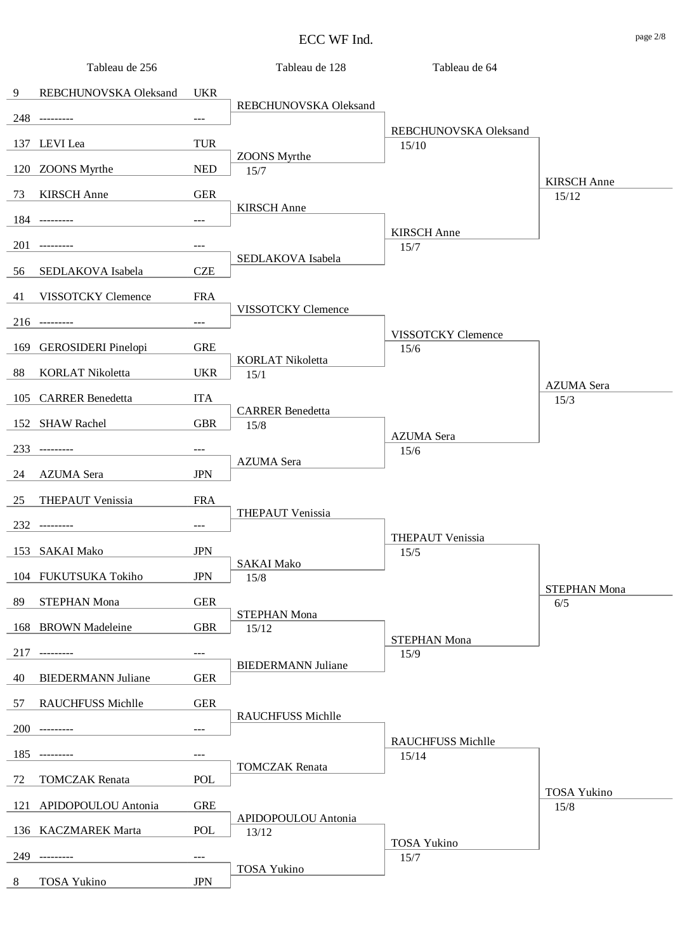|     | Tableau de 256            |                     | Tableau de 128            | Tableau de 64              |                             |
|-----|---------------------------|---------------------|---------------------------|----------------------------|-----------------------------|
| 9   | REBCHUNOVSKA Oleksand     | <b>UKR</b>          |                           |                            |                             |
|     | 248 ---------             | $---$               | REBCHUNOVSKA Oleksand     |                            |                             |
|     |                           |                     |                           | REBCHUNOVSKA Oleksand      |                             |
|     | 137 LEVI Lea              | <b>TUR</b>          | <b>ZOONS</b> Myrthe       | 15/10                      |                             |
|     | 120 ZOONS Myrthe          | <b>NED</b>          | 15/7                      |                            |                             |
| 73  | <b>KIRSCH</b> Anne        | <b>GER</b>          |                           |                            | <b>KIRSCH</b> Anne<br>15/12 |
|     | 184 ---------             | $---$               | <b>KIRSCH</b> Anne        |                            |                             |
| 201 |                           |                     |                           | <b>KIRSCH</b> Anne         |                             |
|     | ----------                | ---                 | SEDLAKOVA Isabela         | 15/7                       |                             |
| 56  | SEDLAKOVA Isabela         | <b>CZE</b>          |                           |                            |                             |
| 41  | VISSOTCKY Clemence        | <b>FRA</b>          |                           |                            |                             |
|     | $216$ ---------           | ---                 | VISSOTCKY Clemence        |                            |                             |
|     | 169 GEROSIDERI Pinelopi   | <b>GRE</b>          |                           | VISSOTCKY Clemence<br>15/6 |                             |
|     |                           |                     | <b>KORLAT Nikoletta</b>   |                            |                             |
| 88  | <b>KORLAT Nikoletta</b>   | <b>UKR</b>          | 15/1                      |                            | <b>AZUMA</b> Sera           |
|     | 105 CARRER Benedetta      | <b>ITA</b>          | <b>CARRER Benedetta</b>   |                            | 15/3                        |
|     | 152 SHAW Rachel           | <b>GBR</b>          | 15/8                      |                            |                             |
| 233 |                           | $---$               |                           | <b>AZUMA</b> Sera<br>15/6  |                             |
|     |                           |                     | <b>AZUMA</b> Sera         |                            |                             |
| 24  | <b>AZUMA</b> Sera         | <b>JPN</b>          |                           |                            |                             |
| 25  | THEPAUT Venissia          | <b>FRA</b>          | THEPAUT Venissia          |                            |                             |
|     | 232 ---------             | $---$               |                           |                            |                             |
|     | 153 SAKAI Mako            | <b>JPN</b>          |                           | THEPAUT Venissia<br>15/5   |                             |
|     | 104 FUKUTSUKA Tokiho      | <b>JPN</b>          | <b>SAKAI Mako</b><br>15/8 |                            |                             |
|     |                           |                     |                           |                            | <b>STEPHAN Mona</b>         |
| 89  | <b>STEPHAN Mona</b>       | <b>GER</b>          | STEPHAN Mona              |                            | 6/5                         |
|     | 168 BROWN Madeleine       | <b>GBR</b>          | 15/12                     | <b>STEPHAN Mona</b>        |                             |
| 217 |                           | $\qquad \qquad - -$ |                           | 15/9                       |                             |
| 40  | <b>BIEDERMANN Juliane</b> | <b>GER</b>          | <b>BIEDERMANN Juliane</b> |                            |                             |
| 57  | RAUCHFUSS Michlle         | <b>GER</b>          |                           |                            |                             |
|     |                           |                     | RAUCHFUSS Michlle         |                            |                             |
| 200 | ----------                | $---$               |                           | <b>RAUCHFUSS Michlle</b>   |                             |
| 185 |                           | ---                 | <b>TOMCZAK</b> Renata     | 15/14                      |                             |
| 72  | <b>TOMCZAK</b> Renata     | POL                 |                           |                            |                             |
|     | 121 APIDOPOULOU Antonia   | <b>GRE</b>          |                           |                            | <b>TOSA Yukino</b><br>15/8  |
|     | 136 KACZMAREK Marta       | <b>POL</b>          | APIDOPOULOU Antonia       |                            |                             |
|     |                           |                     | 13/12                     | <b>TOSA Yukino</b>         |                             |
| 249 | ---------                 | $\qquad \qquad - -$ | <b>TOSA Yukino</b>        | 15/7                       |                             |
| 8   | <b>TOSA Yukino</b>        | <b>JPN</b>          |                           |                            |                             |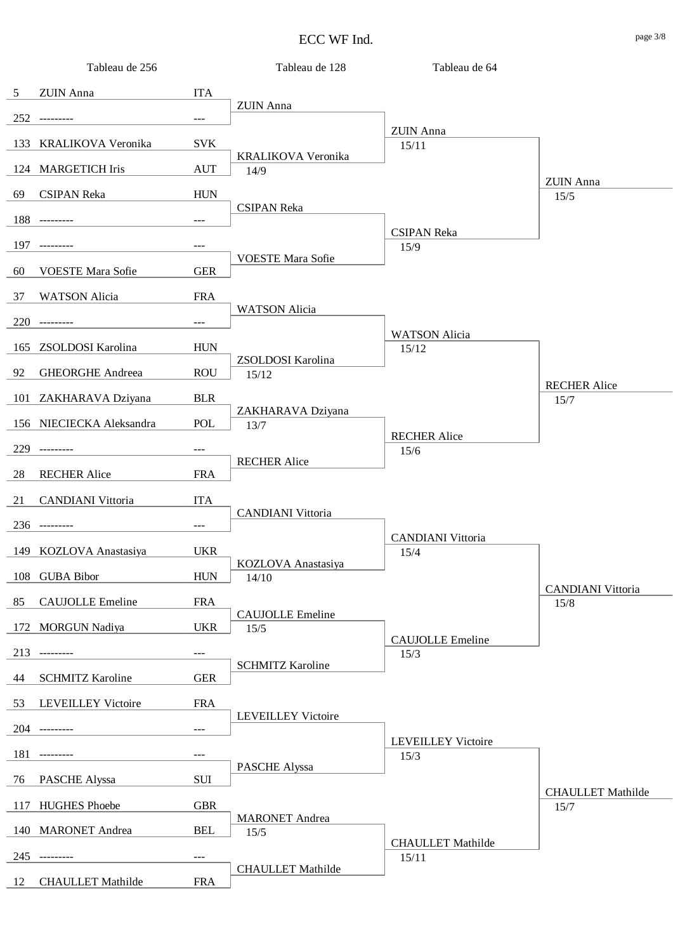| Tableau de 256                  |                     | Tableau de 128              | Tableau de 64                     |                             |
|---------------------------------|---------------------|-----------------------------|-----------------------------------|-----------------------------|
| ZUIN Anna<br>5                  | <b>ITA</b>          |                             |                                   |                             |
| 252 ---------                   | $\qquad \qquad - -$ | <b>ZUIN</b> Anna            |                                   |                             |
| 133 KRALIKOVA Veronika          | <b>SVK</b>          |                             | <b>ZUIN</b> Anna                  |                             |
|                                 |                     | KRALIKOVA Veronika          | 15/11                             |                             |
| 124 MARGETICH Iris              | <b>AUT</b>          | 14/9                        |                                   | <b>ZUIN</b> Anna            |
| <b>CSIPAN Reka</b><br>69        | <b>HUN</b>          | <b>CSIPAN Reka</b>          |                                   | 15/5                        |
| 188 ---------                   | $---$               |                             |                                   |                             |
| 197<br>$- - - - - - - - -$      | $---$               |                             | <b>CSIPAN Reka</b><br>15/9        |                             |
| <b>VOESTE Mara Sofie</b><br>60  | <b>GER</b>          | <b>VOESTE Mara Sofie</b>    |                                   |                             |
|                                 |                     |                             |                                   |                             |
| 37<br><b>WATSON</b> Alicia      | <b>FRA</b>          | <b>WATSON Alicia</b>        |                                   |                             |
| 220<br>$- - - - - - - - -$      | $\qquad \qquad - -$ |                             | <b>WATSON</b> Alicia              |                             |
| ZSOLDOSI Karolina<br>165        | <b>HUN</b>          | ZSOLDOSI Karolina           | 15/12                             |                             |
| <b>GHEORGHE Andreea</b><br>92   | <b>ROU</b>          | 15/12                       |                                   |                             |
| 101 ZAKHARAVA Dziyana           | <b>BLR</b>          |                             |                                   | <b>RECHER Alice</b><br>15/7 |
| 156 NIECIECKA Aleksandra        | POL                 | ZAKHARAVA Dziyana<br>13/7   |                                   |                             |
|                                 |                     |                             | <b>RECHER Alice</b>               |                             |
| 229<br>---------                | $---$               | <b>RECHER Alice</b>         | 15/6                              |                             |
| <b>RECHER Alice</b><br>28       | <b>FRA</b>          |                             |                                   |                             |
| <b>CANDIANI</b> Vittoria<br>21  | <b>ITA</b>          | <b>CANDIANI Vittoria</b>    |                                   |                             |
| 236 ---------                   | $\qquad \qquad - -$ |                             |                                   |                             |
| 149 KOZLOVA Anastasiya          | <b>UKR</b>          |                             | <b>CANDIANI Vittoria</b><br>15/4  |                             |
| <b>GUBA Bibor</b><br>108        | <b>HUN</b>          | KOZLOVA Anastasiya<br>14/10 |                                   |                             |
|                                 |                     |                             |                                   | <b>CANDIANI</b> Vittoria    |
| <b>CAUJOLLE</b> Emeline<br>85   | <b>FRA</b>          | <b>CAUJOLLE Emeline</b>     |                                   | 15/8                        |
| <b>MORGUN Nadiya</b><br>172     | <b>UKR</b>          | 15/5                        | <b>CAUJOLLE</b> Emeline           |                             |
| 213<br>----------               | $---$               | <b>SCHMITZ Karoline</b>     | 15/3                              |                             |
| <b>SCHMITZ Karoline</b><br>44   | <b>GER</b>          |                             |                                   |                             |
| <b>LEVEILLEY Victoire</b><br>53 | <b>FRA</b>          |                             |                                   |                             |
| 204 ---------                   | $---$               | <b>LEVEILLEY Victoire</b>   |                                   |                             |
|                                 |                     |                             | <b>LEVEILLEY Victoire</b>         |                             |
| 181<br>----------               | $---$               | PASCHE Alyssa               | 15/3                              |                             |
| PASCHE Alyssa<br>76             | SUI                 |                             |                                   | <b>CHAULLET Mathilde</b>    |
| <b>HUGHES Phoebe</b><br>117     | <b>GBR</b>          | <b>MARONET</b> Andrea       |                                   | 15/7                        |
| 140 MARONET Andrea              | <b>BEL</b>          | 15/5                        |                                   |                             |
| 245<br>---------                | $---$               |                             | <b>CHAULLET</b> Mathilde<br>15/11 |                             |
|                                 |                     | <b>CHAULLET</b> Mathilde    |                                   |                             |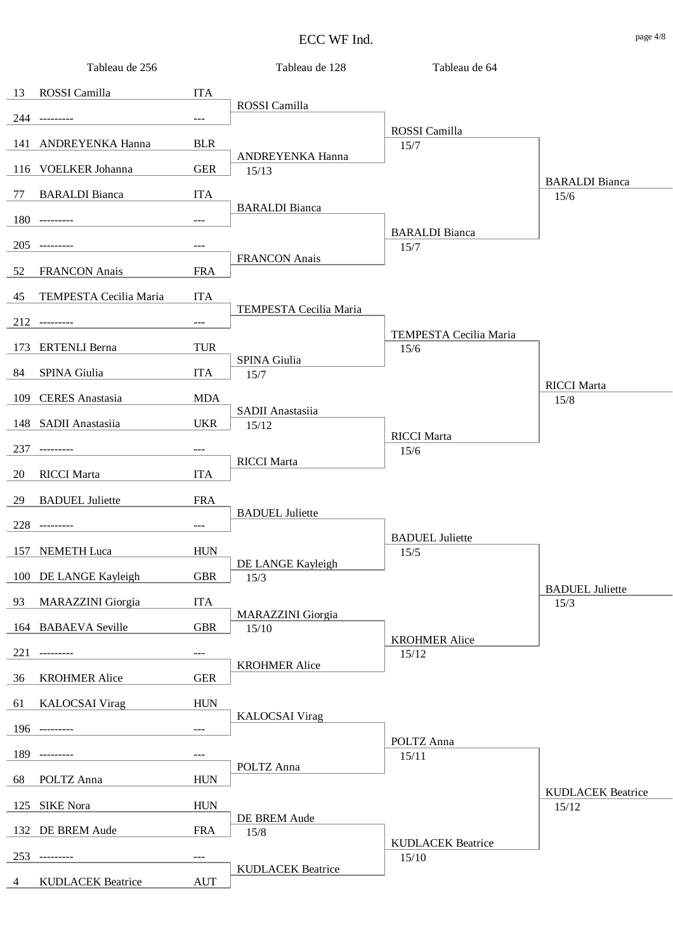|    | Tableau de 256           |                      | Tableau de 128                    | Tableau de 64                 |                          |
|----|--------------------------|----------------------|-----------------------------------|-------------------------------|--------------------------|
|    | 13 ROSSI Camilla         | <b>ITA</b>           |                                   |                               |                          |
|    | 244 ---------            | $\sim$ $\sim$ $\sim$ | ROSSI Camilla                     |                               |                          |
|    | 141 ANDREYENKA Hanna     | <b>BLR</b>           |                                   | ROSSI Camilla                 |                          |
|    |                          |                      | ANDREYENKA Hanna                  | 15/7                          |                          |
|    | 116 VOELKER Johanna      | <b>GER</b>           | 15/13                             |                               | <b>BARALDI</b> Bianca    |
|    | 77 BARALDI Bianca        | <b>ITA</b>           | <b>BARALDI</b> Bianca             |                               | 15/6                     |
|    | 180 ---------            | $---$                |                                   |                               |                          |
|    | 205 ---------            | $\qquad \qquad - -$  |                                   | <b>BARALDI</b> Bianca<br>15/7 |                          |
| 52 | <b>FRANCON</b> Anais     | <b>FRA</b>           | <b>FRANCON</b> Anais              |                               |                          |
|    |                          |                      |                                   |                               |                          |
| 45 | TEMPESTA Cecilia Maria   | <b>ITA</b>           | TEMPESTA Cecilia Maria            |                               |                          |
|    | 212 ---------            | $\qquad \qquad - -$  |                                   | TEMPESTA Cecilia Maria        |                          |
|    | 173 ERTENLI Berna        | <b>TUR</b>           |                                   | 15/6                          |                          |
| 84 | SPINA Giulia             | <b>ITA</b>           | SPINA Giulia<br>15/7              |                               |                          |
|    | 109 CERES Anastasia      | <b>MDA</b>           |                                   |                               | <b>RICCI</b> Marta       |
|    |                          |                      | SADII Anastasiia                  |                               | 15/8                     |
|    | 148 SADII Anastasiia     | <b>UKR</b>           | 15/12                             | <b>RICCI</b> Marta            |                          |
|    | 237 ---------            | $---$                | <b>RICCI</b> Marta                | 15/6                          |                          |
| 20 | <b>RICCI</b> Marta       | <b>ITA</b>           |                                   |                               |                          |
| 29 | <b>BADUEL</b> Juliette   | <b>FRA</b>           |                                   |                               |                          |
|    | 228 ---------            | $\qquad \qquad - -$  | <b>BADUEL</b> Juliette            |                               |                          |
|    |                          |                      |                                   | <b>BADUEL</b> Juliette        |                          |
|    | 157 NEMETH Luca          | <b>HUN</b>           | DE LANGE Kayleigh                 | 15/5                          |                          |
|    | 100 DE LANGE Kayleigh    | <b>GBR</b>           | 15/3                              |                               | <b>BADUEL</b> Juliette   |
| 93 | <b>MARAZZINI</b> Giorgia | <b>ITA</b>           |                                   |                               | 15/3                     |
|    | 164 BABAEVA Seville      | <b>GBR</b>           | <b>MARAZZINI</b> Giorgia<br>15/10 |                               |                          |
|    | 221 ---------            | $---$                |                                   | <b>KROHMER Alice</b><br>15/12 |                          |
|    |                          |                      | <b>KROHMER Alice</b>              |                               |                          |
| 36 | <b>KROHMER Alice</b>     | <b>GER</b>           |                                   |                               |                          |
| 61 | <b>KALOCSAI</b> Virag    | <b>HUN</b>           | <b>KALOCSAI</b> Virag             |                               |                          |
|    | 196 ---------            | $---$                |                                   |                               |                          |
|    | 189 ---------            | $---$                |                                   | POLTZ Anna<br>15/11           |                          |
| 68 | POLTZ Anna               | <b>HUN</b>           | POLTZ Anna                        |                               |                          |
|    | 125 SIKE Nora            | <b>HUN</b>           |                                   |                               | <b>KUDLACEK Beatrice</b> |
|    |                          |                      | DE BREM Aude                      |                               | 15/12                    |
|    | 132 DE BREM Aude         | <b>FRA</b>           | 15/8                              | <b>KUDLACEK Beatrice</b>      |                          |
|    | 253 ---------            | $---$                | <b>KUDLACEK Beatrice</b>          | 15/10                         |                          |
|    |                          |                      |                                   |                               |                          |

4 KUDLACEK Beatrice AUT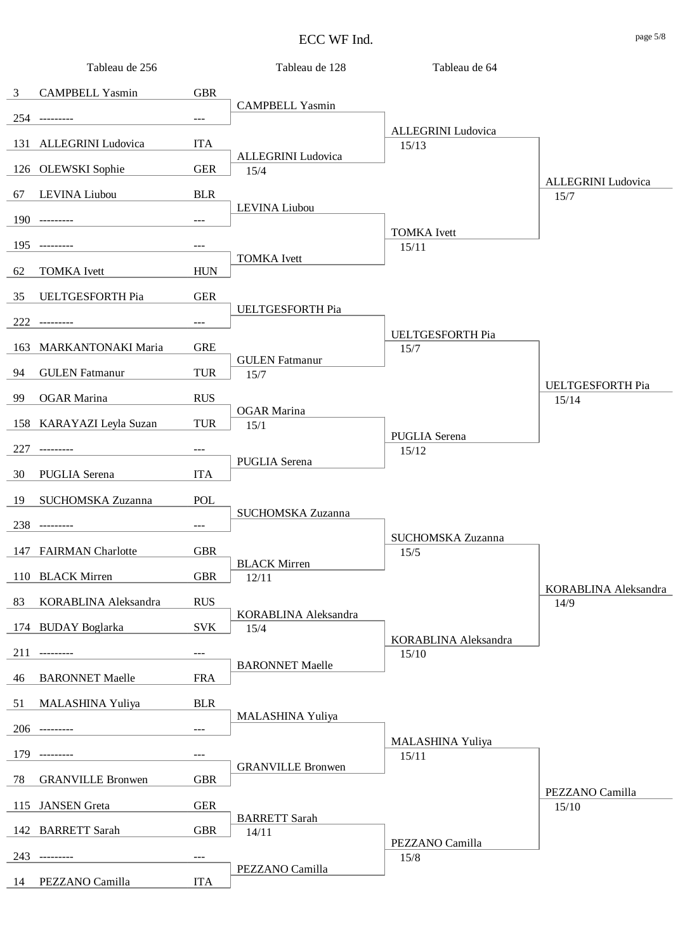|                | Tableau de 256           |            | Tableau de 128               | Tableau de 64               |                              |
|----------------|--------------------------|------------|------------------------------|-----------------------------|------------------------------|
| $\mathfrak{Z}$ | <b>CAMPBELL Yasmin</b>   | <b>GBR</b> |                              |                             |                              |
|                | 254 ---------            | ---        | <b>CAMPBELL Yasmin</b>       |                             |                              |
|                | 131 ALLEGRINI Ludovica   | <b>ITA</b> |                              | ALLEGRINI Ludovica<br>15/13 |                              |
|                | 126 OLEWSKI Sophie       | <b>GER</b> | ALLEGRINI Ludovica<br>15/4   |                             |                              |
|                |                          |            |                              |                             | <b>ALLEGRINI</b> Ludovica    |
| 67             | LEVINA Liubou            | <b>BLR</b> | LEVINA Liubou                |                             | 15/7                         |
|                | 190 ---------            | $---$      |                              | <b>TOMKA</b> Ivett          |                              |
| 195            | ----------               | ---        | <b>TOMKA</b> Ivett           | 15/11                       |                              |
| 62             | <b>TOMKA</b> Ivett       | <b>HUN</b> |                              |                             |                              |
| 35             | UELTGESFORTH Pia         | <b>GER</b> |                              |                             |                              |
|                | 222 ---------            | ---        | UELTGESFORTH Pia             |                             |                              |
|                |                          |            |                              | UELTGESFORTH Pia            |                              |
|                | 163 MARKANTONAKI Maria   | <b>GRE</b> | <b>GULEN</b> Fatmanur        | 15/7                        |                              |
| 94             | <b>GULEN</b> Fatmanur    | <b>TUR</b> | 15/7                         |                             | <b>UELTGESFORTH Pia</b>      |
| 99             | <b>OGAR</b> Marina       | <b>RUS</b> |                              |                             | 15/14                        |
|                | 158 KARAYAZI Leyla Suzan | <b>TUR</b> | <b>OGAR</b> Marina<br>15/1   |                             |                              |
| 227            | ---------                | ---        |                              | PUGLIA Serena<br>15/12      |                              |
|                |                          |            | PUGLIA Serena                |                             |                              |
| 30             | PUGLIA Serena            | <b>ITA</b> |                              |                             |                              |
| 19             | SUCHOMSKA Zuzanna        | POL        | SUCHOMSKA Zuzanna            |                             |                              |
|                | 238 ---------            | ---        |                              | SUCHOMSKA Zuzanna           |                              |
|                | 147 FAIRMAN Charlotte    | <b>GBR</b> |                              | 15/5                        |                              |
|                | 110 BLACK Mirren         | <b>GBR</b> | <b>BLACK Mirren</b><br>12/11 |                             |                              |
| 83             | KORABLINA Aleksandra     | <b>RUS</b> |                              |                             | KORABLINA Aleksandra<br>14/9 |
|                |                          |            | KORABLINA Aleksandra         |                             |                              |
|                | 174 BUDAY Boglarka       | <b>SVK</b> | 15/4                         | KORABLINA Aleksandra        |                              |
| 211            |                          | ---        | <b>BARONNET Maelle</b>       | 15/10                       |                              |
| 46             | <b>BARONNET Maelle</b>   | <b>FRA</b> |                              |                             |                              |
| 51             | MALASHINA Yuliya         | <b>BLR</b> |                              |                             |                              |
|                | 206 ---------            | $---$      | MALASHINA Yuliya             |                             |                              |
| 179            |                          | $---$      |                              | MALASHINA Yuliya            |                              |
|                |                          |            | <b>GRANVILLE Bronwen</b>     | 15/11                       |                              |
| 78             | <b>GRANVILLE Bronwen</b> | <b>GBR</b> |                              |                             | PEZZANO Camilla              |
|                | 115 JANSEN Greta         | <b>GER</b> | <b>BARRETT</b> Sarah         |                             | 15/10                        |
|                | 142 BARRETT Sarah        | <b>GBR</b> | 14/11                        |                             |                              |
| 243            | ---------                | ---        |                              | PEZZANO Camilla<br>15/8     |                              |
| 14             | PEZZANO Camilla          | <b>ITA</b> | PEZZANO Camilla              |                             |                              |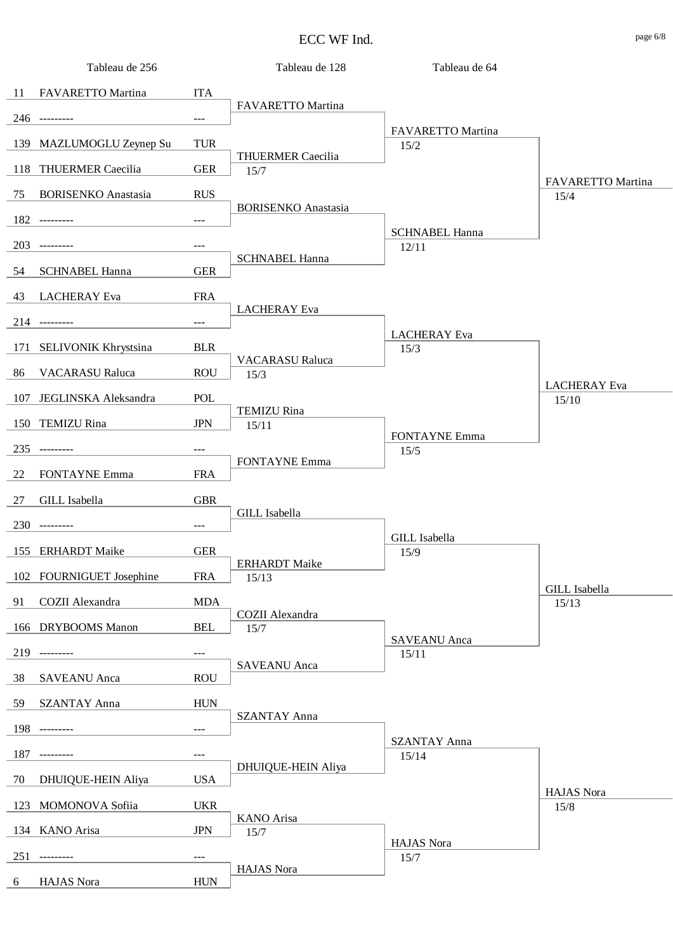| Tableau de 256                     |                     | Tableau de 128             | Tableau de 64                |                           |
|------------------------------------|---------------------|----------------------------|------------------------------|---------------------------|
| FAVARETTO Martina<br>-11           | <b>ITA</b>          |                            |                              |                           |
| 246 ---------                      | $---$               | FAVARETTO Martina          |                              |                           |
| 139<br>MAZLUMOGLU Zeynep Su        | <b>TUR</b>          |                            | FAVARETTO Martina<br>$15/2$  |                           |
|                                    |                     | <b>THUERMER Caecilia</b>   |                              |                           |
| <b>THUERMER Caecilia</b><br>118    | <b>GER</b>          | 15/7                       |                              | FAVARETTO Martina         |
| <b>BORISENKO</b> Anastasia<br>75   | <b>RUS</b>          | <b>BORISENKO</b> Anastasia |                              | 15/4                      |
| 182 ---------                      | $---$               |                            | <b>SCHNABEL Hanna</b>        |                           |
| 203                                | $\qquad \qquad - -$ |                            | 12/11                        |                           |
| <b>SCHNABEL Hanna</b><br>54        | <b>GER</b>          | <b>SCHNABEL Hanna</b>      |                              |                           |
| <b>LACHERAY</b> Eva<br>43          | <b>FRA</b>          |                            |                              |                           |
| 214 ---------                      | $\qquad \qquad - -$ | <b>LACHERAY</b> Eva        |                              |                           |
|                                    |                     |                            | <b>LACHERAY</b> Eva          |                           |
| 171<br><b>SELIVONIK Khrystsina</b> | <b>BLR</b>          | <b>VACARASU Raluca</b>     | 15/3                         |                           |
| <b>VACARASU Raluca</b><br>86       | <b>ROU</b>          | 15/3                       |                              | <b>LACHERAY</b> Eva       |
| JEGLINSKA Aleksandra<br>107        | POL                 | <b>TEMIZU Rina</b>         |                              | 15/10                     |
| <b>TEMIZU Rina</b><br>150          | <b>JPN</b>          | 15/11                      |                              |                           |
| 235<br>---------                   | $---$               |                            | <b>FONTAYNE Emma</b><br>15/5 |                           |
| <b>FONTAYNE Emma</b><br>22         | <b>FRA</b>          | <b>FONTAYNE Emma</b>       |                              |                           |
| <b>GILL</b> Isabella<br>27         | <b>GBR</b>          |                            |                              |                           |
| 230<br>$- - - - - - - -$           |                     | <b>GILL</b> Isabella       |                              |                           |
|                                    | $\qquad \qquad - -$ |                            | <b>GILL</b> Isabella         |                           |
| 155 ERHARDT Maike                  | <b>GER</b>          | <b>ERHARDT</b> Maike       | 15/9                         |                           |
| 102 FOURNIGUET Josephine           | <b>FRA</b>          | 15/13                      |                              | <b>GILL</b> Isabella      |
| COZII Alexandra<br>91              | <b>MDA</b>          |                            |                              | 15/13                     |
| <b>DRYBOOMS</b> Manon<br>166       | <b>BEL</b>          | COZII Alexandra<br>15/7    |                              |                           |
| 219<br>----------                  | $---$               |                            | <b>SAVEANU</b> Anca<br>15/11 |                           |
| 38<br><b>SAVEANU</b> Anca          | <b>ROU</b>          | <b>SAVEANU</b> Anca        |                              |                           |
|                                    |                     |                            |                              |                           |
| <b>SZANTAY Anna</b><br>59          | <b>HUN</b>          | <b>SZANTAY Anna</b>        |                              |                           |
| 198 ---------                      | $---$               |                            | <b>SZANTAY Anna</b>          |                           |
| 187<br>----------                  | $---$               | <b>DHUIQUE-HEIN Aliya</b>  | 15/14                        |                           |
| DHUIQUE-HEIN Aliya<br>70           | <b>USA</b>          |                            |                              |                           |
| 123 MOMONOVA Sofiia                | <b>UKR</b>          |                            |                              | <b>HAJAS</b> Nora<br>15/8 |
| 134 KANO Arisa                     | <b>JPN</b>          | <b>KANO</b> Arisa<br>15/7  |                              |                           |
| 251<br>---------                   | $---$               |                            | <b>HAJAS</b> Nora<br>15/7    |                           |
|                                    |                     | HAJAS Nora                 |                              |                           |
| HAJAS Nora<br>6                    | <b>HUN</b>          |                            |                              |                           |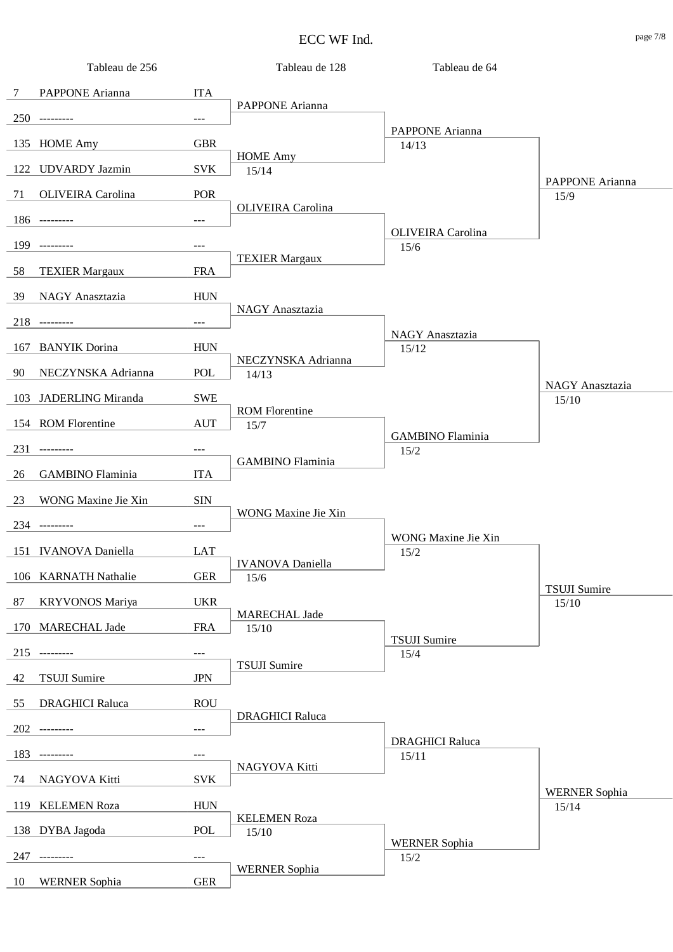| Tableau de 256                |                     | Tableau de 128               | Tableau de 64                |                          |
|-------------------------------|---------------------|------------------------------|------------------------------|--------------------------|
| PAPPONE Arianna<br>7          | <b>ITA</b>          |                              |                              |                          |
| $250$ ---------               | $---$               | PAPPONE Arianna              |                              |                          |
|                               |                     |                              | PAPPONE Arianna              |                          |
| 135 HOME Amy                  | <b>GBR</b>          | <b>HOME Amy</b>              | 14/13                        |                          |
| <b>UDVARDY</b> Jazmin<br>122  | <b>SVK</b>          | 15/14                        |                              | PAPPONE Arianna          |
| OLIVEIRA Carolina<br>71       | POR                 |                              |                              | 15/9                     |
| $186$ ---------               | $---$               | <b>OLIVEIRA</b> Carolina     |                              |                          |
| 199<br>----------             | $---$               |                              | OLIVEIRA Carolina<br>15/6    |                          |
| 58<br><b>TEXIER Margaux</b>   | <b>FRA</b>          | <b>TEXIER Margaux</b>        |                              |                          |
|                               |                     |                              |                              |                          |
| NAGY Anasztazia<br>39         | <b>HUN</b>          | NAGY Anasztazia              |                              |                          |
| $218$ ---------               | $---$               |                              | NAGY Anasztazia              |                          |
| <b>BANYIK</b> Dorina<br>167   | <b>HUN</b>          |                              | 15/12                        |                          |
| NECZYNSKA Adrianna<br>90      | POL                 | NECZYNSKA Adrianna<br>14/13  |                              |                          |
| JADERLING Miranda<br>103      | <b>SWE</b>          |                              |                              | NAGY Anasztazia<br>15/10 |
| 154 ROM Florentine            | <b>AUT</b>          | <b>ROM Florentine</b>        |                              |                          |
|                               |                     | 15/7                         | <b>GAMBINO</b> Flaminia      |                          |
| 231<br>__________             | $---$               | <b>GAMBINO</b> Flaminia      | 15/2                         |                          |
| <b>GAMBINO</b> Flaminia<br>26 | <b>ITA</b>          |                              |                              |                          |
| 23<br>WONG Maxine Jie Xin     | <b>SIN</b>          |                              |                              |                          |
| 234 ---------                 | $\qquad \qquad - -$ | WONG Maxine Jie Xin          |                              |                          |
| 151 IVANOVA Daniella          | <b>LAT</b>          |                              | WONG Maxine Jie Xin<br>15/2  |                          |
| 106 KARNATH Nathalie          | <b>GER</b>          | <b>IVANOVA</b> Daniella      |                              |                          |
|                               |                     | 15/6                         |                              | <b>TSUJI Sumire</b>      |
| 87<br><b>KRYVONOS Mariya</b>  | <b>UKR</b>          | <b>MARECHAL Jade</b>         |                              | 15/10                    |
| 170<br><b>MARECHAL Jade</b>   | <b>FRA</b>          | 15/10                        | <b>TSUJI Sumire</b>          |                          |
| 215<br>$- - - - - - - - -$    | ---                 |                              | 15/4                         |                          |
| 42<br><b>TSUJI</b> Sumire     | <b>JPN</b>          | <b>TSUJI Sumire</b>          |                              |                          |
| <b>DRAGHICI Raluca</b><br>55  | <b>ROU</b>          |                              |                              |                          |
| 202 ---------                 | $\qquad \qquad - -$ | <b>DRAGHICI Raluca</b>       |                              |                          |
|                               |                     |                              | <b>DRAGHICI Raluca</b>       |                          |
| 183<br>---------              | ---                 | NAGYOVA Kitti                | 15/11                        |                          |
| NAGYOVA Kitti<br>74           | <b>SVK</b>          |                              |                              | <b>WERNER Sophia</b>     |
| <b>KELEMEN Roza</b><br>119    | <b>HUN</b>          |                              |                              | 15/14                    |
| DYBA Jagoda<br>138            | POL                 | <b>KELEMEN Roza</b><br>15/10 |                              |                          |
| 247<br>---------              | $---$               |                              | <b>WERNER Sophia</b><br>15/2 |                          |
| <b>WERNER Sophia</b><br>10    | <b>GER</b>          | <b>WERNER Sophia</b>         |                              |                          |
|                               |                     |                              |                              |                          |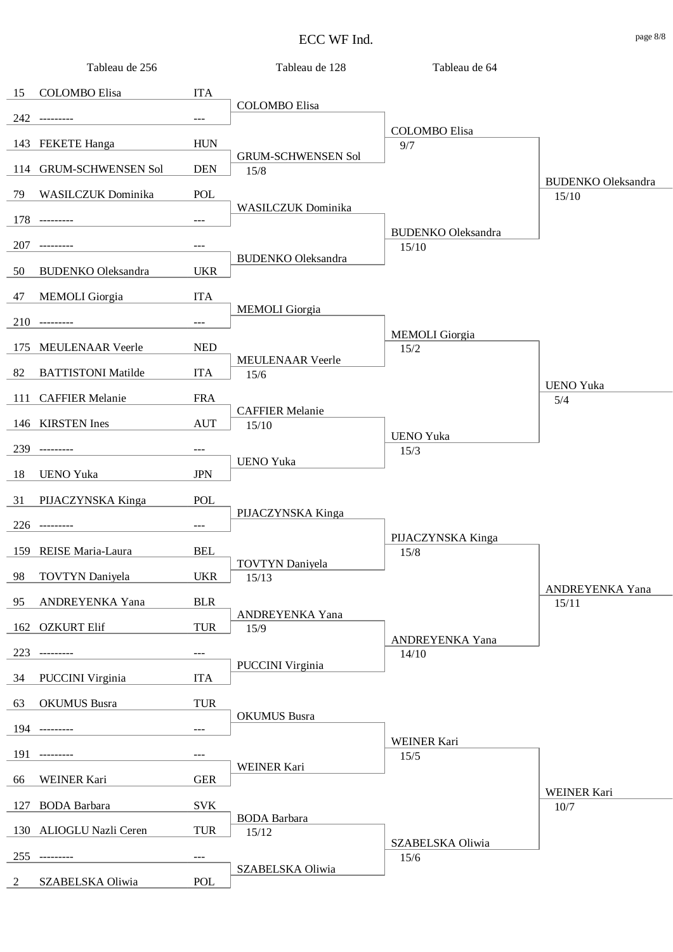| 15 COLOMBO Elisa<br><b>ITA</b><br><b>COLOMBO</b> Elisa<br>242 ---------<br>$\overline{a}$<br><b>COLOMBO</b> Elisa<br><b>HUN</b><br>143 FEKETE Hanga<br>9/7<br><b>GRUM-SCHWENSEN Sol</b><br>114 GRUM-SCHWENSEN Sol<br><b>DEN</b><br>15/8<br><b>BUDENKO</b> Oleksandra<br>79 WASILCZUK Dominika<br>POL<br>15/10<br>WASILCZUK Dominika<br>178 ---------<br><b>BUDENKO</b> Oleksandra<br>207 ---------<br>15/10<br>$---$<br><b>BUDENKO</b> Oleksandra<br>50<br><b>BUDENKO Oleksandra</b><br><b>UKR</b><br>47<br><b>MEMOLI</b> Giorgia<br><b>ITA</b><br><b>MEMOLI</b> Giorgia<br>210 ---------<br>$\overline{a}$<br><b>MEMOLI</b> Giorgia<br>175 MEULENAAR Veerle<br><b>NED</b><br>15/2<br>MEULENAAR Veerle<br>82 BATTISTONI Matilde<br><b>ITA</b><br>15/6<br><b>UENO Yuka</b><br>111 CAFFIER Melanie<br><b>FRA</b><br>5/4<br><b>CAFFIER Melanie</b> |  |
|-------------------------------------------------------------------------------------------------------------------------------------------------------------------------------------------------------------------------------------------------------------------------------------------------------------------------------------------------------------------------------------------------------------------------------------------------------------------------------------------------------------------------------------------------------------------------------------------------------------------------------------------------------------------------------------------------------------------------------------------------------------------------------------------------------------------------------------------------|--|
|                                                                                                                                                                                                                                                                                                                                                                                                                                                                                                                                                                                                                                                                                                                                                                                                                                                 |  |
|                                                                                                                                                                                                                                                                                                                                                                                                                                                                                                                                                                                                                                                                                                                                                                                                                                                 |  |
|                                                                                                                                                                                                                                                                                                                                                                                                                                                                                                                                                                                                                                                                                                                                                                                                                                                 |  |
|                                                                                                                                                                                                                                                                                                                                                                                                                                                                                                                                                                                                                                                                                                                                                                                                                                                 |  |
|                                                                                                                                                                                                                                                                                                                                                                                                                                                                                                                                                                                                                                                                                                                                                                                                                                                 |  |
|                                                                                                                                                                                                                                                                                                                                                                                                                                                                                                                                                                                                                                                                                                                                                                                                                                                 |  |
|                                                                                                                                                                                                                                                                                                                                                                                                                                                                                                                                                                                                                                                                                                                                                                                                                                                 |  |
|                                                                                                                                                                                                                                                                                                                                                                                                                                                                                                                                                                                                                                                                                                                                                                                                                                                 |  |
|                                                                                                                                                                                                                                                                                                                                                                                                                                                                                                                                                                                                                                                                                                                                                                                                                                                 |  |
|                                                                                                                                                                                                                                                                                                                                                                                                                                                                                                                                                                                                                                                                                                                                                                                                                                                 |  |
|                                                                                                                                                                                                                                                                                                                                                                                                                                                                                                                                                                                                                                                                                                                                                                                                                                                 |  |
|                                                                                                                                                                                                                                                                                                                                                                                                                                                                                                                                                                                                                                                                                                                                                                                                                                                 |  |
|                                                                                                                                                                                                                                                                                                                                                                                                                                                                                                                                                                                                                                                                                                                                                                                                                                                 |  |
|                                                                                                                                                                                                                                                                                                                                                                                                                                                                                                                                                                                                                                                                                                                                                                                                                                                 |  |
| 146 KIRSTEN Ines<br><b>AUT</b><br>15/10<br><b>UENO Yuka</b>                                                                                                                                                                                                                                                                                                                                                                                                                                                                                                                                                                                                                                                                                                                                                                                     |  |
| 239 ---------<br>15/3<br>$---$<br><b>UENO Yuka</b>                                                                                                                                                                                                                                                                                                                                                                                                                                                                                                                                                                                                                                                                                                                                                                                              |  |
| 18<br><b>JPN</b><br><b>UENO Yuka</b>                                                                                                                                                                                                                                                                                                                                                                                                                                                                                                                                                                                                                                                                                                                                                                                                            |  |
| 31 PIJACZYNSKA Kinga<br>POL<br>PIJACZYNSKA Kinga                                                                                                                                                                                                                                                                                                                                                                                                                                                                                                                                                                                                                                                                                                                                                                                                |  |
| 226 ---------<br>$\frac{1}{2}$                                                                                                                                                                                                                                                                                                                                                                                                                                                                                                                                                                                                                                                                                                                                                                                                                  |  |
| PIJACZYNSKA Kinga<br>159 REISE Maria-Laura<br><b>BEL</b><br>15/8                                                                                                                                                                                                                                                                                                                                                                                                                                                                                                                                                                                                                                                                                                                                                                                |  |
| <b>TOVTYN</b> Daniyela<br>98<br><b>TOVTYN</b> Daniyela<br><b>UKR</b><br>15/13                                                                                                                                                                                                                                                                                                                                                                                                                                                                                                                                                                                                                                                                                                                                                                   |  |
| ANDREYENKA Yana<br>95<br>ANDREYENKA Yana<br><b>BLR</b><br>15/11                                                                                                                                                                                                                                                                                                                                                                                                                                                                                                                                                                                                                                                                                                                                                                                 |  |
| ANDREYENKA Yana<br>162 OZKURT Elif<br><b>TUR</b><br>15/9                                                                                                                                                                                                                                                                                                                                                                                                                                                                                                                                                                                                                                                                                                                                                                                        |  |
| ANDREYENKA Yana<br>223 ---------<br>14/10                                                                                                                                                                                                                                                                                                                                                                                                                                                                                                                                                                                                                                                                                                                                                                                                       |  |
| PUCCINI Virginia<br>34<br><b>PUCCINI</b> Virginia<br><b>ITA</b>                                                                                                                                                                                                                                                                                                                                                                                                                                                                                                                                                                                                                                                                                                                                                                                 |  |
| 63<br><b>OKUMUS</b> Busra<br><b>TUR</b>                                                                                                                                                                                                                                                                                                                                                                                                                                                                                                                                                                                                                                                                                                                                                                                                         |  |
| <b>OKUMUS</b> Busra<br>194 ---------                                                                                                                                                                                                                                                                                                                                                                                                                                                                                                                                                                                                                                                                                                                                                                                                            |  |
| WEINER Kari<br>191 ---------<br>15/5<br>$---$                                                                                                                                                                                                                                                                                                                                                                                                                                                                                                                                                                                                                                                                                                                                                                                                   |  |
| WEINER Kari<br><b>WEINER Kari</b><br><b>GER</b><br>66                                                                                                                                                                                                                                                                                                                                                                                                                                                                                                                                                                                                                                                                                                                                                                                           |  |
| <b>WEINER Kari</b>                                                                                                                                                                                                                                                                                                                                                                                                                                                                                                                                                                                                                                                                                                                                                                                                                              |  |
| 127<br><b>BODA</b> Barbara<br><b>SVK</b><br>10/7<br><b>BODA</b> Barbara                                                                                                                                                                                                                                                                                                                                                                                                                                                                                                                                                                                                                                                                                                                                                                         |  |
| 130 ALIOGLU Nazli Ceren<br><b>TUR</b><br>15/12<br>SZABELSKA Oliwia                                                                                                                                                                                                                                                                                                                                                                                                                                                                                                                                                                                                                                                                                                                                                                              |  |
| 255 ---------<br>15/6<br>$---$<br>SZABELSKA Oliwia                                                                                                                                                                                                                                                                                                                                                                                                                                                                                                                                                                                                                                                                                                                                                                                              |  |

2 SZABELSKA Oliwia POL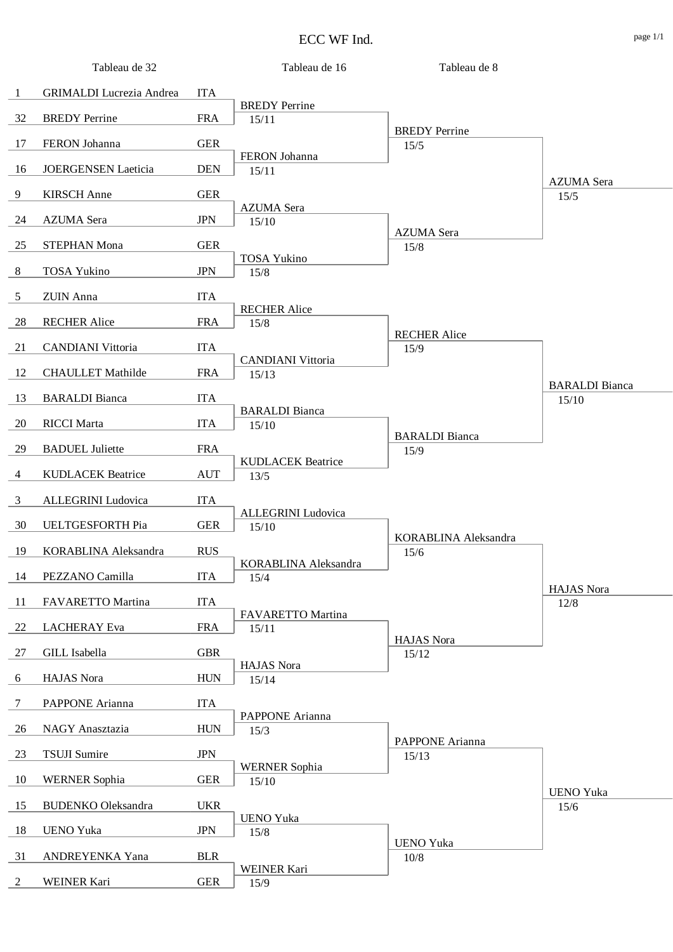|                | Tableau de 32                   |            | Tableau de 16                     | Tableau de 8          |                           |
|----------------|---------------------------------|------------|-----------------------------------|-----------------------|---------------------------|
| $\mathbf{1}$   | <b>GRIMALDI</b> Lucrezia Andrea | <b>ITA</b> |                                   |                       |                           |
| 32             | <b>BREDY</b> Perrine            | <b>FRA</b> | <b>BREDY</b> Perrine              |                       |                           |
|                |                                 |            | 15/11                             | <b>BREDY</b> Perrine  |                           |
| 17             | FERON Johanna                   | <b>GER</b> | FERON Johanna                     | 15/5                  |                           |
| 16             | <b>JOERGENSEN Laeticia</b>      | <b>DEN</b> | 15/11                             |                       |                           |
| 9              | <b>KIRSCH</b> Anne              | <b>GER</b> |                                   |                       | <b>AZUMA</b> Sera<br>15/5 |
|                |                                 |            | <b>AZUMA</b> Sera                 |                       |                           |
| 24             | <b>AZUMA</b> Sera               | <b>JPN</b> | 15/10                             | <b>AZUMA</b> Sera     |                           |
| 25             | <b>STEPHAN Mona</b>             | <b>GER</b> | <b>TOSA Yukino</b>                | 15/8                  |                           |
| 8              | <b>TOSA Yukino</b>              | <b>JPN</b> | 15/8                              |                       |                           |
| 5              | <b>ZUIN</b> Anna                | <b>ITA</b> |                                   |                       |                           |
|                |                                 |            | <b>RECHER Alice</b>               |                       |                           |
| 28             | <b>RECHER Alice</b>             | <b>FRA</b> | 15/8                              | <b>RECHER Alice</b>   |                           |
| 21             | <b>CANDIANI</b> Vittoria        | <b>ITA</b> |                                   | 15/9                  |                           |
| 12             | <b>CHAULLET Mathilde</b>        | <b>FRA</b> | <b>CANDIANI Vittoria</b><br>15/13 |                       |                           |
| 13             | <b>BARALDI</b> Bianca           | <b>ITA</b> |                                   |                       | <b>BARALDI</b> Bianca     |
|                |                                 |            | <b>BARALDI</b> Bianca             |                       | 15/10                     |
| 20             | <b>RICCI</b> Marta              | <b>ITA</b> | 15/10                             | <b>BARALDI</b> Bianca |                           |
| 29             | <b>BADUEL Juliette</b>          | <b>FRA</b> |                                   | 15/9                  |                           |
| $\overline{4}$ | <b>KUDLACEK Beatrice</b>        | <b>AUT</b> | <b>KUDLACEK Beatrice</b><br>13/5  |                       |                           |
| 3              | ALLEGRINI Ludovica              | <b>ITA</b> |                                   |                       |                           |
|                |                                 |            | <b>ALLEGRINI</b> Ludovica         |                       |                           |
| 30             | UELTGESFORTH Pia                | <b>GER</b> | 15/10                             | KORABLINA Aleksandra  |                           |
| 19             | KORABLINA Aleksandra            | <b>RUS</b> |                                   | 15/6                  |                           |
| 14             | PEZZANO Camilla                 | <b>ITA</b> | KORABLINA Aleksandra<br>15/4      |                       |                           |
|                | FAVARETTO Martina               | <b>ITA</b> |                                   |                       | <b>HAJAS</b> Nora         |
| 11             |                                 |            | FAVARETTO Martina                 |                       | 12/8                      |
| 22             | <b>LACHERAY</b> Eva             | <b>FRA</b> | 15/11                             | <b>HAJAS</b> Nora     |                           |
| 27             | GILL Isabella                   | <b>GBR</b> |                                   | 15/12                 |                           |
| 6              | HAJAS Nora                      | <b>HUN</b> | <b>HAJAS</b> Nora<br>15/14        |                       |                           |
| $\tau$         | PAPPONE Arianna                 | <b>ITA</b> |                                   |                       |                           |
|                |                                 |            | PAPPONE Arianna                   |                       |                           |
| 26             | NAGY Anasztazia                 | <b>HUN</b> | 15/3                              | PAPPONE Arianna       |                           |
| 23             | <b>TSUJI Sumire</b>             | <b>JPN</b> |                                   | 15/13                 |                           |
| 10             | <b>WERNER Sophia</b>            | <b>GER</b> | <b>WERNER Sophia</b><br>15/10     |                       |                           |
|                |                                 |            |                                   |                       | <b>UENO Yuka</b>          |
| 15             | <b>BUDENKO</b> Oleksandra       | <b>UKR</b> | <b>UENO Yuka</b>                  |                       | 15/6                      |
| 18             | <b>UENO Yuka</b>                | <b>JPN</b> | $15/8$                            | <b>UENO Yuka</b>      |                           |
| 31             | ANDREYENKA Yana                 | <b>BLR</b> |                                   | $10/8$                |                           |
| 2              | WEINER Kari                     | <b>GER</b> | <b>WEINER Kari</b><br>15/9        |                       |                           |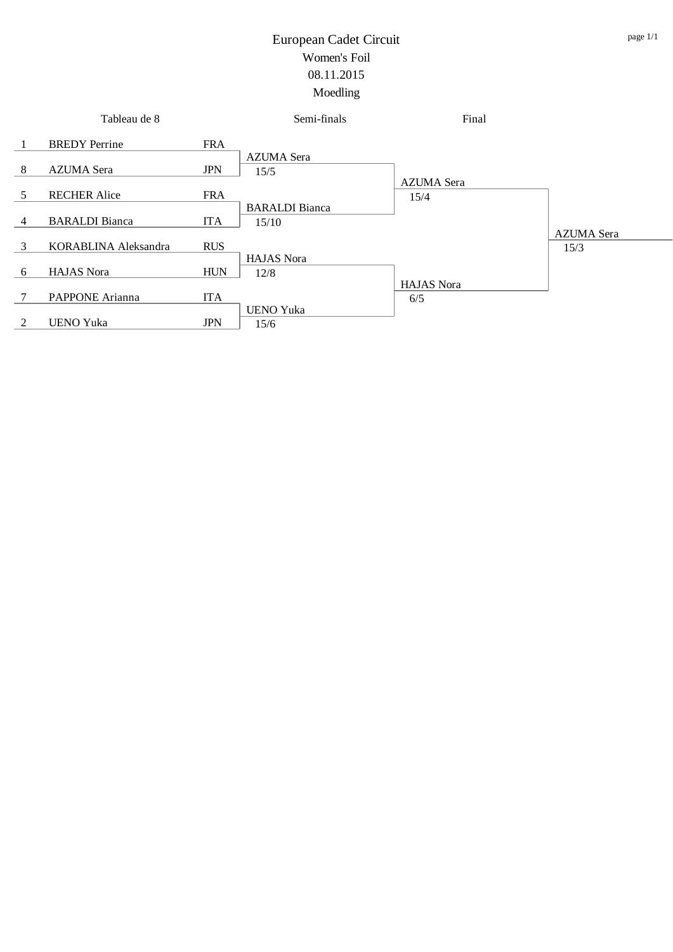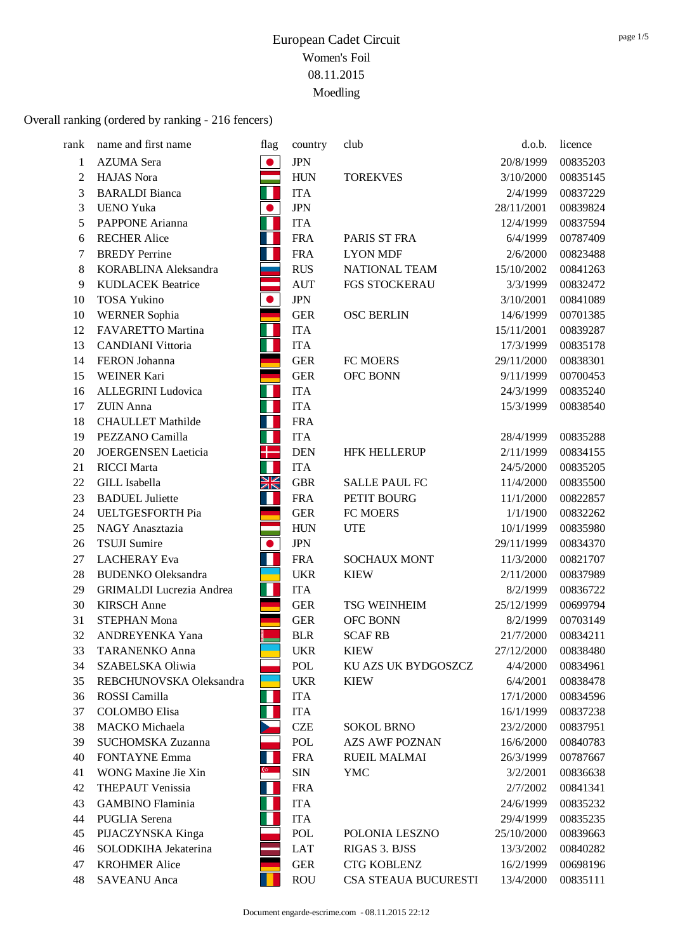| rank    | name and first name             | flag         | country    | club                  | d.o.b.     | licence  |
|---------|---------------------------------|--------------|------------|-----------------------|------------|----------|
| 1       | <b>AZUMA</b> Sera               | $\bullet$    | <b>JPN</b> |                       | 20/8/1999  | 00835203 |
| 2       | <b>HAJAS</b> Nora               |              | <b>HUN</b> | <b>TOREKVES</b>       | 3/10/2000  | 00835145 |
| 3       | <b>BARALDI</b> Bianca           |              | <b>ITA</b> |                       | 2/4/1999   | 00837229 |
| 3       | <b>UENO Yuka</b>                | $\bullet$    | <b>JPN</b> |                       | 28/11/2001 | 00839824 |
| 5       | PAPPONE Arianna                 |              | <b>ITA</b> |                       | 12/4/1999  | 00837594 |
| 6       | <b>RECHER Alice</b>             |              | <b>FRA</b> | PARIS ST FRA          | 6/4/1999   | 00787409 |
| 7       | <b>BREDY</b> Perrine            |              | <b>FRA</b> | <b>LYON MDF</b>       | 2/6/2000   | 00823488 |
| $\,8\,$ | KORABLINA Aleksandra            |              | <b>RUS</b> | NATIONAL TEAM         | 15/10/2002 | 00841263 |
| 9       | <b>KUDLACEK Beatrice</b>        |              | <b>AUT</b> | FGS STOCKERAU         | 3/3/1999   | 00832472 |
| 10      | <b>TOSA Yukino</b>              | $\bullet$    | <b>JPN</b> |                       | 3/10/2001  | 00841089 |
| 10      | <b>WERNER Sophia</b>            |              | <b>GER</b> | <b>OSC BERLIN</b>     | 14/6/1999  | 00701385 |
| 12      | FAVARETTO Martina               | Н            | <b>ITA</b> |                       | 15/11/2001 | 00839287 |
| 13      | <b>CANDIANI</b> Vittoria        |              | <b>ITA</b> |                       | 17/3/1999  | 00835178 |
| 14      | FERON Johanna                   |              | <b>GER</b> | FC MOERS              | 29/11/2000 | 00838301 |
| 15      | WEINER Kari                     |              | <b>GER</b> | OFC BONN              | 9/11/1999  | 00700453 |
| 16      | ALLEGRINI Ludovica              | П            | <b>ITA</b> |                       | 24/3/1999  | 00835240 |
| 17      | <b>ZUIN</b> Anna                |              | <b>ITA</b> |                       | 15/3/1999  | 00838540 |
| 18      | <b>CHAULLET</b> Mathilde        |              | <b>FRA</b> |                       |            |          |
| 19      | PEZZANO Camilla                 | Ш            | <b>ITA</b> |                       | 28/4/1999  | 00835288 |
| 20      | <b>JOERGENSEN Laeticia</b>      | ╉═           | <b>DEN</b> | <b>HFK HELLERUP</b>   | 2/11/1999  | 00834155 |
| 21      | <b>RICCI</b> Marta              |              | <b>ITA</b> |                       | 24/5/2000  | 00835205 |
| 22      | <b>GILL</b> Isabella            | XK           | <b>GBR</b> | <b>SALLE PAUL FC</b>  | 11/4/2000  | 00835500 |
| 23      | <b>BADUEL Juliette</b>          |              | <b>FRA</b> | PETIT BOURG           | 11/1/2000  | 00822857 |
| 24      | UELTGESFORTH Pia                |              | <b>GER</b> | FC MOERS              | 1/1/1900   | 00832262 |
| 25      | NAGY Anasztazia                 |              | <b>HUN</b> | <b>UTE</b>            | 10/1/1999  | 00835980 |
| 26      | <b>TSUJI Sumire</b>             | $\bullet$    | <b>JPN</b> |                       | 29/11/1999 | 00834370 |
| 27      | <b>LACHERAY</b> Eva             |              | <b>FRA</b> | <b>SOCHAUX MONT</b>   | 11/3/2000  | 00821707 |
| 28      | <b>BUDENKO</b> Oleksandra       |              | <b>UKR</b> | <b>KIEW</b>           | 2/11/2000  | 00837989 |
| 29      | <b>GRIMALDI</b> Lucrezia Andrea | Ш            | <b>ITA</b> |                       | 8/2/1999   | 00836722 |
| 30      | <b>KIRSCH</b> Anne              |              | <b>GER</b> | <b>TSG WEINHEIM</b>   | 25/12/1999 | 00699794 |
| 31      | <b>STEPHAN Mona</b>             |              | <b>GER</b> | <b>OFC BONN</b>       | 8/2/1999   | 00703149 |
| 32      | ANDREYENKA Yana                 |              | <b>BLR</b> | <b>SCAF RB</b>        | 21/7/2000  | 00834211 |
| 33      | TARANENKO Anna                  |              | <b>UKR</b> | <b>KIEW</b>           | 27/12/2000 | 00838480 |
| 34      | SZABELSKA Oliwia                |              | POL        | KU AZS UK BYDGOSZCZ   | 4/4/2000   | 00834961 |
| 35      | REBCHUNOVSKA Oleksandra         |              | <b>UKR</b> | <b>KIEW</b>           | 6/4/2001   | 00838478 |
| 36      | ROSSI Camilla                   |              | <b>ITA</b> |                       | 17/1/2000  | 00834596 |
| 37      | <b>COLOMBO</b> Elisa            |              | <b>ITA</b> |                       | 16/1/1999  | 00837238 |
| 38      | MACKO Michaela                  |              | <b>CZE</b> | <b>SOKOL BRNO</b>     | 23/2/2000  | 00837951 |
| 39      | <b>SUCHOMSKA Zuzanna</b>        |              | POL        | <b>AZS AWF POZNAN</b> | 16/6/2000  | 00840783 |
| 40      | <b>FONTAYNE Emma</b>            | Н            | <b>FRA</b> | <b>RUEIL MALMAI</b>   | 26/3/1999  | 00787667 |
| 41      | WONG Maxine Jie Xin             | $\mathbb{G}$ | <b>SIN</b> | <b>YMC</b>            | 3/2/2001   | 00836638 |
| 42      | <b>THEPAUT Venissia</b>         |              | <b>FRA</b> |                       | 2/7/2002   | 00841341 |
| 43      | <b>GAMBINO</b> Flaminia         |              | <b>ITA</b> |                       | 24/6/1999  | 00835232 |
| 44      | <b>PUGLIA</b> Serena            |              | <b>ITA</b> |                       | 29/4/1999  | 00835235 |
| 45      | PIJACZYNSKA Kinga               |              | POL        | POLONIA LESZNO        | 25/10/2000 | 00839663 |
| 46      | SOLODKIHA Jekaterina            |              | LAT        | RIGAS 3. BJSS         | 13/3/2002  | 00840282 |
| 47      | <b>KROHMER Alice</b>            |              | <b>GER</b> | <b>CTG KOBLENZ</b>    | 16/2/1999  | 00698196 |
| 48      | <b>SAVEANU</b> Anca             |              | <b>ROU</b> | CSA STEAUA BUCURESTI  | 13/4/2000  | 00835111 |
|         |                                 |              |            |                       |            |          |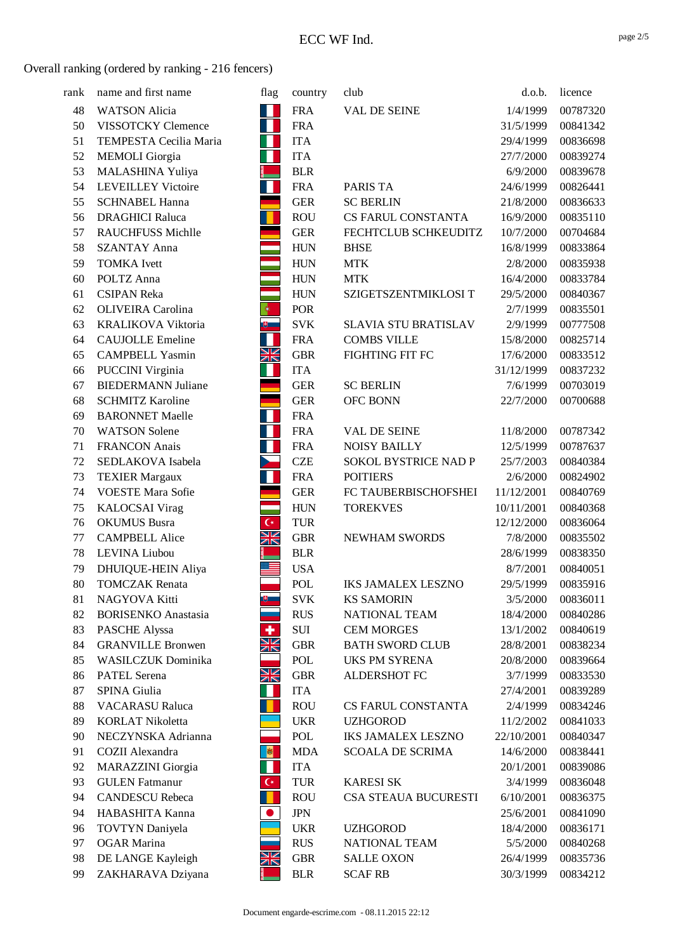| rank | name and first name        | flag                 | country    | club                        | d.o.b.     | licence  |
|------|----------------------------|----------------------|------------|-----------------------------|------------|----------|
| 48   | <b>WATSON Alicia</b>       | W                    | <b>FRA</b> | <b>VAL DE SEINE</b>         | 1/4/1999   | 00787320 |
| 50   | VISSOTCKY Clemence         | Ш                    | <b>FRA</b> |                             | 31/5/1999  | 00841342 |
| 51   | TEMPESTA Cecilia Maria     | Ш                    | <b>ITA</b> |                             | 29/4/1999  | 00836698 |
| 52   | <b>MEMOLI</b> Giorgia      | Н                    | <b>ITA</b> |                             | 27/7/2000  | 00839274 |
| 53   | MALASHINA Yuliya           |                      | <b>BLR</b> |                             | 6/9/2000   | 00839678 |
| 54   | <b>LEVEILLEY Victoire</b>  | Ш                    | <b>FRA</b> | <b>PARIS TA</b>             | 24/6/1999  | 00826441 |
| 55   | <b>SCHNABEL Hanna</b>      |                      | <b>GER</b> | <b>SC BERLIN</b>            | 21/8/2000  | 00836633 |
| 56   | <b>DRAGHICI Raluca</b>     |                      | <b>ROU</b> | CS FARUL CONSTANTA          | 16/9/2000  | 00835110 |
| 57   | <b>RAUCHFUSS Michlle</b>   |                      | <b>GER</b> | FECHTCLUB SCHKEUDITZ        | 10/7/2000  | 00704684 |
| 58   | <b>SZANTAY Anna</b>        | er<br>19             | <b>HUN</b> | <b>BHSE</b>                 | 16/8/1999  | 00833864 |
| 59   | <b>TOMKA</b> Ivett         |                      | <b>HUN</b> | <b>MTK</b>                  | 2/8/2000   | 00835938 |
| 60   | POLTZ Anna                 |                      | <b>HUN</b> | <b>MTK</b>                  | 16/4/2000  | 00833784 |
| 61   | <b>CSIPAN Reka</b>         |                      | <b>HUN</b> | SZIGETSZENTMIKLOSI T        | 29/5/2000  | 00840367 |
| 62   | <b>OLIVEIRA</b> Carolina   |                      | <b>POR</b> |                             | 2/7/1999   | 00835501 |
| 63   | <b>KRALIKOVA Viktoria</b>  | $\mathbb{B}$ .       | <b>SVK</b> | <b>SLAVIA STU BRATISLAV</b> | 2/9/1999   | 00777508 |
| 64   | <b>CAUJOLLE Emeline</b>    | Ш                    | <b>FRA</b> | <b>COMBS VILLE</b>          | 15/8/2000  | 00825714 |
| 65   | <b>CAMPBELL Yasmin</b>     | <u>Ж</u>             | <b>GBR</b> | FIGHTING FIT FC             | 17/6/2000  | 00833512 |
| 66   | PUCCINI Virginia           | Н                    | <b>ITA</b> |                             | 31/12/1999 | 00837232 |
| 67   | <b>BIEDERMANN Juliane</b>  |                      | <b>GER</b> | <b>SC BERLIN</b>            | 7/6/1999   | 00703019 |
| 68   | <b>SCHMITZ Karoline</b>    |                      | <b>GER</b> | <b>OFC BONN</b>             | 22/7/2000  | 00700688 |
| 69   | <b>BARONNET Maelle</b>     | Ш                    | <b>FRA</b> |                             |            |          |
| 70   | <b>WATSON Solene</b>       | Ш                    | <b>FRA</b> | VAL DE SEINE                | 11/8/2000  | 00787342 |
| 71   | <b>FRANCON</b> Anais       | Ш                    | <b>FRA</b> | <b>NOISY BAILLY</b>         | 12/5/1999  | 00787637 |
| 72   | SEDLAKOVA Isabela          |                      | <b>CZE</b> | SOKOL BYSTRICE NAD P        | 25/7/2003  | 00840384 |
| 73   | <b>TEXIER Margaux</b>      | Ш                    | <b>FRA</b> | <b>POITIERS</b>             | 2/6/2000   | 00824902 |
| 74   | <b>VOESTE Mara Sofie</b>   |                      | <b>GER</b> | FC TAUBERBISCHOFSHEI        | 11/12/2001 | 00840769 |
| 75   | <b>KALOCSAI</b> Virag      | an<br>Tan            | <b>HUN</b> | <b>TOREKVES</b>             | 10/11/2001 | 00840368 |
| 76   | <b>OKUMUS</b> Busra        | $\mathsf{C}^\star$   | <b>TUR</b> |                             | 12/12/2000 | 00836064 |
| 77   | <b>CAMPBELL Alice</b>      | NK<br>Ak             | <b>GBR</b> | NEWHAM SWORDS               | 7/8/2000   | 00835502 |
| 78   | LEVINA Liubou              |                      | <b>BLR</b> |                             | 28/6/1999  | 00838350 |
| 79   | DHUIQUE-HEIN Aliya         |                      | <b>USA</b> |                             | 8/7/2001   | 00840051 |
| 80   | <b>TOMCZAK</b> Renata      |                      | POL        | <b>IKS JAMALEX LESZNO</b>   | 29/5/1999  | 00835916 |
| 81   | NAGYOVA Kitti              | $+$                  | <b>SVK</b> | <b>KS SAMORIN</b>           | 3/5/2000   | 00836011 |
| 82   | <b>BORISENKO</b> Anastasia |                      | <b>RUS</b> | NATIONAL TEAM               | 18/4/2000  | 00840286 |
| 83   | PASCHE Alyssa              | ٠                    | SUI        | <b>CEM MORGES</b>           | 13/1/2002  | 00840619 |
| 84   | <b>GRANVILLE Bronwen</b>   | XK                   | <b>GBR</b> | <b>BATH SWORD CLUB</b>      | 28/8/2001  | 00838234 |
| 85   | WASILCZUK Dominika         |                      | POL        | <b>UKS PM SYRENA</b>        | 20/8/2000  | 00839664 |
| 86   | <b>PATEL Serena</b>        | NK<br>Ak             | <b>GBR</b> | ALDERSHOT FC                | 3/7/1999   | 00833530 |
| 87   | SPINA Giulia               |                      | <b>ITA</b> |                             | 27/4/2001  | 00839289 |
| 88   | <b>VACARASU Raluca</b>     |                      | <b>ROU</b> | <b>CS FARUL CONSTANTA</b>   | 2/4/1999   | 00834246 |
| 89   | <b>KORLAT Nikoletta</b>    |                      | <b>UKR</b> | <b>UZHGOROD</b>             | 11/2/2002  | 00841033 |
| 90   | NECZYNSKA Adrianna         |                      | POL        | <b>IKS JAMALEX LESZNO</b>   | 22/10/2001 | 00840347 |
| 91   | COZII Alexandra            | 图                    | <b>MDA</b> | <b>SCOALA DE SCRIMA</b>     | 14/6/2000  | 00838441 |
| 92   | <b>MARAZZINI</b> Giorgia   | Ш                    | <b>ITA</b> |                             | 20/1/2001  | 00839086 |
| 93   | <b>GULEN</b> Fatmanur      | $\mathsf{C}^{\star}$ | <b>TUR</b> | <b>KARESI SK</b>            | 3/4/1999   | 00836048 |
| 94   | <b>CANDESCU Rebeca</b>     | O                    | <b>ROU</b> | CSA STEAUA BUCURESTI        | 6/10/2001  | 00836375 |
| 94   | HABASHITA Kanna            | $\bullet$            | <b>JPN</b> |                             | 25/6/2001  | 00841090 |
| 96   | <b>TOVTYN</b> Daniyela     |                      | <b>UKR</b> | <b>UZHGOROD</b>             | 18/4/2000  | 00836171 |
| 97   | <b>OGAR</b> Marina         |                      | <b>RUS</b> | NATIONAL TEAM               | 5/5/2000   | 00840268 |
| 98   | DE LANGE Kayleigh          | XK                   | <b>GBR</b> | <b>SALLE OXON</b>           | 26/4/1999  | 00835736 |
| 99   | ZAKHARAVA Dziyana          |                      | <b>BLR</b> | <b>SCAF RB</b>              | 30/3/1999  | 00834212 |

page 2/5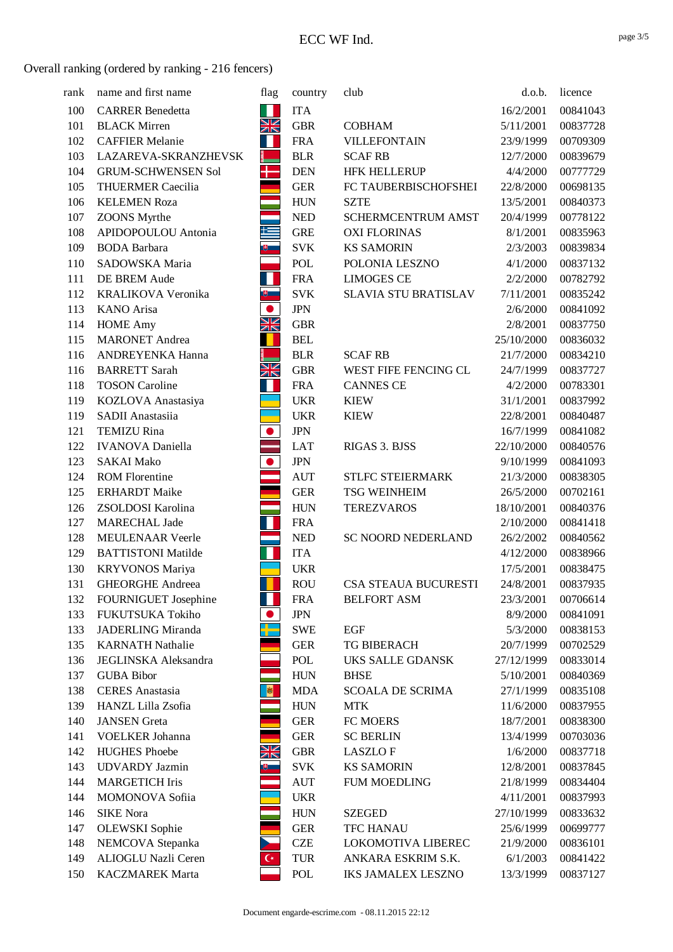| rank | name and first name         | flag               | country    | club                        | d.o.b.     | licence  |
|------|-----------------------------|--------------------|------------|-----------------------------|------------|----------|
| 100  | <b>CARRER Benedetta</b>     | Ш                  | <b>ITA</b> |                             | 16/2/2001  | 00841043 |
| 101  | <b>BLACK Mirren</b>         | XK                 | <b>GBR</b> | <b>COBHAM</b>               | 5/11/2001  | 00837728 |
| 102  | <b>CAFFIER Melanie</b>      | Ш                  | <b>FRA</b> | <b>VILLEFONTAIN</b>         | 23/9/1999  | 00709309 |
| 103  | LAZAREVA-SKRANZHEVSK        |                    | <b>BLR</b> | <b>SCAF RB</b>              | 12/7/2000  | 00839679 |
| 104  | <b>GRUM-SCHWENSEN Sol</b>   | ╉                  | <b>DEN</b> | <b>HFK HELLERUP</b>         | 4/4/2000   | 00777729 |
| 105  | <b>THUERMER Caecilia</b>    |                    | <b>GER</b> | FC TAUBERBISCHOFSHEI        | 22/8/2000  | 00698135 |
| 106  | <b>KELEMEN Roza</b>         |                    | <b>HUN</b> | <b>SZTE</b>                 | 13/5/2001  | 00840373 |
| 107  | <b>ZOONS</b> Myrthe         |                    | <b>NED</b> | <b>SCHERMCENTRUM AMST</b>   | 20/4/1999  | 00778122 |
| 108  | APIDOPOULOU Antonia         | E                  | <b>GRE</b> | <b>OXI FLORINAS</b>         | 8/1/2001   | 00835963 |
| 109  | <b>BODA</b> Barbara         | ⇒ □                | <b>SVK</b> | <b>KS SAMORIN</b>           | 2/3/2003   | 00839834 |
| 110  | SADOWSKA Maria              |                    | POL        | POLONIA LESZNO              | 4/1/2000   | 00837132 |
| 111  | DE BREM Aude                | ш                  | <b>FRA</b> | <b>LIMOGES CE</b>           | 2/2/2000   | 00782792 |
| 112  | <b>KRALIKOVA Veronika</b>   | U.                 | <b>SVK</b> | SLAVIA STU BRATISLAV        | 7/11/2001  | 00835242 |
| 113  | KANO Arisa                  | $\bullet$          | <b>JPN</b> |                             | 2/6/2000   | 00841092 |
| 114  | <b>HOME Amy</b>             | XK                 | <b>GBR</b> |                             | 2/8/2001   | 00837750 |
| 115  | <b>MARONET</b> Andrea       |                    | <b>BEL</b> |                             | 25/10/2000 | 00836032 |
| 116  | ANDREYENKA Hanna            |                    | <b>BLR</b> | <b>SCAF RB</b>              | 21/7/2000  | 00834210 |
| 116  | <b>BARRETT Sarah</b>        | XK                 | <b>GBR</b> | WEST FIFE FENCING CL        | 24/7/1999  | 00837727 |
| 118  | <b>TOSON Caroline</b>       | Н                  | <b>FRA</b> | <b>CANNES CE</b>            | 4/2/2000   | 00783301 |
| 119  | KOZLOVA Anastasiya          |                    | <b>UKR</b> | <b>KIEW</b>                 | 31/1/2001  | 00837992 |
| 119  | SADII Anastasiia            |                    | <b>UKR</b> | <b>KIEW</b>                 | 22/8/2001  | 00840487 |
| 121  | <b>TEMIZU Rina</b>          | $\bullet$          | <b>JPN</b> |                             | 16/7/1999  | 00841082 |
| 122  | <b>IVANOVA</b> Daniella     |                    | <b>LAT</b> | RIGAS 3. BJSS               | 22/10/2000 | 00840576 |
| 123  | <b>SAKAI Mako</b>           | $\bullet$          | <b>JPN</b> |                             | 9/10/1999  | 00841093 |
| 124  | <b>ROM Florentine</b>       |                    | <b>AUT</b> | <b>STLFC STEIERMARK</b>     | 21/3/2000  | 00838305 |
| 125  | <b>ERHARDT</b> Maike        |                    | <b>GER</b> | <b>TSG WEINHEIM</b>         | 26/5/2000  | 00702161 |
| 126  | ZSOLDOSI Karolina           |                    | <b>HUN</b> | <b>TEREZVAROS</b>           | 18/10/2001 | 00840376 |
| 127  | <b>MARECHAL Jade</b>        | $\mathbb{R}^2$     | <b>FRA</b> |                             | 2/10/2000  | 00841418 |
| 128  | <b>MEULENAAR Veerle</b>     |                    | <b>NED</b> | <b>SC NOORD NEDERLAND</b>   | 26/2/2002  | 00840562 |
| 129  | <b>BATTISTONI Matilde</b>   | Н                  | <b>ITA</b> |                             | 4/12/2000  | 00838966 |
| 130  | <b>KRYVONOS Mariya</b>      |                    | <b>UKR</b> |                             | 17/5/2001  | 00838475 |
| 131  | <b>GHEORGHE Andreea</b>     |                    | <b>ROU</b> | <b>CSA STEAUA BUCURESTI</b> | 24/8/2001  | 00837935 |
| 132  | FOURNIGUET Josephine        |                    | <b>FRA</b> | <b>BELFORT ASM</b>          | 23/3/2001  | 00706614 |
| 133  | FUKUTSUKA Tokiho            | $\bullet$          | <b>JPN</b> |                             | 8/9/2000   | 00841091 |
| 133  | <b>JADERLING Miranda</b>    | ┞                  | <b>SWE</b> | <b>EGF</b>                  | 5/3/2000   | 00838153 |
| 135  | <b>KARNATH Nathalie</b>     |                    | <b>GER</b> | TG BIBERACH                 | 20/7/1999  | 00702529 |
| 136  | <b>JEGLINSKA</b> Aleksandra |                    | POL        | UKS SALLE GDANSK            | 27/12/1999 | 00833014 |
| 137  | <b>GUBA Bibor</b>           |                    | <b>HUN</b> | <b>BHSE</b>                 | 5/10/2001  | 00840369 |
| 138  | <b>CERES</b> Anastasia      | 图                  | <b>MDA</b> | <b>SCOALA DE SCRIMA</b>     | 27/1/1999  | 00835108 |
| 139  | HANZL Lilla Zsofia          |                    | <b>HUN</b> | <b>MTK</b>                  | 11/6/2000  | 00837955 |
| 140  | <b>JANSEN</b> Greta         |                    | <b>GER</b> | FC MOERS                    | 18/7/2001  | 00838300 |
| 141  | <b>VOELKER Johanna</b>      |                    | <b>GER</b> | <b>SC BERLIN</b>            | 13/4/1999  | 00703036 |
| 142  | <b>HUGHES Phoebe</b>        | XK                 | <b>GBR</b> | <b>LASZLOF</b>              | 1/6/2000   | 00837718 |
| 143  | <b>UDVARDY</b> Jazmin       | ய                  | <b>SVK</b> | <b>KS SAMORIN</b>           | 12/8/2001  | 00837845 |
| 144  | <b>MARGETICH Iris</b>       |                    | AUT        | <b>FUM MOEDLING</b>         | 21/8/1999  | 00834404 |
| 144  | MOMONOVA Sofiia             |                    | <b>UKR</b> |                             | 4/11/2001  | 00837993 |
| 146  | <b>SIKE</b> Nora            |                    | <b>HUN</b> | <b>SZEGED</b>               | 27/10/1999 | 00833632 |
| 147  | <b>OLEWSKI</b> Sophie       |                    | <b>GER</b> | TFC HANAU                   | 25/6/1999  | 00699777 |
| 148  | NEMCOVA Stepanka            |                    | <b>CZE</b> | LOKOMOTIVA LIBEREC          | 21/9/2000  | 00836101 |
| 149  | ALIOGLU Nazli Ceren         | $\mathsf{C}^\star$ | <b>TUR</b> | ANKARA ESKRIM S.K.          | 6/1/2003   | 00841422 |
| 150  | <b>KACZMAREK Marta</b>      |                    | POL        | <b>IKS JAMALEX LESZNO</b>   | 13/3/1999  | 00837127 |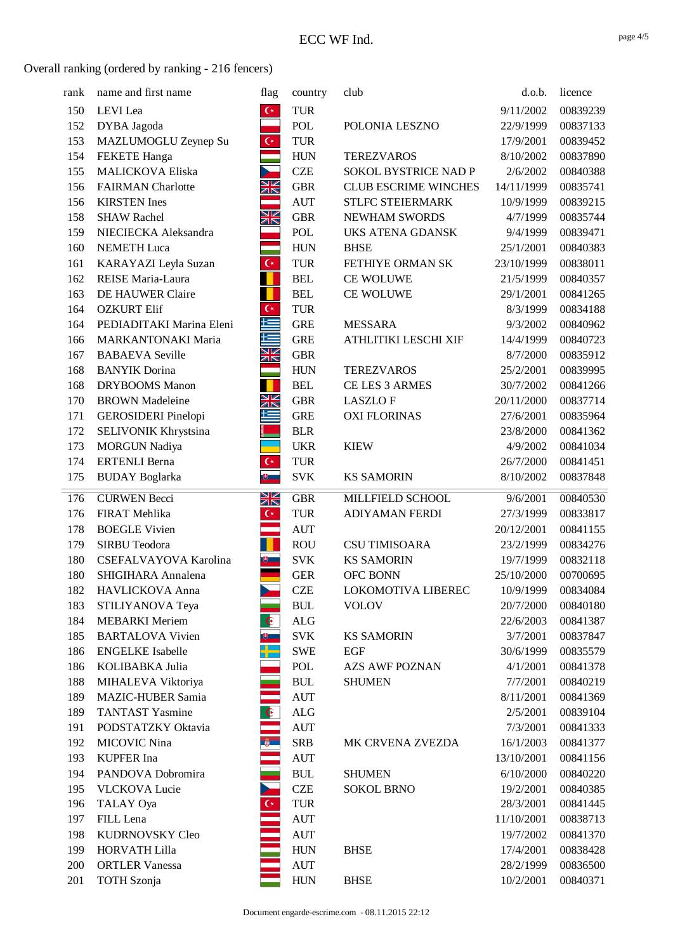| rank       | name and first name          | flag                    | country                          | club                        | d.o.b.                  | licence              |
|------------|------------------------------|-------------------------|----------------------------------|-----------------------------|-------------------------|----------------------|
| 150        | LEVI Lea                     | $\mathsf{C}^*$          | <b>TUR</b>                       |                             | 9/11/2002               | 00839239             |
| 152        | DYBA Jagoda                  |                         | POL                              | POLONIA LESZNO              | 22/9/1999               | 00837133             |
| 153        | MAZLUMOGLU Zeynep Su         | $\mathsf{C}^\star$      | <b>TUR</b>                       |                             | 17/9/2001               | 00839452             |
| 154        | <b>FEKETE</b> Hanga          | an<br>Tan               | <b>HUN</b>                       | <b>TEREZVAROS</b>           | 8/10/2002               | 00837890             |
| 155        | <b>MALICKOVA Eliska</b>      |                         | <b>CZE</b>                       | SOKOL BYSTRICE NAD P        | 2/6/2002                | 00840388             |
| 156        | <b>FAIRMAN</b> Charlotte     | XK                      | <b>GBR</b>                       | <b>CLUB ESCRIME WINCHES</b> | 14/11/1999              | 00835741             |
| 156        | <b>KIRSTEN</b> Ines          |                         | <b>AUT</b>                       | STLFC STEIERMARK            | 10/9/1999               | 00839215             |
| 158        | <b>SHAW Rachel</b>           | XK                      | <b>GBR</b>                       | NEWHAM SWORDS               | 4/7/1999                | 00835744             |
| 159        | NIECIECKA Aleksandra         |                         | POL                              | UKS ATENA GDANSK            | 9/4/1999                | 00839471             |
| 160        | <b>NEMETH Luca</b>           |                         | <b>HUN</b>                       | <b>BHSE</b>                 | 25/1/2001               | 00840383             |
| 161        | KARAYAZI Leyla Suzan         | $C^*$                   | <b>TUR</b>                       | FETHIYE ORMAN SK            | 23/10/1999              | 00838011             |
| 162        | REISE Maria-Laura            |                         | <b>BEL</b>                       | CE WOLUWE                   | 21/5/1999               | 00840357             |
| 163        | DE HAUWER Claire             | П                       | <b>BEL</b>                       | CE WOLUWE                   | 29/1/2001               | 00841265             |
| 164        | <b>OZKURT Elif</b>           | $\overline{\mathbf{G}}$ | <b>TUR</b>                       |                             | 8/3/1999                | 00834188             |
| 164        | PEDIADITAKI Marina Eleni     | E                       | <b>GRE</b>                       | <b>MESSARA</b>              | 9/3/2002                | 00840962             |
| 166        | <b>MARKANTONAKI Maria</b>    | N<br>N                  | <b>GRE</b>                       | ATHLITIKI LESCHI XIF        | 14/4/1999               | 00840723             |
| 167        | <b>BABAEVA Seville</b>       | ZN                      | <b>GBR</b>                       |                             | 8/7/2000                | 00835912             |
| 168        | <b>BANYIK</b> Dorina         |                         | <b>HUN</b>                       | <b>TEREZVAROS</b>           | 25/2/2001               | 00839995             |
| 168        | DRYBOOMS Manon               | П                       | <b>BEL</b>                       | CE LES 3 ARMES              | 30/7/2002               | 00841266             |
| 170        | <b>BROWN</b> Madeleine       | NK<br>NK                | <b>GBR</b>                       | <b>LASZLOF</b>              | 20/11/2000              | 00837714             |
| 171        | <b>GEROSIDERI</b> Pinelopi   | E                       | <b>GRE</b>                       | <b>OXI FLORINAS</b>         | 27/6/2001               | 00835964             |
| 172        | SELIVONIK Khrystsina         |                         | <b>BLR</b>                       |                             | 23/8/2000               | 00841362             |
| 173        | <b>MORGUN Nadiya</b>         |                         | <b>UKR</b>                       | <b>KIEW</b>                 | 4/9/2002                | 00841034             |
| 174        | <b>ERTENLI Berna</b>         | $\mathsf{C}^\star$      | <b>TUR</b>                       |                             | 26/7/2000               | 00841451             |
| 175        | <b>BUDAY</b> Boglarka        | 画                       | <b>SVK</b>                       | <b>KS SAMORIN</b>           | 8/10/2002               | 00837848             |
|            |                              |                         |                                  |                             |                         |                      |
|            |                              |                         |                                  |                             |                         |                      |
| 176        | <b>CURWEN Becci</b>          | XK                      | <b>GBR</b>                       | MILLFIELD SCHOOL            | 9/6/2001                | 00840530             |
| 176        | FIRAT Mehlika                | $C^*$                   | <b>TUR</b>                       | ADIYAMAN FERDI              | 27/3/1999               | 00833817             |
| 178        | <b>BOEGLE Vivien</b>         |                         | <b>AUT</b>                       |                             | 20/12/2001              | 00841155             |
| 179        | <b>SIRBU Teodora</b>         | $\blacksquare$          | <b>ROU</b>                       | <b>CSU TIMISOARA</b>        | 23/2/1999               | 00834276             |
| 180        | CSEFALVAYOVA Karolina        | ய                       | <b>SVK</b>                       | <b>KS SAMORIN</b>           | 19/7/1999               | 00832118             |
| 180        | SHIGIHARA Annalena           |                         | <b>GER</b>                       | OFC BONN                    | 25/10/2000              | 00700695             |
| 182        | HAVLICKOVA Anna              |                         | <b>CZE</b>                       | LOKOMOTIVA LIBEREC          | 10/9/1999               | 00834084             |
| 183        | STILIYANOVA Teya             |                         | $\mathbf{B}\mathbf{U}\mathbf{L}$ | <b>VOLOV</b>                | 20/7/2000               | 00840180             |
| 184        | <b>MEBARKI</b> Meriem        | $\bullet$               | $\rm ALG$                        |                             | 22/6/2003               | 00841387             |
| 185        | <b>BARTALOVA Vivien</b>      |                         | <b>SVK</b>                       | <b>KS SAMORIN</b>           | 3/7/2001                | 00837847             |
| 186        | <b>ENGELKE</b> Isabelle      |                         | <b>SWE</b>                       | EGF                         | 30/6/1999               | 00835579             |
| 186        | KOLIBABKA Julia              |                         | POL                              | <b>AZS AWF POZNAN</b>       | 4/1/2001                | 00841378             |
| 188        | MIHALEVA Viktoriya           |                         | <b>BUL</b>                       | <b>SHUMEN</b>               | 7/7/2001                | 00840219             |
| 189        | <b>MAZIC-HUBER Samia</b>     |                         | <b>AUT</b>                       |                             | 8/11/2001               | 00841369             |
| 189        | <b>TANTAST Yasmine</b>       | $\hat{\mathbf{e}}$      | <b>ALG</b>                       |                             | 2/5/2001                | 00839104             |
| 191        | PODSTATZKY Oktavia           |                         | <b>AUT</b>                       |                             | 7/3/2001                | 00841333             |
| 192        | <b>MICOVIC Nina</b>          | $\frac{a}{2}$           | <b>SRB</b>                       | MK CRVENA ZVEZDA            | 16/1/2003               | 00841377             |
| 193        | <b>KUPFER</b> Ina            |                         | <b>AUT</b>                       |                             | 13/10/2001              | 00841156             |
| 194        | PANDOVA Dobromira            |                         | <b>BUL</b>                       | <b>SHUMEN</b>               | 6/10/2000               | 00840220             |
| 195        | <b>VLCKOVA Lucie</b>         |                         | <b>CZE</b>                       | <b>SOKOL BRNO</b>           | 19/2/2001               | 00840385             |
| 196        | TALAY Oya                    | $\overline{C^*}$        | <b>TUR</b>                       |                             | 28/3/2001               | 00841445             |
| 197<br>198 | FILL Lena<br>KUDRNOVSKY Cleo |                         | <b>AUT</b>                       |                             | 11/10/2001<br>19/7/2002 | 00838713<br>00841370 |
| 199        | <b>HORVATH Lilla</b>         |                         | <b>AUT</b><br><b>HUN</b>         | <b>BHSE</b>                 | 17/4/2001               | 00838428             |
| 200        | <b>ORTLER Vanessa</b>        |                         | <b>AUT</b>                       |                             | 28/2/1999               | 00836500             |
| 201        | <b>TOTH</b> Szonja           |                         | <b>HUN</b>                       | <b>BHSE</b>                 | 10/2/2001               | 00840371             |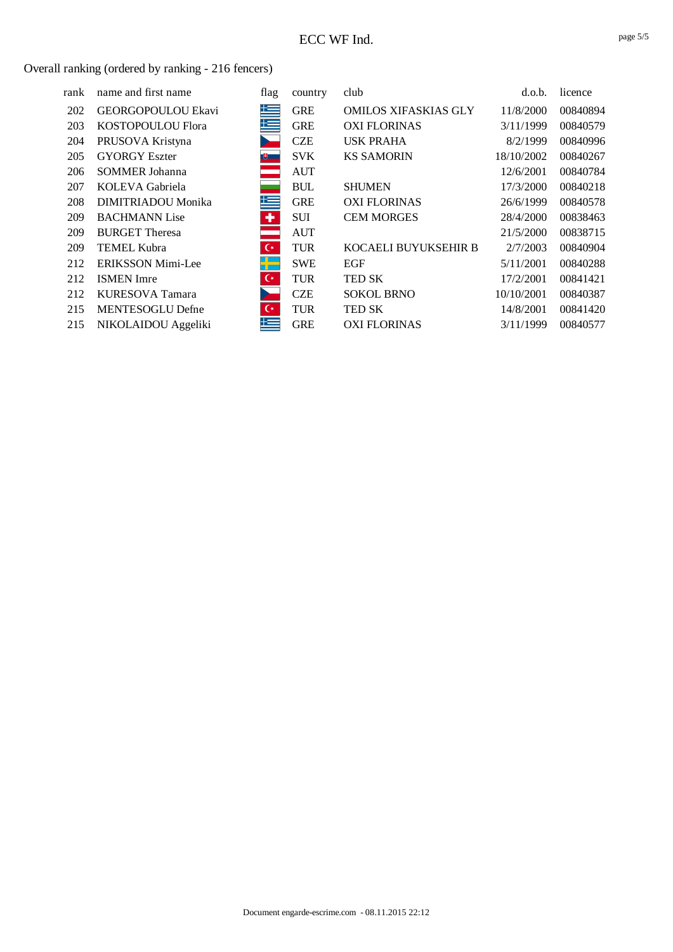| rank | name and first name      | flag           | country    | club                        | d.o.b.     | licence  |
|------|--------------------------|----------------|------------|-----------------------------|------------|----------|
| 202  | GEORGOPOULOU Ekavi       | 上三             | <b>GRE</b> | <b>OMILOS XIFASKIAS GLY</b> | 11/8/2000  | 00840894 |
| 203  | KOSTOPOULOU Flora        | 上三             | <b>GRE</b> | <b>OXI FLORINAS</b>         | 3/11/1999  | 00840579 |
| 204  | PRUSOVA Kristyna         |                | <b>CZE</b> | <b>USK PRAHA</b>            | 8/2/1999   | 00840996 |
| 205  | <b>GYORGY Eszter</b>     | 画              | <b>SVK</b> | <b>KS SAMORIN</b>           | 18/10/2002 | 00840267 |
| 206  | <b>SOMMER Johanna</b>    |                | <b>AUT</b> |                             | 12/6/2001  | 00840784 |
| 207  | KOLEVA Gabriela          |                | <b>BUL</b> | <b>SHUMEN</b>               | 17/3/2000  | 00840218 |
| 208  | DIMITRIADOU Monika       | 集              | <b>GRE</b> | <b>OXI FLORINAS</b>         | 26/6/1999  | 00840578 |
| 209  | <b>BACHMANN</b> Lise     | ٠              | <b>SUI</b> | <b>CEM MORGES</b>           | 28/4/2000  | 00838463 |
| 209  | <b>BURGET Theresa</b>    |                | <b>AUT</b> |                             | 21/5/2000  | 00838715 |
| 209  | <b>TEMEL Kubra</b>       | $\mathsf{C}^*$ | <b>TUR</b> | KOCAELI BUYUKSEHIR B        | 2/7/2003   | 00840904 |
| 212  | <b>ERIKSSON Mimi-Lee</b> |                | <b>SWE</b> | EGF                         | 5/11/2001  | 00840288 |
| 212  | <b>ISMEN</b> Imre        | $\mathsf{C}^*$ | <b>TUR</b> | <b>TED SK</b>               | 17/2/2001  | 00841421 |
| 212  | KURESOVA Tamara          |                | <b>CZE</b> | <b>SOKOL BRNO</b>           | 10/10/2001 | 00840387 |
| 215  | <b>MENTESOGLU Defne</b>  | $\mathsf{C}^*$ | <b>TUR</b> | <b>TED SK</b>               | 14/8/2001  | 00841420 |
| 215  | NIKOLAIDOU Aggeliki      | 上手             | <b>GRE</b> | <b>OXI FLORINAS</b>         | 3/11/1999  | 00840577 |